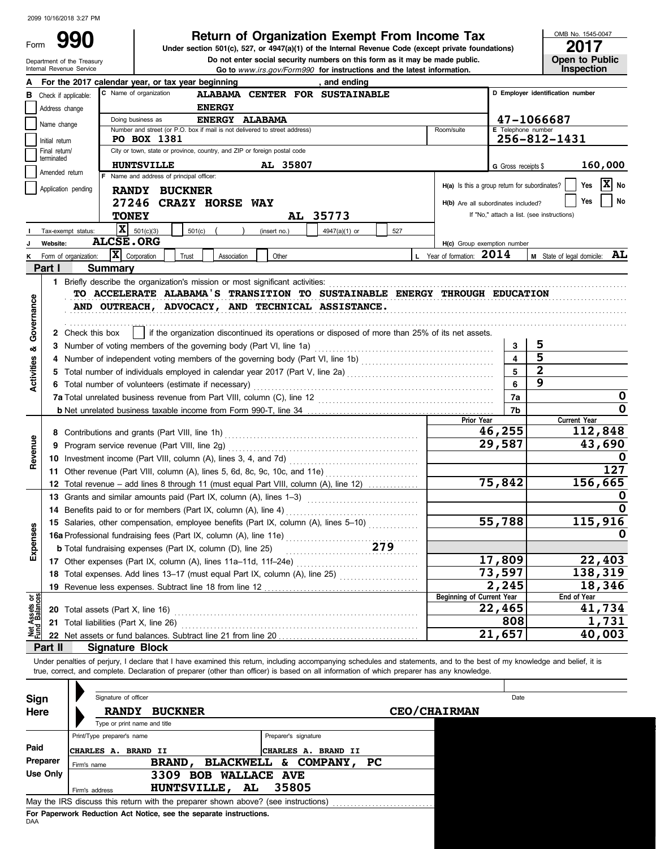Form 990

## Return of Organization Exempt From Income Tax

Under section 501(c), 527, or 4947(a)(1) of the Internal Revenue Code (except private foundations) Do not enter social security numbers on this form as it may be made public.  $\cdot$  to www.irs.cov/Form000, for instructions

OMB No. 1545-0047 2017

| Department of the Treasury<br>Internal Revenue Service | Do not enter social security numbers on this form as it may be made public.                                                                                              |                                               | Open to Public                   |
|--------------------------------------------------------|--------------------------------------------------------------------------------------------------------------------------------------------------------------------------|-----------------------------------------------|----------------------------------|
|                                                        | Go to www.irs.gov/Form990 for instructions and the latest information.                                                                                                   |                                               | <b>Inspection</b>                |
|                                                        | For the 2017 calendar year, or tax year beginning<br>, and ending                                                                                                        |                                               |                                  |
| Check if applicable:<br>в                              | C Name of organization<br>ALABAMA CENTER FOR SUSTAINABLE                                                                                                                 |                                               | D Employer identification number |
| Address change                                         | <b>ENERGY</b>                                                                                                                                                            |                                               |                                  |
| Name change                                            | Doing business as<br>ENERGY ALABAMA<br>Number and street (or P.O. box if mail is not delivered to street address)<br>Room/suite                                          | 47-1066687<br>E Telephone number              |                                  |
| Initial return                                         | PO BOX 1381                                                                                                                                                              | 256-812-1431                                  |                                  |
| Final return/                                          | City or town, state or province, country, and ZIP or foreign postal code                                                                                                 |                                               |                                  |
| terminated                                             | <b>HUNTSVILLE</b><br>AL 35807                                                                                                                                            | G Gross receipts \$                           | 160,000                          |
| Amended return                                         | F Name and address of principal officer:                                                                                                                                 |                                               |                                  |
| Application pending                                    | <b>RANDY BUCKNER</b>                                                                                                                                                     | H(a) Is this a group return for subordinates? | $ X $ No<br>Yes                  |
|                                                        | 27246 CRAZY HORSE WAY                                                                                                                                                    | H(b) Are all subordinates included?           | No<br>Yes                        |
|                                                        | AL 35773<br><b>TONEY</b>                                                                                                                                                 | If "No," attach a list. (see instructions)    |                                  |
|                                                        | $\overline{\mathbf{X}}$ 501(c)(3)                                                                                                                                        |                                               |                                  |
| Tax-exempt status:                                     | 501(c)<br>4947(a)(1) or<br>527<br>(insert no.)                                                                                                                           |                                               |                                  |
| Website:                                               | <b>ALCSE.ORG</b><br>H(c) Group exemption number                                                                                                                          |                                               |                                  |
| Form of organization:                                  | $ \mathbf{X} $ Corporation<br>L Year of formation: 2014<br>Trust<br>Other<br>Association                                                                                 |                                               | M State of legal domicile: AL    |
| Part I<br><b>Summary</b>                               |                                                                                                                                                                          |                                               |                                  |
|                                                        |                                                                                                                                                                          |                                               |                                  |
|                                                        | TO ACCELERATE ALABAMA'S TRANSITION TO SUSTAINABLE ENERGY THROUGH EDUCATION                                                                                               |                                               |                                  |
|                                                        | AND OUTREACH, ADVOCACY, AND TECHNICAL ASSISTANCE.                                                                                                                        |                                               |                                  |
|                                                        |                                                                                                                                                                          |                                               |                                  |
| Governance<br>2 Check this box                         | if the organization discontinued its operations or disposed of more than 25% of its net assets.                                                                          |                                               |                                  |
| య                                                      | 3 Number of voting members of the governing body (Part VI, line 1a) [1] [2] Number of voting members of the governing body (Part VI, line 1a)                            | 5<br>3                                        |                                  |
|                                                        |                                                                                                                                                                          | 5<br>$\overline{\mathbf{4}}$                  |                                  |
| Activities                                             |                                                                                                                                                                          | $\overline{2}$<br>5                           |                                  |
|                                                        | 6 Total number of volunteers (estimate if necessary)                                                                                                                     | 9<br>6                                        |                                  |
|                                                        |                                                                                                                                                                          | 7a                                            | 0                                |
|                                                        |                                                                                                                                                                          | 7b                                            | $\mathbf 0$                      |
|                                                        | <b>Prior Year</b>                                                                                                                                                        |                                               | <b>Current Year</b>              |
|                                                        |                                                                                                                                                                          | 46,255                                        | 112,848                          |
| Revenue                                                |                                                                                                                                                                          | 29,587                                        | 43,690                           |
|                                                        |                                                                                                                                                                          |                                               | 0                                |
|                                                        |                                                                                                                                                                          |                                               | 127                              |
|                                                        | 12 Total revenue - add lines 8 through 11 (must equal Part VIII, column (A), line 12)                                                                                    | 75,842                                        | 156,665                          |
|                                                        | 13 Grants and similar amounts paid (Part IX, column (A), lines 1-3)                                                                                                      |                                               | O                                |
|                                                        |                                                                                                                                                                          |                                               | $\mathbf 0$                      |
|                                                        | 15 Salaries, other compensation, employee benefits (Part IX, column (A), lines 5-10)                                                                                     | 55,788                                        | 115,916                          |
| æ                                                      |                                                                                                                                                                          |                                               | υ                                |
|                                                        | 15 Schenles, Other Society and Section 279<br>16a Professional fundraising fees (Part IX, column (A), line 11e)                                                          |                                               |                                  |
| Expense                                                | .<br>17 Other expenses (Part IX, column (A), lines 11a-11d, 11f-24e)                                                                                                     | 17,809                                        | 22,403                           |
|                                                        | 18 Total expenses. Add lines 13-17 (must equal Part IX, column (A), line 25) [[[[[[[[[[[[[[[[[[[[[[[[[[[[[[[[                                                            | 73,597                                        | 138,319                          |
|                                                        | 19 Revenue less expenses. Subtract line 18 from line 12                                                                                                                  | 2,245                                         | 18,346                           |
|                                                        | <b>Beginning of Current Year</b>                                                                                                                                         |                                               | End of Year                      |
| 20 Total assets (Part X, line 16)                      |                                                                                                                                                                          | 22,465                                        | 41,734                           |
| t Assets or<br>d Balances                              | 21 Total liabilities (Part X, line 26)                                                                                                                                   | 808                                           | 1,731                            |
| 횔                                                      |                                                                                                                                                                          | 21,657                                        | 40,003                           |
| Part II                                                | <b>Signature Block</b>                                                                                                                                                   |                                               |                                  |
|                                                        | Under penalties of perjury I declare that I have examined this return including accompanying schedules and statements, and to the best of my knowledge and belief, it is |                                               |                                  |

Under penalties of perjury, I declare that I have examined this return, including accompanying schedules and statements, and to the best of my knowledge and belief, it is true, correct, and complete. Declaration of preparer (other than officer) is based on all information of which preparer has any knowledge.

| Sign     |                            | Signature of officer                                                              |                    |                    |                      |                 |           |              | Date |  |
|----------|----------------------------|-----------------------------------------------------------------------------------|--------------------|--------------------|----------------------|-----------------|-----------|--------------|------|--|
| Here     |                            | <b>BUCKNER</b><br><b>RANDY</b>                                                    |                    |                    |                      |                 |           | CEO/CHAIRMAN |      |  |
|          |                            | Type or print name and title                                                      |                    |                    |                      |                 |           |              |      |  |
|          | Print/Type preparer's name |                                                                                   |                    |                    | Preparer's signature |                 |           |              |      |  |
| Paid     | CHARLES A.                 | <b>BRAND II</b>                                                                   |                    |                    | <b>CHARLES A.</b>    | <b>BRAND II</b> |           |              |      |  |
| Preparer | Firm's name                | <b>BRAND</b>                                                                      |                    | <b>BLACKWELL</b>   | δε.                  | COMPANY,        | <b>PC</b> |              |      |  |
| Use Only |                            | 3309                                                                              | <b>BOB</b>         | <b>WALLACE AVE</b> |                      |                 |           |              |      |  |
|          | Firm's address             |                                                                                   | <b>HUNTSVILLE,</b> | <b>AL</b>          | 35805                |                 |           |              |      |  |
|          |                            | May the IRS discuss this return with the preparer shown above? (see instructions) |                    |                    |                      |                 |           |              |      |  |
|          |                            | For Penerwork Reduction Act Notice, see the senarate instructions                 |                    |                    |                      |                 |           |              |      |  |

**FOI**<br>DAA aperwork reduction Act Notice, see the separate instructions.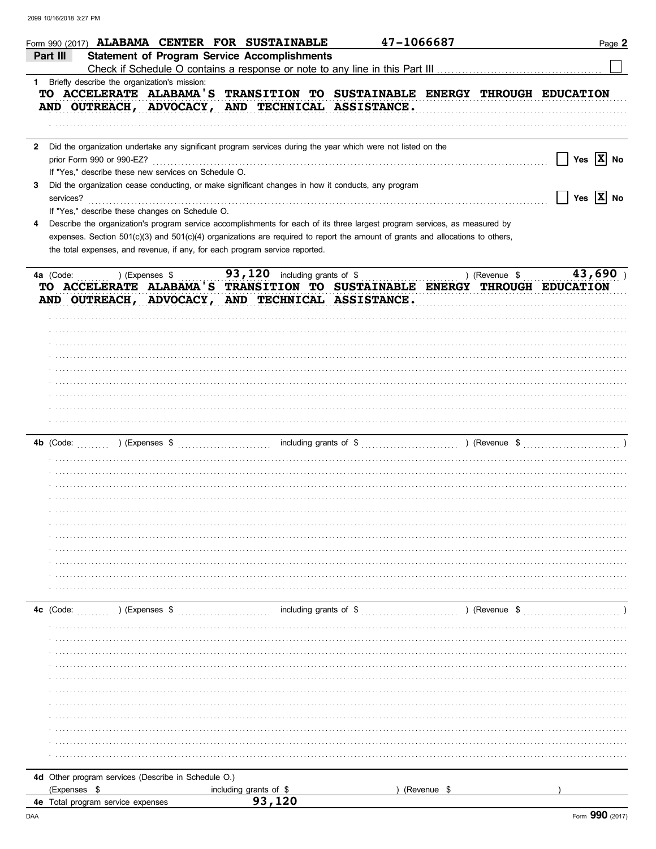|              | Form 990 (2017) ALABAMA CENTER FOR SUSTAINABLE                                                                                 |                           | 47-1066687                     |             |               |                       | Page 2 |
|--------------|--------------------------------------------------------------------------------------------------------------------------------|---------------------------|--------------------------------|-------------|---------------|-----------------------|--------|
|              | <b>Statement of Program Service Accomplishments</b><br>Part III                                                                |                           |                                |             |               |                       |        |
|              | 1 Briefly describe the organization's mission:                                                                                 |                           |                                |             |               |                       |        |
|              | TO ACCELERATE ALABAMA'S TRANSITION TO SUSTAINABLE ENERGY THROUGH EDUCATION                                                     |                           |                                |             |               |                       |        |
|              | AND OUTREACH, ADVOCACY, AND TECHNICAL ASSISTANCE.                                                                              |                           |                                |             |               |                       |        |
|              |                                                                                                                                |                           |                                |             |               |                       |        |
| $\mathbf{2}$ | Did the organization undertake any significant program services during the year which were not listed on the                   |                           |                                |             |               |                       |        |
|              | prior Form 990 or 990-EZ?                                                                                                      |                           |                                |             |               | Yes $ X $ No          |        |
|              | If "Yes," describe these new services on Schedule O.                                                                           |                           |                                |             |               |                       |        |
| 3            | Did the organization cease conducting, or make significant changes in how it conducts, any program<br>services?                |                           |                                |             |               | Yes $ \mathbf{X} $ No |        |
|              | If "Yes," describe these changes on Schedule O.                                                                                |                           |                                |             |               |                       |        |
| 4            | Describe the organization's program service accomplishments for each of its three largest program services, as measured by     |                           |                                |             |               |                       |        |
|              | expenses. Section 501(c)(3) and 501(c)(4) organizations are required to report the amount of grants and allocations to others, |                           |                                |             |               |                       |        |
|              | the total expenses, and revenue, if any, for each program service reported.                                                    |                           |                                |             |               |                       |        |
|              | 4a (Code:<br>) (Expenses \$                                                                                                    |                           | 93, 120 including grants of \$ |             | ) (Revenue \$ | 43,690)               |        |
|              | TO ACCELERATE ALABAMA'S TRANSITION TO SUSTAINABLE ENERGY THROUGH EDUCATION                                                     |                           |                                |             |               |                       |        |
|              | AND OUTREACH, ADVOCACY,                                                                                                        | AND TECHNICAL ASSISTANCE. |                                |             |               |                       |        |
|              |                                                                                                                                |                           |                                |             |               |                       |        |
|              |                                                                                                                                |                           |                                |             |               |                       |        |
|              |                                                                                                                                |                           |                                |             |               |                       |        |
|              |                                                                                                                                |                           |                                |             |               |                       |        |
|              |                                                                                                                                |                           |                                |             |               |                       |        |
|              |                                                                                                                                |                           |                                |             |               |                       |        |
|              |                                                                                                                                |                           |                                |             |               |                       |        |
|              |                                                                                                                                |                           |                                |             |               |                       |        |
|              | 4b (Code:                                                                                                                      |                           |                                |             |               |                       |        |
|              |                                                                                                                                |                           |                                |             |               |                       |        |
|              |                                                                                                                                |                           |                                |             |               |                       |        |
|              |                                                                                                                                |                           |                                |             |               |                       |        |
|              |                                                                                                                                |                           |                                |             |               |                       |        |
|              |                                                                                                                                |                           |                                |             |               |                       |        |
|              |                                                                                                                                |                           |                                |             |               |                       |        |
|              |                                                                                                                                |                           |                                |             |               |                       |        |
|              |                                                                                                                                |                           |                                |             |               |                       |        |
|              |                                                                                                                                |                           |                                |             |               |                       |        |
|              |                                                                                                                                |                           |                                |             |               |                       |        |
|              | 4c (Code:<br>) (Expenses \$                                                                                                    |                           | including grants of \$         |             | ) (Revenue \$ |                       |        |
|              |                                                                                                                                |                           |                                |             |               |                       |        |
|              |                                                                                                                                |                           |                                |             |               |                       |        |
|              |                                                                                                                                |                           |                                |             |               |                       |        |
|              |                                                                                                                                |                           |                                |             |               |                       |        |
|              |                                                                                                                                |                           |                                |             |               |                       |        |
|              |                                                                                                                                |                           |                                |             |               |                       |        |
|              |                                                                                                                                |                           |                                |             |               |                       |        |
|              |                                                                                                                                |                           |                                |             |               |                       |        |
|              |                                                                                                                                |                           |                                |             |               |                       |        |
|              | 4d Other program services (Describe in Schedule O.)                                                                            |                           |                                |             |               |                       |        |
|              | (Expenses \$                                                                                                                   | including grants of \$    |                                | (Revenue \$ |               |                       |        |
|              | 4e Total program service expenses                                                                                              | . 120                     |                                |             |               |                       |        |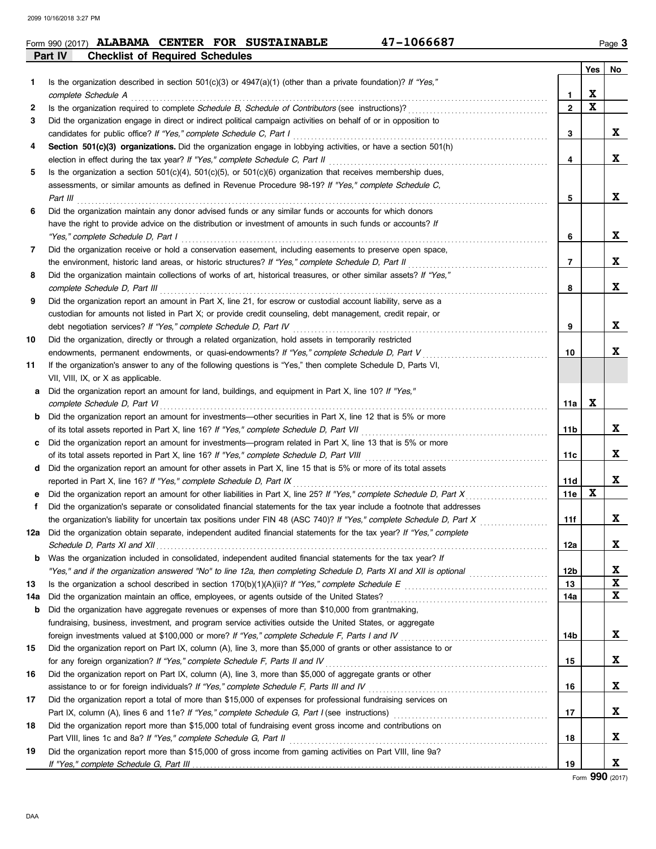|         |                                        |  | Form 990 (2017) ALABAMA CENTER FOR SUSTAINABLE |
|---------|----------------------------------------|--|------------------------------------------------|
| Part IV | <b>Checklist of Required Schedules</b> |  |                                                |

|     |                                                                                                                                                                                                                                |                | Yes         | No                        |
|-----|--------------------------------------------------------------------------------------------------------------------------------------------------------------------------------------------------------------------------------|----------------|-------------|---------------------------|
| 1   | Is the organization described in section 501(c)(3) or 4947(a)(1) (other than a private foundation)? If "Yes,"                                                                                                                  |                |             |                           |
|     | complete Schedule A                                                                                                                                                                                                            | 1              | X           |                           |
| 2   |                                                                                                                                                                                                                                | $\mathbf{2}$   | $\mathbf x$ |                           |
| 3   | Did the organization engage in direct or indirect political campaign activities on behalf of or in opposition to                                                                                                               |                |             |                           |
|     | candidates for public office? If "Yes," complete Schedule C, Part I                                                                                                                                                            | 3              |             | X                         |
| 4   | Section 501(c)(3) organizations. Did the organization engage in lobbying activities, or have a section 501(h)                                                                                                                  |                |             |                           |
|     |                                                                                                                                                                                                                                | 4              |             | X                         |
| 5   | Is the organization a section $501(c)(4)$ , $501(c)(5)$ , or $501(c)(6)$ organization that receives membership dues,                                                                                                           |                |             |                           |
|     | assessments, or similar amounts as defined in Revenue Procedure 98-19? If "Yes," complete Schedule C.                                                                                                                          |                |             |                           |
|     | Part III                                                                                                                                                                                                                       | 5              |             | X                         |
| 6   | Did the organization maintain any donor advised funds or any similar funds or accounts for which donors                                                                                                                        |                |             |                           |
|     | have the right to provide advice on the distribution or investment of amounts in such funds or accounts? If                                                                                                                    |                |             |                           |
|     | "Yes," complete Schedule D, Part I                                                                                                                                                                                             | 6              |             | X                         |
| 7   | Did the organization receive or hold a conservation easement, including easements to preserve open space,                                                                                                                      |                |             | X                         |
|     | the environment, historic land areas, or historic structures? If "Yes," complete Schedule D, Part II                                                                                                                           | $\overline{7}$ |             |                           |
| 8   | Did the organization maintain collections of works of art, historical treasures, or other similar assets? If "Yes,"                                                                                                            |                |             | X                         |
|     | complete Schedule D, Part III                                                                                                                                                                                                  | 8              |             |                           |
| 9   | Did the organization report an amount in Part X, line 21, for escrow or custodial account liability, serve as a                                                                                                                |                |             |                           |
|     | custodian for amounts not listed in Part X; or provide credit counseling, debt management, credit repair, or                                                                                                                   |                |             | X                         |
|     | debt negotiation services? If "Yes," complete Schedule D, Part IV [[11][20] COLORGIAL RESPARENT RESPARENT RESPARENT RESPARENT RESPARENT RESPARENT RESPARENT RESPARENT RESPARENT RESPARENT RESPARENT RESPARENT RESPARENT RESPAR | 9              |             |                           |
| 10  | Did the organization, directly or through a related organization, hold assets in temporarily restricted                                                                                                                        |                |             | x                         |
|     | endowments, permanent endowments, or quasi-endowments? If "Yes," complete Schedule D, Part V                                                                                                                                   | 10             |             |                           |
| 11  | If the organization's answer to any of the following questions is "Yes," then complete Schedule D, Parts VI,<br>VII, VIII, IX, or X as applicable.                                                                             |                |             |                           |
| а   | Did the organization report an amount for land, buildings, and equipment in Part X, line 10? If "Yes,"                                                                                                                         |                |             |                           |
|     | complete Schedule D, Part VI                                                                                                                                                                                                   | 11a            | X           |                           |
| b   | Did the organization report an amount for investments—other securities in Part X, line 12 that is 5% or more                                                                                                                   |                |             |                           |
|     |                                                                                                                                                                                                                                | 11b            |             | X                         |
| c   | Did the organization report an amount for investments—program related in Part X, line 13 that is 5% or more                                                                                                                    |                |             |                           |
|     |                                                                                                                                                                                                                                | 11c            |             | X                         |
| d   | Did the organization report an amount for other assets in Part X, line 15 that is 5% or more of its total assets                                                                                                               |                |             |                           |
|     | reported in Part X, line 16? If "Yes," complete Schedule D, Part IX                                                                                                                                                            | 11d            |             | X                         |
|     | Did the organization report an amount for other liabilities in Part X, line 25? If "Yes," complete Schedule D, Part X                                                                                                          | 11e            | X           |                           |
| f.  | Did the organization's separate or consolidated financial statements for the tax year include a footnote that addresses                                                                                                        |                |             |                           |
|     | the organization's liability for uncertain tax positions under FIN 48 (ASC 740)? If "Yes," complete Schedule D, Part X                                                                                                         | 11f            |             | X                         |
|     | 12a Did the organization obtain separate, independent audited financial statements for the tax year? If "Yes," complete                                                                                                        |                |             |                           |
|     |                                                                                                                                                                                                                                | 12a            |             | X                         |
| b   | Was the organization included in consolidated, independent audited financial statements for the tax year? If                                                                                                                   |                |             |                           |
|     | "Yes," and if the organization answered "No" to line 12a, then completing Schedule D, Parts XI and XII is optional                                                                                                             | 12b            |             | X                         |
| 13  |                                                                                                                                                                                                                                | 13             |             | $\mathbf x$               |
| 14a |                                                                                                                                                                                                                                | 14a            |             | $\boldsymbol{\mathrm{X}}$ |
| b   | Did the organization have aggregate revenues or expenses of more than \$10,000 from grantmaking,                                                                                                                               |                |             |                           |
|     | fundraising, business, investment, and program service activities outside the United States, or aggregate                                                                                                                      |                |             |                           |
|     | foreign investments valued at \$100,000 or more? If "Yes," complete Schedule F, Parts I and IV [[[[[[[[[[[[[[[                                                                                                                 | 14b            |             | X                         |
| 15  | Did the organization report on Part IX, column (A), line 3, more than \$5,000 of grants or other assistance to or                                                                                                              |                |             |                           |
|     | for any foreign organization? If "Yes," complete Schedule F, Parts II and IV                                                                                                                                                   | 15             |             | X                         |
| 16  | Did the organization report on Part IX, column (A), line 3, more than \$5,000 of aggregate grants or other                                                                                                                     |                |             |                           |
|     | assistance to or for foreign individuals? If "Yes," complete Schedule F, Parts III and IV [[[[[[[[[[[[[[[[[[[                                                                                                                  | 16             |             | X                         |
| 17  | Did the organization report a total of more than \$15,000 of expenses for professional fundraising services on                                                                                                                 |                |             |                           |
|     |                                                                                                                                                                                                                                | 17             |             | X                         |
| 18  | Did the organization report more than \$15,000 total of fundraising event gross income and contributions on                                                                                                                    |                |             |                           |
|     | Part VIII, lines 1c and 8a? If "Yes," complete Schedule G, Part II                                                                                                                                                             | 18             |             | X                         |
| 19  | Did the organization report more than \$15,000 of gross income from gaming activities on Part VIII, line 9a?                                                                                                                   |                |             |                           |
|     | If "Yes." complete Schedule G. Part III                                                                                                                                                                                        | 19             |             | x                         |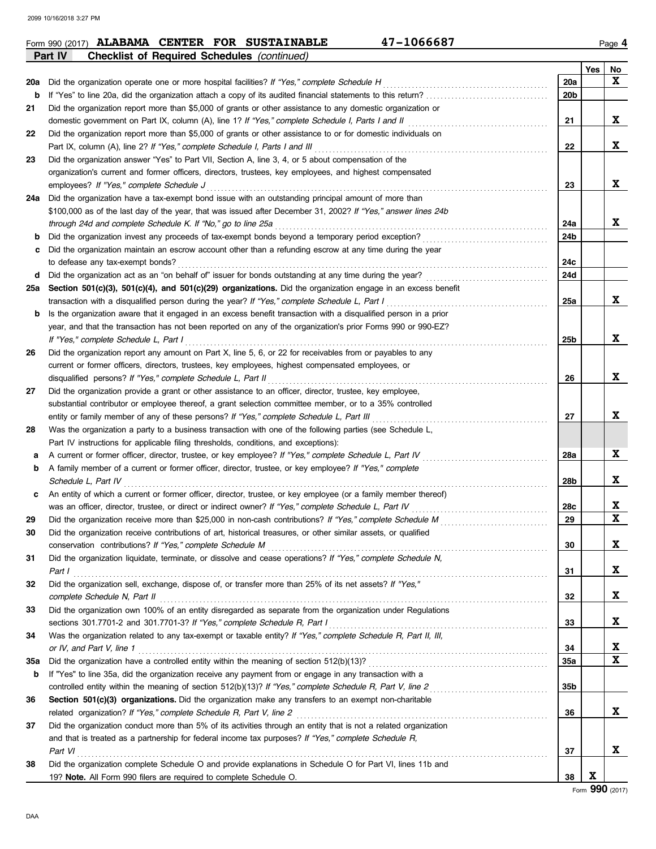**Part IV** 

Form 990 (2017) ALABAMA CENTER FOR SUSTAINABLE

**Checklist of Required Schedules (continued)** 

|     |                                                                                                                                                                                                                                                                                                                                                 |            | Yes | No.          |
|-----|-------------------------------------------------------------------------------------------------------------------------------------------------------------------------------------------------------------------------------------------------------------------------------------------------------------------------------------------------|------------|-----|--------------|
| 20a | Did the organization operate one or more hospital facilities? If "Yes," complete Schedule H                                                                                                                                                                                                                                                     | 20a        |     | $\mathbf x$  |
| b   | If "Yes" to line 20a, did the organization attach a copy of its audited financial statements to this return?                                                                                                                                                                                                                                    | <b>20b</b> |     |              |
| 21  | Did the organization report more than \$5,000 of grants or other assistance to any domestic organization or                                                                                                                                                                                                                                     |            |     |              |
|     | domestic government on Part IX, column (A), line 1? If "Yes," complete Schedule I, Parts I and II                                                                                                                                                                                                                                               | 21         |     | X            |
| 22  | Did the organization report more than \$5,000 of grants or other assistance to or for domestic individuals on                                                                                                                                                                                                                                   |            |     |              |
|     | Part IX, column (A), line 2? If "Yes," complete Schedule I, Parts I and III                                                                                                                                                                                                                                                                     | 22         |     | X            |
| 23  | Did the organization answer "Yes" to Part VII, Section A, line 3, 4, or 5 about compensation of the                                                                                                                                                                                                                                             |            |     |              |
|     | organization's current and former officers, directors, trustees, key employees, and highest compensated                                                                                                                                                                                                                                         |            |     |              |
|     | employees? If "Yes," complete Schedule J                                                                                                                                                                                                                                                                                                        | 23         |     | X            |
| 24a | Did the organization have a tax-exempt bond issue with an outstanding principal amount of more than                                                                                                                                                                                                                                             |            |     |              |
|     | \$100,000 as of the last day of the year, that was issued after December 31, 2002? If "Yes," answer lines 24b                                                                                                                                                                                                                                   |            |     |              |
|     | through 24d and complete Schedule K. If "No," go to line 25a                                                                                                                                                                                                                                                                                    | 24a        |     | X            |
| b   | Did the organization invest any proceeds of tax-exempt bonds beyond a temporary period exception?                                                                                                                                                                                                                                               | 24b        |     |              |
| c   | Did the organization maintain an escrow account other than a refunding escrow at any time during the year                                                                                                                                                                                                                                       |            |     |              |
|     | to defease any tax-exempt bonds?                                                                                                                                                                                                                                                                                                                | 24c        |     |              |
| d   | Did the organization act as an "on behalf of" issuer for bonds outstanding at any time during the year?                                                                                                                                                                                                                                         | 24d        |     |              |
| 25a | Section 501(c)(3), 501(c)(4), and 501(c)(29) organizations. Did the organization engage in an excess benefit                                                                                                                                                                                                                                    |            |     |              |
|     | transaction with a disqualified person during the year? If "Yes," complete Schedule L, Part I                                                                                                                                                                                                                                                   | 25a        |     | X            |
| b   | Is the organization aware that it engaged in an excess benefit transaction with a disqualified person in a prior                                                                                                                                                                                                                                |            |     |              |
|     | year, and that the transaction has not been reported on any of the organization's prior Forms 990 or 990-EZ?                                                                                                                                                                                                                                    |            |     |              |
|     | If "Yes," complete Schedule L, Part I                                                                                                                                                                                                                                                                                                           | 25b        |     | X            |
| 26  | Did the organization report any amount on Part X, line 5, 6, or 22 for receivables from or payables to any                                                                                                                                                                                                                                      |            |     |              |
|     | current or former officers, directors, trustees, key employees, highest compensated employees, or                                                                                                                                                                                                                                               |            |     |              |
|     | disqualified persons? If "Yes," complete Schedule L, Part II                                                                                                                                                                                                                                                                                    | 26         |     | X            |
| 27  | Did the organization provide a grant or other assistance to an officer, director, trustee, key employee,                                                                                                                                                                                                                                        |            |     |              |
|     | substantial contributor or employee thereof, a grant selection committee member, or to a 35% controlled                                                                                                                                                                                                                                         |            |     |              |
|     | entity or family member of any of these persons? If "Yes," complete Schedule L, Part III                                                                                                                                                                                                                                                        | 27         |     | X            |
| 28  | Was the organization a party to a business transaction with one of the following parties (see Schedule L,                                                                                                                                                                                                                                       |            |     |              |
|     | Part IV instructions for applicable filing thresholds, conditions, and exceptions):                                                                                                                                                                                                                                                             |            |     |              |
| а   | A current or former officer, director, trustee, or key employee? If "Yes," complete Schedule L, Part IV                                                                                                                                                                                                                                         | 28a        |     | X            |
| b   | A family member of a current or former officer, director, trustee, or key employee? If "Yes," complete                                                                                                                                                                                                                                          |            |     |              |
|     | Schedule L, Part IV                                                                                                                                                                                                                                                                                                                             | 28b        |     | X            |
| c   | An entity of which a current or former officer, director, trustee, or key employee (or a family member thereof)                                                                                                                                                                                                                                 |            |     | X            |
|     | was an officer, director, trustee, or direct or indirect owner? If "Yes," complete Schedule L, Part IV                                                                                                                                                                                                                                          | 28c        |     | $\mathbf{x}$ |
| 29  | Did the organization receive more than \$25,000 in non-cash contributions? If "Yes," complete Schedule M<br>Did the organization receive contributions of art, historical treasures, or other similar assets, or qualified                                                                                                                      | 29         |     |              |
| 30  |                                                                                                                                                                                                                                                                                                                                                 | 30         |     | X            |
|     | conservation contributions? If "Yes," complete Schedule M<br>Did the organization liquidate, terminate, or dissolve and cease operations? If "Yes," complete Schedule N,                                                                                                                                                                        |            |     |              |
| 31  |                                                                                                                                                                                                                                                                                                                                                 | 31         |     | $\mathbf{x}$ |
| 32  | Part $I$<br>Did the organization sell, exchange, dispose of, or transfer more than 25% of its net assets? If "Yes,"                                                                                                                                                                                                                             |            |     |              |
|     |                                                                                                                                                                                                                                                                                                                                                 | 32         |     | X            |
| 33  | complete Schedule N, Part II et al. (2008) and the complete Schedule N, Part II et al. (2009) and the complete $S$ chedule N, Part II et al. (2009) and the complete $S$ chedule N, Part II et al. (2009) and the complete $S$ ch<br>Did the organization own 100% of an entity disregarded as separate from the organization under Regulations |            |     |              |
|     | sections 301.7701-2 and 301.7701-3? If "Yes," complete Schedule R, Part I                                                                                                                                                                                                                                                                       | 33         |     | X            |
| 34  | Was the organization related to any tax-exempt or taxable entity? If "Yes," complete Schedule R, Part II, III,                                                                                                                                                                                                                                  |            |     |              |
|     | or IV, and Part V, line 1                                                                                                                                                                                                                                                                                                                       | 34         |     | X            |
| 35a |                                                                                                                                                                                                                                                                                                                                                 | 35a        |     | $\mathbf{x}$ |
| b   | If "Yes" to line 35a, did the organization receive any payment from or engage in any transaction with a                                                                                                                                                                                                                                         |            |     |              |
|     | controlled entity within the meaning of section 512(b)(13)? If "Yes," complete Schedule R, Part V, line 2                                                                                                                                                                                                                                       | 35b        |     |              |
| 36  | Section 501(c)(3) organizations. Did the organization make any transfers to an exempt non-charitable                                                                                                                                                                                                                                            |            |     |              |
|     | related organization? If "Yes," complete Schedule R, Part V, line 2                                                                                                                                                                                                                                                                             | 36         |     | X            |
| 37  | Did the organization conduct more than 5% of its activities through an entity that is not a related organization                                                                                                                                                                                                                                |            |     |              |
|     | and that is treated as a partnership for federal income tax purposes? If "Yes," complete Schedule R,                                                                                                                                                                                                                                            |            |     |              |
|     | Part VI                                                                                                                                                                                                                                                                                                                                         | 37         |     | X            |
| 38  | Did the organization complete Schedule O and provide explanations in Schedule O for Part VI, lines 11b and                                                                                                                                                                                                                                      |            |     |              |

 $38 \mid X$ 

Page 4

47-1066687

19? Note. All Form 990 filers are required to complete Schedule O.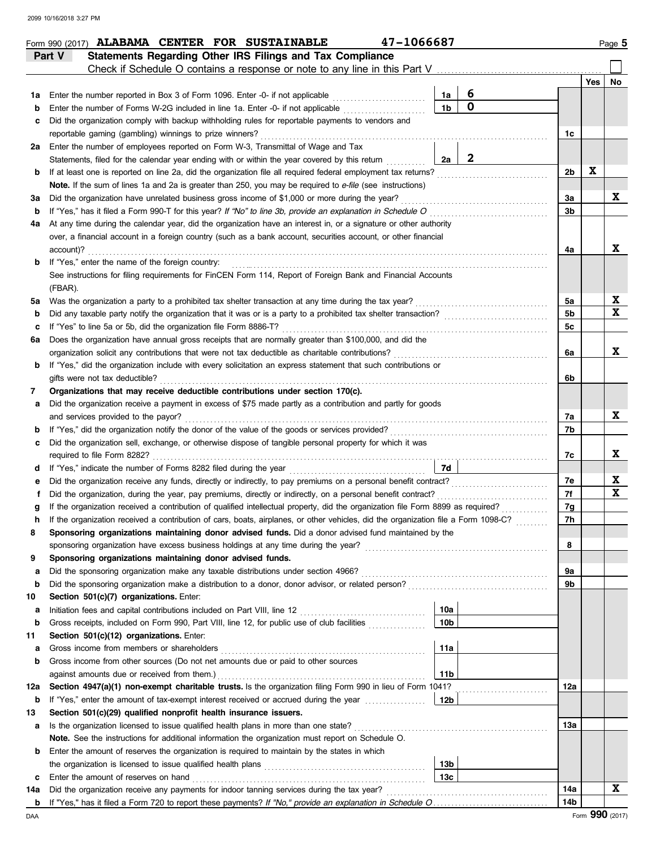Form 990 (2017) ALABAMA CENTER FOR SUSTAINABLE

|        | Part V<br>Statements Regarding Other IRS Filings and Tax Compliance                                                                |                 |              |                |     |    |
|--------|------------------------------------------------------------------------------------------------------------------------------------|-----------------|--------------|----------------|-----|----|
|        | Check if Schedule O contains a response or note to any line in this Part V                                                         |                 |              |                |     |    |
|        |                                                                                                                                    |                 |              |                | Yes | No |
| 1a     | Enter the number reported in Box 3 of Form 1096. Enter -0- if not applicable                                                       | 1a              | 6            |                |     |    |
| b      | Enter the number of Forms W-2G included in line 1a. Enter -0- if not applicable                                                    | 1 <sub>b</sub>  | $\mathbf 0$  |                |     |    |
| c      | Did the organization comply with backup withholding rules for reportable payments to vendors and                                   |                 |              |                |     |    |
|        | reportable gaming (gambling) winnings to prize winners?                                                                            |                 |              | 1c             |     |    |
| 2a     | Enter the number of employees reported on Form W-3, Transmittal of Wage and Tax                                                    |                 |              |                |     |    |
|        | Statements, filed for the calendar year ending with or within the year covered by this return                                      | 2a              | $\mathbf{2}$ |                |     |    |
| b      | If at least one is reported on line 2a, did the organization file all required federal employment tax returns?                     |                 |              | 2 <sub>b</sub> | X   |    |
|        | Note. If the sum of lines 1a and 2a is greater than 250, you may be required to e-file (see instructions)                          |                 |              |                |     |    |
| За     | Did the organization have unrelated business gross income of \$1,000 or more during the year?                                      |                 |              | За             |     | X  |
| b      | If "Yes," has it filed a Form 990-T for this year? If "No" to line 3b, provide an explanation in Schedule O                        |                 |              | 3b             |     |    |
| 4a     | At any time during the calendar year, did the organization have an interest in, or a signature or other authority                  |                 |              |                |     |    |
|        | over, a financial account in a foreign country (such as a bank account, securities account, or other financial                     |                 |              |                |     |    |
|        | account)?                                                                                                                          |                 |              | 4a             |     | X  |
| b      | If "Yes," enter the name of the foreign country:                                                                                   |                 |              |                |     |    |
|        | See instructions for filing requirements for FinCEN Form 114, Report of Foreign Bank and Financial Accounts                        |                 |              |                |     |    |
|        | (FBAR).                                                                                                                            |                 |              |                |     |    |
| 5a     | Was the organization a party to a prohibited tax shelter transaction at any time during the tax year?                              |                 |              | 5a             |     | X  |
| b      |                                                                                                                                    |                 |              | 5b             |     | X  |
| c      | If "Yes" to line 5a or 5b, did the organization file Form 8886-T?                                                                  |                 |              | 5c             |     |    |
| ба     | Does the organization have annual gross receipts that are normally greater than \$100,000, and did the                             |                 |              |                |     |    |
|        | organization solicit any contributions that were not tax deductible as charitable contributions?                                   |                 |              | 6a             |     | X  |
| b      | If "Yes," did the organization include with every solicitation an express statement that such contributions or                     |                 |              |                |     |    |
|        | gifts were not tax deductible?                                                                                                     |                 |              | 6b             |     |    |
| 7      | Organizations that may receive deductible contributions under section 170(c).                                                      |                 |              |                |     |    |
| а      | Did the organization receive a payment in excess of \$75 made partly as a contribution and partly for goods                        |                 |              |                |     | X  |
|        | and services provided to the payor?                                                                                                |                 |              | 7a             |     |    |
| b      | Did the organization sell, exchange, or otherwise dispose of tangible personal property for which it was                           |                 |              | 7b             |     |    |
| c      |                                                                                                                                    |                 |              | 7с             |     | X  |
|        |                                                                                                                                    | 7d              |              |                |     |    |
| d<br>е |                                                                                                                                    |                 |              | 7е             |     | X  |
| f      | Did the organization, during the year, pay premiums, directly or indirectly, on a personal benefit contract?                       |                 |              | 7f             |     | X  |
| g      |                                                                                                                                    |                 |              | 7g             |     |    |
| h      | If the organization received a contribution of cars, boats, airplanes, or other vehicles, did the organization file a Form 1098-C? |                 |              | 7h             |     |    |
|        | Sponsoring organizations maintaining donor advised funds. Did a donor advised fund maintained by the                               |                 |              |                |     |    |
|        |                                                                                                                                    |                 |              | 8              |     |    |
| 9      | Sponsoring organizations maintaining donor advised funds.                                                                          |                 |              |                |     |    |
| а      | Did the sponsoring organization make any taxable distributions under section 4966?                                                 |                 |              | 9a             |     |    |
| b      |                                                                                                                                    |                 |              | 9b             |     |    |
| 10     | Section 501(c)(7) organizations. Enter:                                                                                            |                 |              |                |     |    |
| а      |                                                                                                                                    | 10a             |              |                |     |    |
| b      | Gross receipts, included on Form 990, Part VIII, line 12, for public use of club facilities                                        | 10 <sub>b</sub> |              |                |     |    |
| 11     | Section 501(c)(12) organizations. Enter:                                                                                           |                 |              |                |     |    |
| а      | Gross income from members or shareholders                                                                                          | 11a             |              |                |     |    |
| b      | Gross income from other sources (Do not net amounts due or paid to other sources                                                   |                 |              |                |     |    |
|        | against amounts due or received from them.)                                                                                        | 11 <sub>b</sub> |              |                |     |    |
| 12a    | Section 4947(a)(1) non-exempt charitable trusts. Is the organization filing Form 990 in lieu of Form 1041?                         |                 |              | 12a            |     |    |
| b      | If "Yes," enter the amount of tax-exempt interest received or accrued during the year                                              | 12b             |              |                |     |    |
| 13     | Section 501(c)(29) qualified nonprofit health insurance issuers.                                                                   |                 |              |                |     |    |
| а      | Is the organization licensed to issue qualified health plans in more than one state?                                               |                 |              | 13a            |     |    |
|        | Note. See the instructions for additional information the organization must report on Schedule O.                                  |                 |              |                |     |    |
| b      | Enter the amount of reserves the organization is required to maintain by the states in which                                       |                 |              |                |     |    |
|        |                                                                                                                                    | 13 <sub>b</sub> |              |                |     |    |
| c      | Enter the amount of reserves on hand                                                                                               | 13c             |              |                |     |    |
| 14a    | Did the organization receive any payments for indoor tanning services during the tax year?                                         |                 |              | 14a            |     | X  |
| b      |                                                                                                                                    |                 |              | 14b            |     |    |
|        |                                                                                                                                    |                 |              |                |     |    |

Form  $990$  (2017)

47-1066687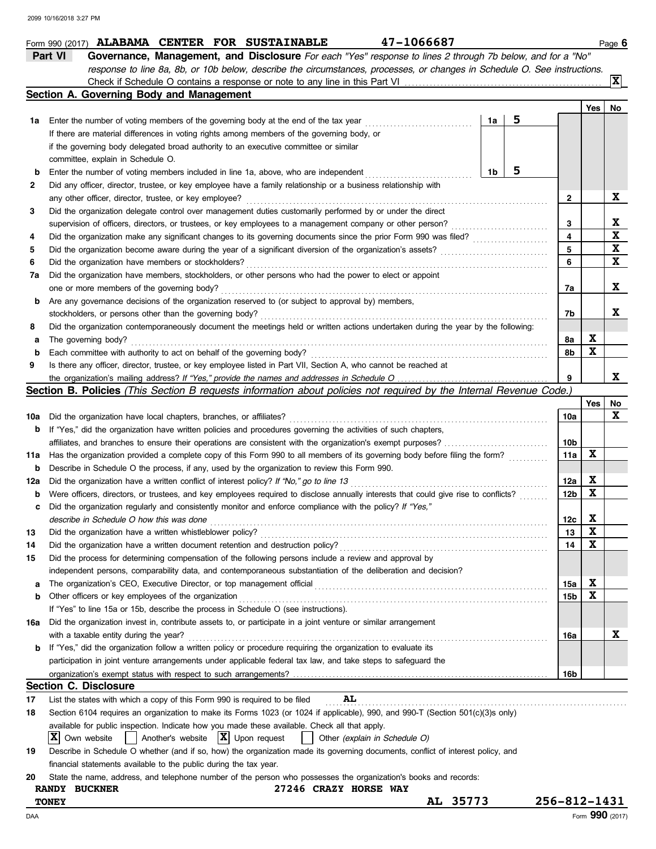Part VI

Form 990 (2017) ALABAMA CENTER FOR SUSTAINABLE

|     | response to line 8a, 8b, or 10b below, describe the circumstances, processes, or changes in Schedule O. See instructions.           |   |                 |                         |                  |  |  |  |  |  |  |  |
|-----|-------------------------------------------------------------------------------------------------------------------------------------|---|-----------------|-------------------------|------------------|--|--|--|--|--|--|--|
|     |                                                                                                                                     |   |                 |                         | X                |  |  |  |  |  |  |  |
|     | Section A. Governing Body and Management                                                                                            |   |                 |                         |                  |  |  |  |  |  |  |  |
|     |                                                                                                                                     |   |                 | Yes                     | No               |  |  |  |  |  |  |  |
| 1a  | Enter the number of voting members of the governing body at the end of the tax year<br>1a                                           | 5 |                 |                         |                  |  |  |  |  |  |  |  |
|     | If there are material differences in voting rights among members of the governing body, or                                          |   |                 |                         |                  |  |  |  |  |  |  |  |
|     | if the governing body delegated broad authority to an executive committee or similar                                                |   |                 |                         |                  |  |  |  |  |  |  |  |
|     | committee, explain in Schedule O.                                                                                                   |   |                 |                         |                  |  |  |  |  |  |  |  |
| b   | 1b<br>Enter the number of voting members included in line 1a, above, who are independent                                            | 5 |                 |                         |                  |  |  |  |  |  |  |  |
| 2   | Did any officer, director, trustee, or key employee have a family relationship or a business relationship with                      |   |                 |                         |                  |  |  |  |  |  |  |  |
|     | any other officer, director, trustee, or key employee?                                                                              |   | $\mathbf{2}$    |                         | X                |  |  |  |  |  |  |  |
| 3   | Did the organization delegate control over management duties customarily performed by or under the direct                           |   |                 |                         |                  |  |  |  |  |  |  |  |
|     | supervision of officers, directors, or trustees, or key employees to a management company or other person?                          |   | 3               |                         | X<br>$\mathbf x$ |  |  |  |  |  |  |  |
| 4   | Did the organization make any significant changes to its governing documents since the prior Form 990 was filed?                    |   |                 |                         |                  |  |  |  |  |  |  |  |
| 5   | Did the organization become aware during the year of a significant diversion of the organization's assets?                          |   |                 |                         |                  |  |  |  |  |  |  |  |
| 6   | Did the organization have members or stockholders?                                                                                  |   | 6               |                         | X                |  |  |  |  |  |  |  |
| 7a  | Did the organization have members, stockholders, or other persons who had the power to elect or appoint                             |   |                 |                         |                  |  |  |  |  |  |  |  |
|     | one or more members of the governing body?                                                                                          |   | 7a              |                         | X                |  |  |  |  |  |  |  |
| b   | Are any governance decisions of the organization reserved to (or subject to approval by) members,                                   |   |                 |                         |                  |  |  |  |  |  |  |  |
|     | stockholders, or persons other than the governing body?                                                                             |   | 7b              |                         | X                |  |  |  |  |  |  |  |
| 8   | Did the organization contemporaneously document the meetings held or written actions undertaken during the year by the following:   |   |                 |                         |                  |  |  |  |  |  |  |  |
| а   | The governing body?                                                                                                                 |   | 8а              | X                       |                  |  |  |  |  |  |  |  |
| b   | Each committee with authority to act on behalf of the governing body?                                                               |   | 8b              | X                       |                  |  |  |  |  |  |  |  |
| 9   | Is there any officer, director, trustee, or key employee listed in Part VII, Section A, who cannot be reached at                    |   |                 |                         |                  |  |  |  |  |  |  |  |
|     |                                                                                                                                     |   | 9               |                         | X                |  |  |  |  |  |  |  |
|     | <b>Section B. Policies</b> (This Section B requests information about policies not required by the Internal Revenue Code.)          |   |                 |                         |                  |  |  |  |  |  |  |  |
|     |                                                                                                                                     |   |                 | Yes                     | No               |  |  |  |  |  |  |  |
| 10a | Did the organization have local chapters, branches, or affiliates?                                                                  |   | 10a             |                         | $\mathbf x$      |  |  |  |  |  |  |  |
| b   | If "Yes," did the organization have written policies and procedures governing the activities of such chapters,                      |   |                 |                         |                  |  |  |  |  |  |  |  |
|     | affiliates, and branches to ensure their operations are consistent with the organization's exempt purposes?                         |   | 10b             |                         |                  |  |  |  |  |  |  |  |
| 11a | Has the organization provided a complete copy of this Form 990 to all members of its governing body before filing the form?         |   |                 |                         |                  |  |  |  |  |  |  |  |
| b   | Describe in Schedule O the process, if any, used by the organization to review this Form 990.                                       |   |                 |                         |                  |  |  |  |  |  |  |  |
| 12a | Did the organization have a written conflict of interest policy? If "No," go to line 13                                             |   | 12a             | X                       |                  |  |  |  |  |  |  |  |
| b   | Were officers, directors, or trustees, and key employees required to disclose annually interests that could give rise to conflicts? |   | 12 <sub>b</sub> | $\mathbf x$             |                  |  |  |  |  |  |  |  |
| c   | Did the organization regularly and consistently monitor and enforce compliance with the policy? If "Yes,"                           |   |                 |                         |                  |  |  |  |  |  |  |  |
|     | describe in Schedule O how this was done                                                                                            |   | 12c             | X                       |                  |  |  |  |  |  |  |  |
| 13  | Did the organization have a written whistleblower policy?                                                                           |   | 13              | $\mathbf x$             |                  |  |  |  |  |  |  |  |
|     | .<br>Did the organization have a written document retention and destruction policy?                                                 |   | 14              | $\overline{\mathbf{X}}$ |                  |  |  |  |  |  |  |  |
| 15  | Did the process for determining compensation of the following persons include a review and approval by                              |   |                 |                         |                  |  |  |  |  |  |  |  |
|     | independent persons, comparability data, and contemporaneous substantiation of the deliberation and decision?                       |   |                 |                         |                  |  |  |  |  |  |  |  |
| а   | The organization's CEO, Executive Director, or top management official                                                              |   | 15a             | X                       |                  |  |  |  |  |  |  |  |
| b   | Other officers or key employees of the organization                                                                                 |   | 15b             | X                       |                  |  |  |  |  |  |  |  |
|     | If "Yes" to line 15a or 15b, describe the process in Schedule O (see instructions).                                                 |   |                 |                         |                  |  |  |  |  |  |  |  |
| 16a | Did the organization invest in, contribute assets to, or participate in a joint venture or similar arrangement                      |   |                 |                         |                  |  |  |  |  |  |  |  |
|     | with a taxable entity during the year?                                                                                              |   | 16a             |                         | X                |  |  |  |  |  |  |  |
| b   | If "Yes," did the organization follow a written policy or procedure requiring the organization to evaluate its                      |   |                 |                         |                  |  |  |  |  |  |  |  |
|     | participation in joint venture arrangements under applicable federal tax law, and take steps to safeguard the                       |   |                 |                         |                  |  |  |  |  |  |  |  |
|     |                                                                                                                                     |   | 16b             |                         |                  |  |  |  |  |  |  |  |
|     | <b>Section C. Disclosure</b>                                                                                                        |   |                 |                         |                  |  |  |  |  |  |  |  |
| 17  | List the states with which a copy of this Form 990 is required to be filed<br>AL                                                    |   |                 |                         |                  |  |  |  |  |  |  |  |
| 18  | Section 6104 requires an organization to make its Forms 1023 (or 1024 if applicable), 990, and 990-T (Section 501(c)(3)s only)      |   |                 |                         |                  |  |  |  |  |  |  |  |
|     | available for public inspection. Indicate how you made these available. Check all that apply.                                       |   |                 |                         |                  |  |  |  |  |  |  |  |
|     | X <br>Another's website $ \mathbf{X} $ Upon request<br>Own website<br>Other (explain in Schedule O)                                 |   |                 |                         |                  |  |  |  |  |  |  |  |
| 19  | Describe in Schedule O whether (and if so, how) the organization made its governing documents, conflict of interest policy, and     |   |                 |                         |                  |  |  |  |  |  |  |  |
|     | financial statements available to the public during the tax year.                                                                   |   |                 |                         |                  |  |  |  |  |  |  |  |
| 20  | State the name, address, and telephone number of the person who possesses the organization's books and records:                     |   |                 |                         |                  |  |  |  |  |  |  |  |
|     | 27246 CRAZY HORSE WAY<br><b>RANDY BUCKNER</b>                                                                                       |   |                 |                         |                  |  |  |  |  |  |  |  |
|     | AL 35773<br><b>TONEY</b>                                                                                                            |   | 256-812-1431    |                         |                  |  |  |  |  |  |  |  |
| DAA |                                                                                                                                     |   |                 | Form 990 (2017          |                  |  |  |  |  |  |  |  |
|     |                                                                                                                                     |   |                 |                         |                  |  |  |  |  |  |  |  |

47-1066687

Governance, Management, and Disclosure For each "Yes" response to lines 2 through 7b below, and for a "No"

Page 6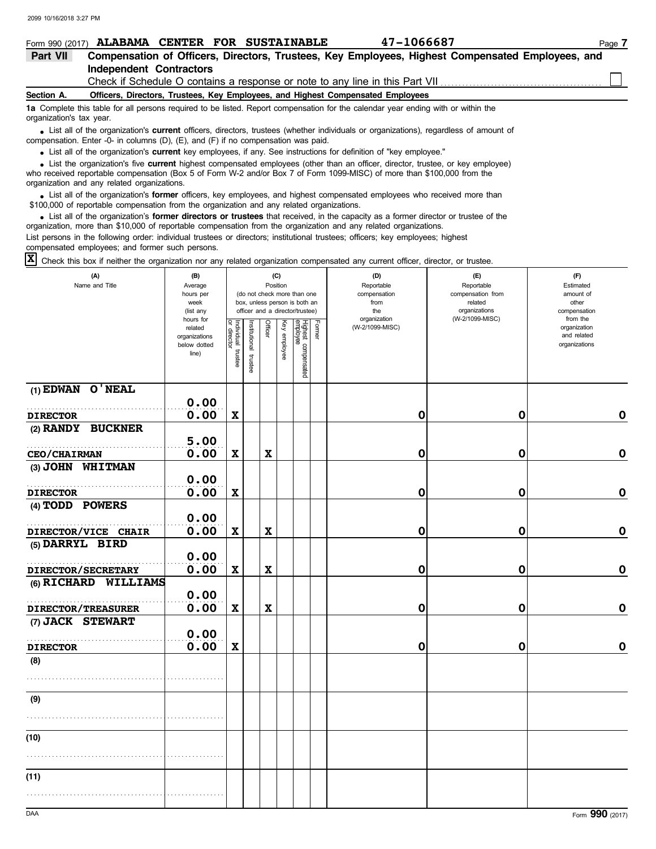| Form 990 (2017)                                                                                                                                                                                                             |                                                                                                                                                               |  |  | ALABAMA CENTER FOR SUSTAINABLE | 47–1066687 | Page 7                                                                                           |  |  |  |  |
|-----------------------------------------------------------------------------------------------------------------------------------------------------------------------------------------------------------------------------|---------------------------------------------------------------------------------------------------------------------------------------------------------------|--|--|--------------------------------|------------|--------------------------------------------------------------------------------------------------|--|--|--|--|
| <b>Part VII</b>                                                                                                                                                                                                             |                                                                                                                                                               |  |  |                                |            | Compensation of Officers, Directors, Trustees, Key Employees, Highest Compensated Employees, and |  |  |  |  |
|                                                                                                                                                                                                                             | <b>Independent Contractors</b>                                                                                                                                |  |  |                                |            |                                                                                                  |  |  |  |  |
|                                                                                                                                                                                                                             | Check if Schedule O contains a response or note to any line in this Part VII                                                                                  |  |  |                                |            |                                                                                                  |  |  |  |  |
| Section A.<br>Officers, Directors, Trustees, Key Employees, and Highest Compensated Employees                                                                                                                               |                                                                                                                                                               |  |  |                                |            |                                                                                                  |  |  |  |  |
|                                                                                                                                                                                                                             | 1a Complete this table for all persons required to be listed. Report compensation for the calendar year ending with or within the<br>organization's tax year. |  |  |                                |            |                                                                                                  |  |  |  |  |
| • List all of the organization's current officers, directors, trustees (whether individuals or organizations), regardless of amount of<br>compensation. Enter -0- in columns (D), (E), and (F) if no compensation was paid. |                                                                                                                                                               |  |  |                                |            |                                                                                                  |  |  |  |  |

 $47 - 1066687$ 

• List all of the organization's current key employees, if any. See instructions for definition of "key employee."

• List the organization's five current highest compensated employees (other than an officer, director, trustee, or key employee) who received reportable compensation (Box 5 of Form W-2 and/or Box 7 of Form 1099-MISC) of more than \$100,000 from the organization and any related organizations.

• List all of the organization's former officers, key employees, and highest compensated employees who received more than \$100,000 of reportable compensation from the organization and any related organizations.

• List all of the organization's former directors or trustees that received, in the capacity as a former director or trustee of the organization, more than \$10,000 of reportable compensation from the organization and any related organizations. List persons in the following order: individual trustees or directors; institutional trustees; officers; key employees; highest compensated employees; and former such persons.

 $|\overline{x}|$  Check this box if neither the organization nor any related organization compensated any current officer, director, or trustee.

| (A)<br>Name and Title            | (B)<br>Average                |                           |                       | (C)<br>Position |              |                                                                  |        | (D)<br>Reportable | (E)<br>Reportable        | (F)<br>Estimated            |
|----------------------------------|-------------------------------|---------------------------|-----------------------|-----------------|--------------|------------------------------------------------------------------|--------|-------------------|--------------------------|-----------------------------|
|                                  | hours per                     |                           |                       |                 |              | (do not check more than one                                      |        | compensation      | compensation from        | amount of                   |
|                                  | week<br>(list any             |                           |                       |                 |              | box, unless person is both an<br>officer and a director/trustee) |        | from<br>the       | related<br>organizations | other<br>compensation       |
|                                  | hours for                     |                           |                       |                 |              |                                                                  |        | organization      | (W-2/1099-MISC)          | from the                    |
|                                  | related                       |                           |                       | Officer         |              |                                                                  | Former | (W-2/1099-MISC)   |                          | organization<br>and related |
|                                  | organizations<br>below dotted | Individual<br>or director |                       |                 | Key employee |                                                                  |        |                   |                          | organizations               |
|                                  | line)                         | trustee                   |                       |                 |              |                                                                  |        |                   |                          |                             |
|                                  |                               |                           | Institutional trustee |                 |              | Highest compensated<br>employee                                  |        |                   |                          |                             |
| $(1)$ EDWAN O'NEAL               |                               |                           |                       |                 |              |                                                                  |        |                   |                          |                             |
|                                  | 0.00                          |                           |                       |                 |              |                                                                  |        |                   |                          |                             |
| <b>DIRECTOR</b>                  | 0.00                          | $\mathbf x$               |                       |                 |              |                                                                  |        | 0                 | $\mathbf 0$              | $\mathbf 0$                 |
| (2) RANDY BUCKNER                |                               |                           |                       |                 |              |                                                                  |        |                   |                          |                             |
|                                  | 5.00                          |                           |                       |                 |              |                                                                  |        |                   |                          |                             |
| CEO/CHAIRMAN                     | 0.00                          | $\mathbf X$               |                       | $\mathbf x$     |              |                                                                  |        | 0                 | $\mathbf 0$              | $\mathbf 0$                 |
| (3) JOHN WHITMAN                 |                               |                           |                       |                 |              |                                                                  |        |                   |                          |                             |
|                                  | 0.00                          |                           |                       |                 |              |                                                                  |        |                   |                          |                             |
| <b>DIRECTOR</b>                  | 0.00                          | $\mathbf x$               |                       |                 |              |                                                                  |        | 0                 | $\mathbf 0$              | $\mathbf 0$                 |
| (4) TODD POWERS                  |                               |                           |                       |                 |              |                                                                  |        |                   |                          |                             |
|                                  | 0.00                          |                           |                       |                 |              |                                                                  |        |                   |                          |                             |
| DIRECTOR/VICE CHAIR              | 0.00                          | $\mathbf x$               |                       | $\mathbf x$     |              |                                                                  |        | 0                 | $\mathbf 0$              | $\mathbf 0$                 |
| (5) DARRYL BIRD                  |                               |                           |                       |                 |              |                                                                  |        |                   |                          |                             |
|                                  | 0.00                          |                           |                       |                 |              |                                                                  |        |                   |                          |                             |
| DIRECTOR/SECRETARY               | 0.00                          | $\mathbf x$               |                       | $\mathbf x$     |              |                                                                  |        | 0                 | $\mathbf 0$              | $\mathbf 0$                 |
| $(6)$ RICHARD<br><b>WILLIAMS</b> |                               |                           |                       |                 |              |                                                                  |        |                   |                          |                             |
|                                  | 0.00                          |                           |                       |                 |              |                                                                  |        |                   |                          |                             |
| <b>DIRECTOR/TREASURER</b>        | 0.00                          | $\mathbf x$               |                       | $\mathbf x$     |              |                                                                  |        | 0                 | $\mathbf 0$              | $\mathbf 0$                 |
| (7) JACK STEWART                 |                               |                           |                       |                 |              |                                                                  |        |                   |                          |                             |
|                                  | 0.00                          |                           |                       |                 |              |                                                                  |        |                   |                          |                             |
| <b>DIRECTOR</b>                  | 0.00                          | $\boldsymbol{\mathrm{X}}$ |                       |                 |              |                                                                  |        | 0                 | $\mathbf 0$              | $\mathbf 0$                 |
| (8)                              |                               |                           |                       |                 |              |                                                                  |        |                   |                          |                             |
|                                  |                               |                           |                       |                 |              |                                                                  |        |                   |                          |                             |
|                                  |                               |                           |                       |                 |              |                                                                  |        |                   |                          |                             |
| (9)                              |                               |                           |                       |                 |              |                                                                  |        |                   |                          |                             |
|                                  |                               |                           |                       |                 |              |                                                                  |        |                   |                          |                             |
|                                  |                               |                           |                       |                 |              |                                                                  |        |                   |                          |                             |
| (10)                             |                               |                           |                       |                 |              |                                                                  |        |                   |                          |                             |
|                                  |                               |                           |                       |                 |              |                                                                  |        |                   |                          |                             |
| (11)                             |                               |                           |                       |                 |              |                                                                  |        |                   |                          |                             |
|                                  |                               |                           |                       |                 |              |                                                                  |        |                   |                          |                             |
|                                  |                               |                           |                       |                 |              |                                                                  |        |                   |                          |                             |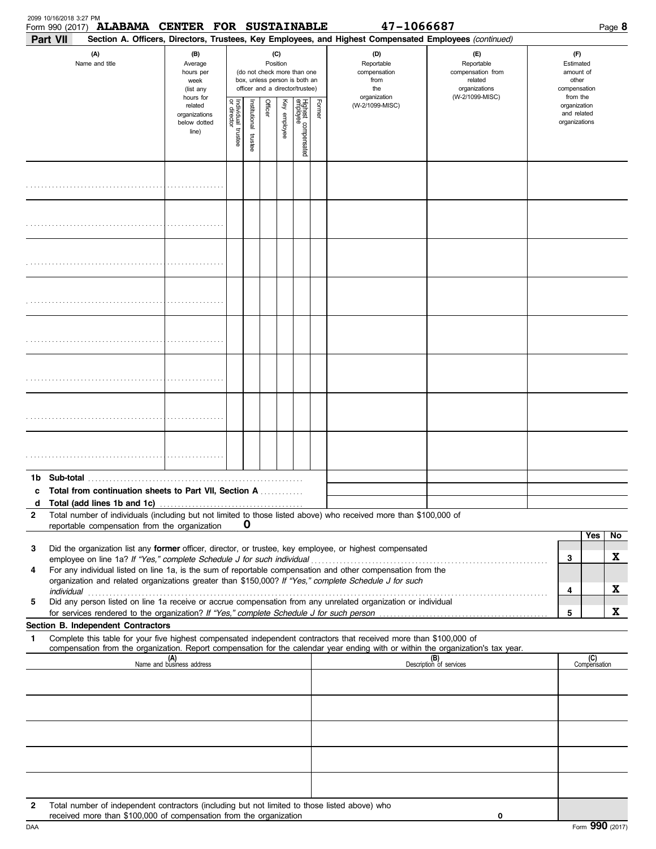| Form 990 (2017)<br>Part VII | ALABAMA CENTER FOR SUSTAINABLE                                                                                                                                      |                                                                |                                   |                          |                 |                                                                                                 |                                 |                                                                  | 47-1066687<br>Section A. Officers, Directors, Trustees, Key Employees, and Highest Compensated Employees (continued)                                                                                                                                   |                                                                    |  |                                              |                     | Page 8 |
|-----------------------------|---------------------------------------------------------------------------------------------------------------------------------------------------------------------|----------------------------------------------------------------|-----------------------------------|--------------------------|-----------------|-------------------------------------------------------------------------------------------------|---------------------------------|------------------------------------------------------------------|--------------------------------------------------------------------------------------------------------------------------------------------------------------------------------------------------------------------------------------------------------|--------------------------------------------------------------------|--|----------------------------------------------|---------------------|--------|
|                             | (A)<br>Name and title                                                                                                                                               | (B)<br>Average<br>hours per<br>week<br>(list any               |                                   |                          | (C)<br>Position | (do not check more than one<br>box, unless person is both an<br>officer and a director/trustee) |                                 | (D)<br>Reportable<br>compensation<br>from<br>the<br>organization | (F)<br>Reportable<br>compensation from<br>related<br>organizations<br>(W-2/1099-MISC)                                                                                                                                                                  | (F)<br>Estimated<br>amount of<br>other<br>compensation<br>from the |  |                                              |                     |        |
|                             |                                                                                                                                                                     | hours for<br>related<br>organizations<br>below dotted<br>line) | Individual trustee<br>or director | Institutional<br>trustee | Officer         | Key employee                                                                                    | Highest compensated<br>employee | Former                                                           | (W-2/1099-MISC)                                                                                                                                                                                                                                        |                                                                    |  | organization<br>and related<br>organizations |                     |        |
|                             |                                                                                                                                                                     |                                                                |                                   |                          |                 |                                                                                                 |                                 |                                                                  |                                                                                                                                                                                                                                                        |                                                                    |  |                                              |                     |        |
|                             |                                                                                                                                                                     |                                                                |                                   |                          |                 |                                                                                                 |                                 |                                                                  |                                                                                                                                                                                                                                                        |                                                                    |  |                                              |                     |        |
|                             |                                                                                                                                                                     |                                                                |                                   |                          |                 |                                                                                                 |                                 |                                                                  |                                                                                                                                                                                                                                                        |                                                                    |  |                                              |                     |        |
|                             |                                                                                                                                                                     |                                                                |                                   |                          |                 |                                                                                                 |                                 |                                                                  |                                                                                                                                                                                                                                                        |                                                                    |  |                                              |                     |        |
|                             |                                                                                                                                                                     |                                                                |                                   |                          |                 |                                                                                                 |                                 |                                                                  |                                                                                                                                                                                                                                                        |                                                                    |  |                                              |                     |        |
|                             |                                                                                                                                                                     |                                                                |                                   |                          |                 |                                                                                                 |                                 |                                                                  |                                                                                                                                                                                                                                                        |                                                                    |  |                                              |                     |        |
|                             |                                                                                                                                                                     |                                                                |                                   |                          |                 |                                                                                                 |                                 |                                                                  |                                                                                                                                                                                                                                                        |                                                                    |  |                                              |                     |        |
|                             |                                                                                                                                                                     |                                                                |                                   |                          |                 |                                                                                                 |                                 |                                                                  |                                                                                                                                                                                                                                                        |                                                                    |  |                                              |                     |        |
|                             | c Total from continuation sheets to Part VII, Section A                                                                                                             |                                                                |                                   |                          |                 |                                                                                                 |                                 |                                                                  |                                                                                                                                                                                                                                                        |                                                                    |  |                                              |                     |        |
| d                           |                                                                                                                                                                     |                                                                |                                   |                          |                 |                                                                                                 |                                 |                                                                  |                                                                                                                                                                                                                                                        |                                                                    |  |                                              |                     |        |
| $\mathbf{2}$                | reportable compensation from the organization                                                                                                                       |                                                                |                                   | O                        |                 |                                                                                                 |                                 |                                                                  | Total number of individuals (including but not limited to those listed above) who received more than \$100,000 of                                                                                                                                      |                                                                    |  |                                              |                     |        |
|                             |                                                                                                                                                                     |                                                                |                                   |                          |                 |                                                                                                 |                                 |                                                                  | Did the organization list any former officer, director, or trustee, key employee, or highest compensated                                                                                                                                               |                                                                    |  |                                              | Yes                 | No     |
| 3                           |                                                                                                                                                                     |                                                                |                                   |                          |                 |                                                                                                 |                                 |                                                                  |                                                                                                                                                                                                                                                        |                                                                    |  | 3                                            |                     | X      |
| 4                           |                                                                                                                                                                     |                                                                |                                   |                          |                 |                                                                                                 |                                 |                                                                  | For any individual listed on line 1a, is the sum of reportable compensation and other compensation from the<br>organization and related organizations greater than \$150,000? If "Yes," complete Schedule J for such                                   |                                                                    |  |                                              |                     |        |
|                             |                                                                                                                                                                     |                                                                |                                   |                          |                 |                                                                                                 |                                 |                                                                  |                                                                                                                                                                                                                                                        |                                                                    |  | 4                                            |                     | X      |
| 5                           | for services rendered to the organization? If "Yes," complete Schedule J for such person                                                                            |                                                                |                                   |                          |                 |                                                                                                 |                                 |                                                                  | Did any person listed on line 1a receive or accrue compensation from any unrelated organization or individual                                                                                                                                          |                                                                    |  | 5                                            |                     | X      |
|                             | Section B. Independent Contractors                                                                                                                                  |                                                                |                                   |                          |                 |                                                                                                 |                                 |                                                                  |                                                                                                                                                                                                                                                        |                                                                    |  |                                              |                     |        |
| 1                           |                                                                                                                                                                     |                                                                |                                   |                          |                 |                                                                                                 |                                 |                                                                  | Complete this table for your five highest compensated independent contractors that received more than \$100,000 of<br>compensation from the organization. Report compensation for the calendar year ending with or within the organization's tax year. |                                                                    |  |                                              |                     |        |
|                             |                                                                                                                                                                     | (A)<br>Name and business address                               |                                   |                          |                 |                                                                                                 |                                 |                                                                  |                                                                                                                                                                                                                                                        | (B)<br>Description of services                                     |  |                                              | (C)<br>Compensation |        |
|                             |                                                                                                                                                                     |                                                                |                                   |                          |                 |                                                                                                 |                                 |                                                                  |                                                                                                                                                                                                                                                        |                                                                    |  |                                              |                     |        |
|                             |                                                                                                                                                                     |                                                                |                                   |                          |                 |                                                                                                 |                                 |                                                                  |                                                                                                                                                                                                                                                        |                                                                    |  |                                              |                     |        |
|                             |                                                                                                                                                                     |                                                                |                                   |                          |                 |                                                                                                 |                                 |                                                                  |                                                                                                                                                                                                                                                        |                                                                    |  |                                              |                     |        |
|                             |                                                                                                                                                                     |                                                                |                                   |                          |                 |                                                                                                 |                                 |                                                                  |                                                                                                                                                                                                                                                        |                                                                    |  |                                              |                     |        |
|                             |                                                                                                                                                                     |                                                                |                                   |                          |                 |                                                                                                 |                                 |                                                                  |                                                                                                                                                                                                                                                        |                                                                    |  |                                              |                     |        |
| $\mathbf{2}$                | Total number of independent contractors (including but not limited to those listed above) who<br>received more than \$100,000 of compensation from the organization |                                                                |                                   |                          |                 |                                                                                                 |                                 |                                                                  |                                                                                                                                                                                                                                                        |                                                                    |  |                                              |                     |        |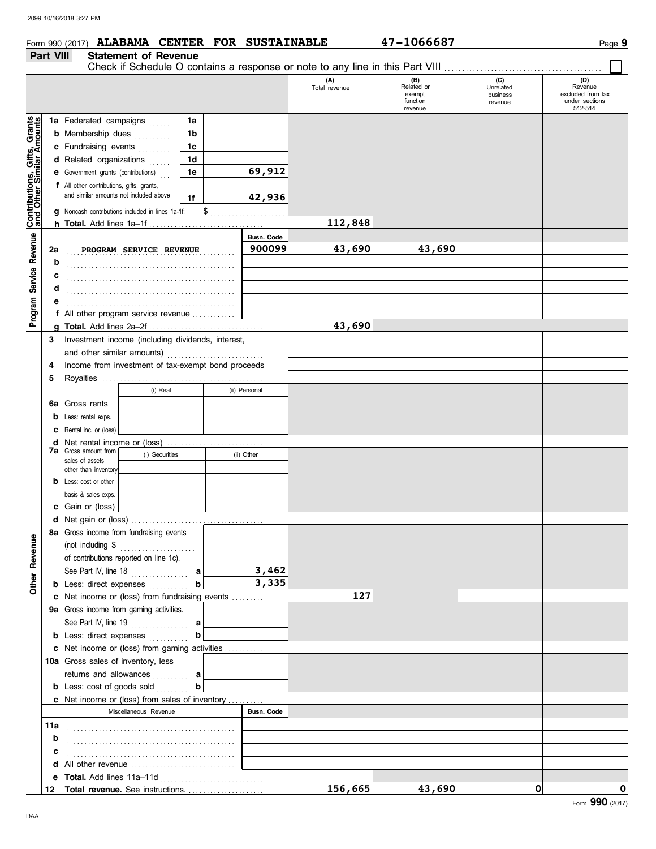|                  |                             |  | Form 990 (2017) ALABAMA CENTER FOR SUSTAINABLE | 47–1066687 |
|------------------|-----------------------------|--|------------------------------------------------|------------|
| <b>Part VIII</b> | <b>Statement of Revenue</b> |  |                                                |            |

Page 9

|                                                           |        |                                                                |                |                   | (A)<br>Total revenue | (B)<br>Related or<br>exempt<br>function<br>revenue | (C)<br>Unrelated<br>business<br>revenue | (D)<br>Revenue<br>excluded from tax<br>under sections<br>512-514 |
|-----------------------------------------------------------|--------|----------------------------------------------------------------|----------------|-------------------|----------------------|----------------------------------------------------|-----------------------------------------|------------------------------------------------------------------|
|                                                           |        | 1a Federated campaigns                                         | 1a             |                   |                      |                                                    |                                         |                                                                  |
| Contributions, Gifts, Grants<br>and Other Similar Amounts |        | <b>b</b> Membership dues                                       | 1b             |                   |                      |                                                    |                                         |                                                                  |
|                                                           |        | c Fundraising events                                           | 1c             |                   |                      |                                                    |                                         |                                                                  |
|                                                           |        | d Related organizations                                        | 1 <sub>d</sub> |                   |                      |                                                    |                                         |                                                                  |
|                                                           |        | e Government grants (contributions)                            | 1e             | 69,912            |                      |                                                    |                                         |                                                                  |
|                                                           |        | f All other contributions, gifts, grants,                      |                |                   |                      |                                                    |                                         |                                                                  |
|                                                           |        | and similar amounts not included above                         | 1f             | 42,936            |                      |                                                    |                                         |                                                                  |
|                                                           |        | g Noncash contributions included in lines 1a-1f:               |                |                   |                      |                                                    |                                         |                                                                  |
|                                                           |        |                                                                |                | $\frac{1}{2}$     | 112,848              |                                                    |                                         |                                                                  |
|                                                           |        | Busn. Code                                                     |                |                   |                      |                                                    |                                         |                                                                  |
| Program Service Revenue                                   | 2a     | PROGRAM SERVICE REVENUE                                        |                | 900099            | 43,690               | 43,690                                             |                                         |                                                                  |
|                                                           | b      |                                                                |                |                   |                      |                                                    |                                         |                                                                  |
|                                                           | с      |                                                                |                |                   |                      |                                                    |                                         |                                                                  |
|                                                           | d      |                                                                |                |                   |                      |                                                    |                                         |                                                                  |
|                                                           |        |                                                                |                |                   |                      |                                                    |                                         |                                                                  |
|                                                           |        |                                                                |                |                   |                      |                                                    |                                         |                                                                  |
|                                                           |        | f All other program service revenue                            |                |                   | 43,690               |                                                    |                                         |                                                                  |
|                                                           | 3      | Investment income (including dividends, interest,              |                |                   |                      |                                                    |                                         |                                                                  |
|                                                           |        |                                                                |                |                   |                      |                                                    |                                         |                                                                  |
|                                                           | 4      | Income from investment of tax-exempt bond proceeds             |                |                   |                      |                                                    |                                         |                                                                  |
|                                                           | 5      |                                                                |                |                   |                      |                                                    |                                         |                                                                  |
|                                                           |        | (i) Real                                                       |                | (ii) Personal     |                      |                                                    |                                         |                                                                  |
|                                                           | 6a     | Gross rents                                                    |                |                   |                      |                                                    |                                         |                                                                  |
|                                                           | b      | Less: rental exps.                                             |                |                   |                      |                                                    |                                         |                                                                  |
|                                                           |        | Rental inc. or (loss)                                          |                |                   |                      |                                                    |                                         |                                                                  |
|                                                           | с<br>d | Net rental income or (loss)                                    |                |                   |                      |                                                    |                                         |                                                                  |
|                                                           |        | <b>7a</b> Gross amount from<br>(i) Securities                  |                | (ii) Other        |                      |                                                    |                                         |                                                                  |
|                                                           |        | sales of assets                                                |                |                   |                      |                                                    |                                         |                                                                  |
|                                                           |        | other than inventory<br>Less: cost or other                    |                |                   |                      |                                                    |                                         |                                                                  |
|                                                           |        | basis & sales exps.                                            |                |                   |                      |                                                    |                                         |                                                                  |
|                                                           |        | c Gain or (loss)                                               |                |                   |                      |                                                    |                                         |                                                                  |
|                                                           | d      |                                                                |                |                   |                      |                                                    |                                         |                                                                  |
|                                                           |        | 8a Gross income from fundraising events                        |                |                   |                      |                                                    |                                         |                                                                  |
| Φ                                                         |        | (not including \$                                              |                |                   |                      |                                                    |                                         |                                                                  |
|                                                           |        | .<br>of contributions reported on line 1c).                    |                |                   |                      |                                                    |                                         |                                                                  |
| Other Revenu                                              |        |                                                                | a              | 3,462             |                      |                                                    |                                         |                                                                  |
|                                                           |        | See Part IV, line 18<br><b>b</b> Less: direct expenses         | b              | 3,335             |                      |                                                    |                                         |                                                                  |
|                                                           |        | c Net income or (loss) from fundraising events                 |                |                   | 127                  |                                                    |                                         |                                                                  |
|                                                           |        | 9a Gross income from gaming activities.                        |                |                   |                      |                                                    |                                         |                                                                  |
|                                                           |        | See Part IV, line 19 $\ldots$ a                                |                |                   |                      |                                                    |                                         |                                                                  |
|                                                           |        | <b>b</b> Less: direct expenses                                 | b              |                   |                      |                                                    |                                         |                                                                  |
|                                                           |        | c Net income or (loss) from gaming activities                  |                |                   |                      |                                                    |                                         |                                                                  |
|                                                           |        | 10a Gross sales of inventory, less                             |                |                   |                      |                                                    |                                         |                                                                  |
|                                                           |        | returns and allowances                                         | a              |                   |                      |                                                    |                                         |                                                                  |
|                                                           |        | <b>b</b> Less: cost of goods sold                              | b              |                   |                      |                                                    |                                         |                                                                  |
|                                                           |        | <b>c</b> Net income or (loss) from sales of inventory $\ldots$ |                |                   |                      |                                                    |                                         |                                                                  |
|                                                           |        | Miscellaneous Revenue                                          |                | <b>Busn. Code</b> |                      |                                                    |                                         |                                                                  |
|                                                           | 11a    |                                                                |                |                   |                      |                                                    |                                         |                                                                  |
|                                                           | b      |                                                                |                |                   |                      |                                                    |                                         |                                                                  |
|                                                           | с      |                                                                |                |                   |                      |                                                    |                                         |                                                                  |
|                                                           |        |                                                                |                |                   |                      |                                                    |                                         |                                                                  |
|                                                           |        |                                                                |                |                   |                      |                                                    |                                         |                                                                  |
|                                                           |        | 12 Total revenue. See instructions.                            |                |                   | 156,665              | 43,690                                             | 0                                       | 0                                                                |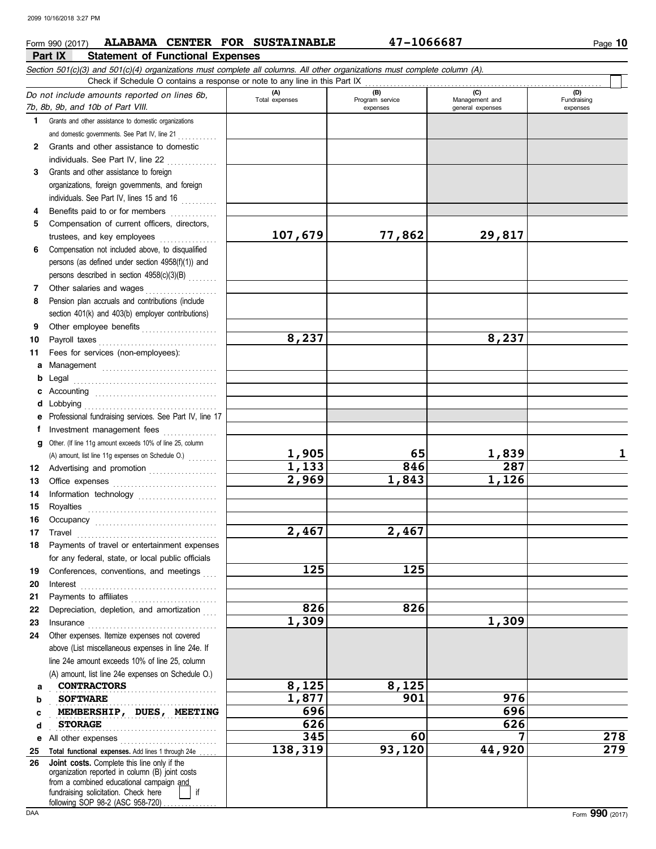### Form 990 (2017) ALABAMA CENTER FOR SUSTAINABLE 47-1066687 **Part IX Statement of Functional Expenses**

|          | Section 501(c)(3) and 501(c)(4) organizations must complete all columns. All other organizations must complete column (A).<br>Check if Schedule O contains a response or note to any line in this Part IX                    |                       |                             |                                    |                         |
|----------|------------------------------------------------------------------------------------------------------------------------------------------------------------------------------------------------------------------------------|-----------------------|-----------------------------|------------------------------------|-------------------------|
|          | Do not include amounts reported on lines 6b,                                                                                                                                                                                 | (A)                   | (B)                         | (C)                                | (D)                     |
|          | 7b, 8b, 9b, and 10b of Part VIII.                                                                                                                                                                                            | Total expenses        | Program service<br>expenses | Management and<br>general expenses | Fundraising<br>expenses |
| 1.       | Grants and other assistance to domestic organizations                                                                                                                                                                        |                       |                             |                                    |                         |
|          | and domestic governments. See Part IV, line 21                                                                                                                                                                               |                       |                             |                                    |                         |
|          | 2 Grants and other assistance to domestic                                                                                                                                                                                    |                       |                             |                                    |                         |
|          | individuals. See Part IV, line 22                                                                                                                                                                                            |                       |                             |                                    |                         |
| 3        | Grants and other assistance to foreign                                                                                                                                                                                       |                       |                             |                                    |                         |
|          | organizations, foreign governments, and foreign                                                                                                                                                                              |                       |                             |                                    |                         |
|          | individuals. See Part IV, lines 15 and 16                                                                                                                                                                                    |                       |                             |                                    |                         |
| 4        | Benefits paid to or for members                                                                                                                                                                                              |                       |                             |                                    |                         |
| 5        | Compensation of current officers, directors,                                                                                                                                                                                 |                       |                             |                                    |                         |
|          | trustees, and key employees                                                                                                                                                                                                  | 107,679               | 77,862                      | 29,817                             |                         |
| 6        | Compensation not included above, to disqualified                                                                                                                                                                             |                       |                             |                                    |                         |
|          | persons (as defined under section 4958(f)(1)) and                                                                                                                                                                            |                       |                             |                                    |                         |
|          | persons described in section 4958(c)(3)(B)                                                                                                                                                                                   |                       |                             |                                    |                         |
| 7        | Other salaries and wages                                                                                                                                                                                                     |                       |                             |                                    |                         |
| 8        | Pension plan accruals and contributions (include                                                                                                                                                                             |                       |                             |                                    |                         |
|          | section 401(k) and 403(b) employer contributions)                                                                                                                                                                            |                       |                             |                                    |                         |
| 9<br>10  | Other employee benefits<br>Payroll taxes                                                                                                                                                                                     | 8,237                 |                             | 8,237                              |                         |
| 11       | Fees for services (non-employees):                                                                                                                                                                                           |                       |                             |                                    |                         |
| а        |                                                                                                                                                                                                                              |                       |                             |                                    |                         |
| b        | Legal                                                                                                                                                                                                                        |                       |                             |                                    |                         |
| с        |                                                                                                                                                                                                                              |                       |                             |                                    |                         |
| d        | Lobbying                                                                                                                                                                                                                     |                       |                             |                                    |                         |
|          | Professional fundraising services. See Part IV, line 17                                                                                                                                                                      |                       |                             |                                    |                         |
| f        | Investment management fees                                                                                                                                                                                                   |                       |                             |                                    |                         |
| q        | Other. (If line 11g amount exceeds 10% of line 25, column                                                                                                                                                                    |                       |                             |                                    |                         |
|          | (A) amount, list line 11g expenses on Schedule O.)                                                                                                                                                                           |                       | 65                          | 1,839                              |                         |
|          | 12 Advertising and promotion                                                                                                                                                                                                 | $\frac{1,905}{1,133}$ | 846                         | $\overline{287}$                   |                         |
| 13       |                                                                                                                                                                                                                              | 2,969                 | 1,843                       | 1,126                              |                         |
| 14       |                                                                                                                                                                                                                              |                       |                             |                                    |                         |
| 15       | Royalties                                                                                                                                                                                                                    |                       |                             |                                    |                         |
| 16       |                                                                                                                                                                                                                              |                       |                             |                                    |                         |
| 17       | Travel                                                                                                                                                                                                                       | 2,467                 | 2,467                       |                                    |                         |
| 18       | Payments of travel or entertainment expenses                                                                                                                                                                                 |                       |                             |                                    |                         |
|          | for any federal, state, or local public officials                                                                                                                                                                            |                       |                             |                                    |                         |
| 19       | Conferences, conventions, and meetings                                                                                                                                                                                       | 125                   | 125                         |                                    |                         |
| 20       | Interest                                                                                                                                                                                                                     |                       |                             |                                    |                         |
| 21       | Depreciation, depletion, and amortization                                                                                                                                                                                    | 826                   | 826                         |                                    |                         |
| 22<br>23 |                                                                                                                                                                                                                              | 1,309                 |                             | 1,309                              |                         |
| 24       | Insurance<br>Other expenses. Itemize expenses not covered                                                                                                                                                                    |                       |                             |                                    |                         |
|          | above (List miscellaneous expenses in line 24e. If                                                                                                                                                                           |                       |                             |                                    |                         |
|          | line 24e amount exceeds 10% of line 25, column                                                                                                                                                                               |                       |                             |                                    |                         |
|          | (A) amount, list line 24e expenses on Schedule O.)                                                                                                                                                                           |                       |                             |                                    |                         |
| a        | <b>CONTRACTORS</b>                                                                                                                                                                                                           | 8,125                 | 8,125                       |                                    |                         |
| b        | <b>SOFTWARE</b>                                                                                                                                                                                                              | 1,877                 | 901                         | 976                                |                         |
| c        | MEMBERSHIP, DUES, MEETING                                                                                                                                                                                                    | 696                   |                             | 696                                |                         |
| d        | <b>STORAGE</b>                                                                                                                                                                                                               | 626                   |                             | 626                                |                         |
|          | e All other expenses                                                                                                                                                                                                         | 345                   | 60                          |                                    | 278                     |
| 25       | Total functional expenses. Add lines 1 through 24e                                                                                                                                                                           | 138,319               | 93,120                      | 44,920                             | $\overline{279}$        |
| 26       | Joint costs. Complete this line only if the<br>organization reported in column (B) joint costs<br>from a combined educational campaign and<br>fundraising solicitation. Check here<br>if<br>following SOP 98-2 (ASC 958-720) |                       |                             |                                    |                         |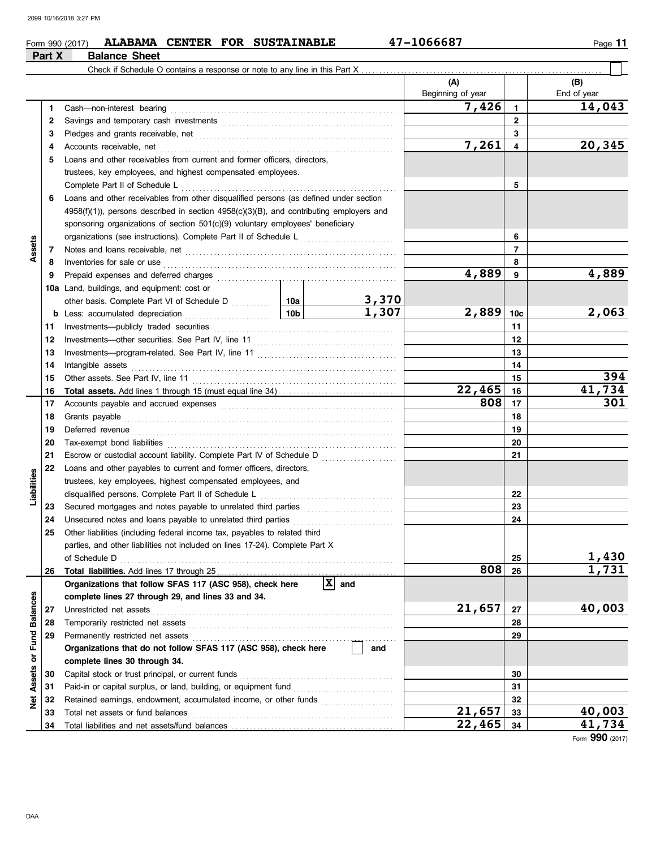| ∽ane |  |  |
|------|--|--|
|------|--|--|

### 47-1066687 ALABAMA CENTER FOR SUSTAINABLE Form 990 (2017) Part X **Balance Sheet** Check if Schedule O contains a response or note to any line in this Part X  $(A)$  $(B)$ Beginning of year End of year 7,426 14,043  $\mathbf{1}$  $\mathbf{1}$  $\overline{2}$  $2^{\circ}$  $3<sup>1</sup>$ Pledges and grants receivable, net entertainment contains and grants received and  $\mathbf{3}$ 7,261 20,345  $\overline{\mathbf{4}}$  $\overline{4}$ 5 Loans and other receivables from current and former officers, directors, trustees, key employees, and highest compensated employees. 5 6 Loans and other receivables from other disqualified persons (as defined under section 4958(f)(1)), persons described in section 4958(c)(3)(B), and contributing employers and sponsoring organizations of section 501(c)(9) voluntary employees' beneficiary organizations (see instructions). Complete Part II of Schedule L  $\bf 6$ Assets Notes and loans receivable, net **construction and construction** and loans receivable, net  $\overline{7}$  $\overline{7}$ Inventories for sale or use *communication* and the contract of the contract of the contract of the contract of the contract of the contract of the contract of the contract of the contract of the contract of the contract o 8 8 4,889 4,889 Prepaid expenses and deferred charges  $\mathbf{q}$ q 10a Land, buildings, and equipment: cost or other basis. Complete Part VI of Schedule D 3,370  $|10a|$ 2,889 1,307 2,063  $|10b|$  $10<sub>c</sub>$  $11$  $11$  $12$  $12<sup>2</sup>$  $13$ 13  $14$ Intangible assets with a control of the control of the control of the control of the control of the control of the control of the control of the control of the control of the control of the control of the control of the co 14 394 15  $15$  $22,465$ 41,734 16 16 808 301 Accounts payable and accrued expenses [11] [11] Accounts and accrued expenses [11] Accounts payable and accrued expenses  $17$  $17$ 18 18 19 Deferred revenue **contract and the contract of the contract of the contract of the contract of the contract of the contract of the contract of the contract of the contract of the contract of the contract of the contract of** 19 20 20 Escrow or custodial account liability. Complete Part IV of Schedule D  $21$  $21$  $22$ Loans and other payables to current and former officers, directors, Liabilities trustees, key employees, highest compensated employees, and  $22$ 23 23 Unsecured notes and loans payable to unrelated third parties  $24$ 24 25 Other liabilities (including federal income tax, payables to related third parties, and other liabilities not included on lines 17-24). Complete Part X 1,430 of Schedule D 25 808 26 26 1,731 Total liabilities. Add lines 17 through 25  $\overline{X}$  and Organizations that follow SFAS 117 (ASC 958), check here **Balances** complete lines 27 through 29, and lines 33 and 34. 21,657 40,003 27 27 Temporarily restricted net assets with a state of the state of the state of the state of the state of the state of the state of the state of the state of the state of the state of the state of the state of the state of the 28 28 **Net Assets or Fund** 29 Permanently restricted net assets [11] results and response to response the results of the results of the results of the results of the results of the results of the results of the results of the results of the results of 29  $\Box$  and Organizations that do not follow SFAS 117 (ASC 958), check here complete lines 30 through 34. 30 30 31 Paid-in or capital surplus, or land, building, or equipment fund  $31$ 32 32 21,657 40,003 33 33 22,465 41,734 34 Total liabilities and net assets/fund balances ............................ 34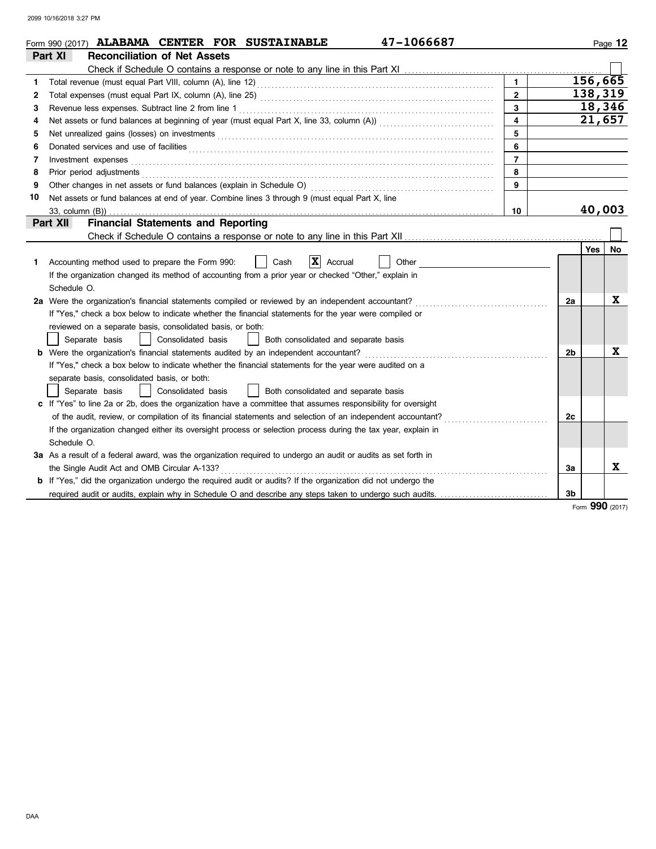|    | 47-1066687<br>Form 990 (2017) ALABAMA CENTER FOR SUSTAINABLE                                                                  |                         |    |     | Page 12  |
|----|-------------------------------------------------------------------------------------------------------------------------------|-------------------------|----|-----|----------|
|    | <b>Reconciliation of Net Assets</b><br>Part XI                                                                                |                         |    |     |          |
|    |                                                                                                                               |                         |    |     |          |
| 1  |                                                                                                                               | $\mathbf{1}$            |    |     | 156, 665 |
| 2  |                                                                                                                               | $\overline{2}$          |    |     | 138,319  |
| 3  | Revenue less expenses. Subtract line 2 from line 1                                                                            | $\overline{3}$          |    |     | 18,346   |
| 4  |                                                                                                                               | $\overline{\mathbf{4}}$ |    |     | 21,657   |
| 5  |                                                                                                                               | 5                       |    |     |          |
| 6  | Donated services and use of facilities <b>constructs</b> and the service of the service of the services and use of facilities | 6                       |    |     |          |
| 7  | Investment expenses <b>contract and the expenses</b>                                                                          | $\overline{7}$          |    |     |          |
| 8  | Prior period adjustments entertainments and a statement of the statement of the statement of the statement of                 | 8                       |    |     |          |
| 9  |                                                                                                                               | 9                       |    |     |          |
| 10 | Net assets or fund balances at end of year. Combine lines 3 through 9 (must equal Part X, line                                |                         |    |     |          |
|    | 33, column (B))                                                                                                               | 10                      |    |     | 40,003   |
|    | <b>Financial Statements and Reporting</b><br>Part XII                                                                         |                         |    |     |          |
|    |                                                                                                                               |                         |    |     |          |
|    |                                                                                                                               |                         |    | Yes | No       |
| 1  | $ \mathbf{X} $<br>Accounting method used to prepare the Form 990:<br>Cash<br>Accrual<br>Other                                 |                         |    |     |          |
|    | If the organization changed its method of accounting from a prior year or checked "Other," explain in                         |                         |    |     |          |
|    | Schedule O.                                                                                                                   |                         |    |     |          |
|    | 2a Were the organization's financial statements compiled or reviewed by an independent accountant?                            |                         | 2a |     | x        |
|    | If "Yes," check a box below to indicate whether the financial statements for the year were compiled or                        |                         |    |     |          |
|    | reviewed on a separate basis, consolidated basis, or both:                                                                    |                         |    |     |          |
|    | Separate basis<br>Consolidated basis<br>Both consolidated and separate basis                                                  |                         |    |     |          |
|    | <b>b</b> Were the organization's financial statements audited by an independent accountant?                                   |                         | 2b |     | x        |
|    | If "Yes," check a box below to indicate whether the financial statements for the year were audited on a                       |                         |    |     |          |
|    | separate basis, consolidated basis, or both:                                                                                  |                         |    |     |          |
|    | Separate basis<br>Consolidated basis<br>Both consolidated and separate basis                                                  |                         |    |     |          |
|    | c If "Yes" to line 2a or 2b, does the organization have a committee that assumes responsibility for oversight                 |                         |    |     |          |
|    | of the audit, review, or compilation of its financial statements and selection of an independent accountant?                  |                         | 2c |     |          |
|    | If the organization changed either its oversight process or selection process during the tax year, explain in                 |                         |    |     |          |
|    | Schedule O.                                                                                                                   |                         |    |     |          |
|    | 3a As a result of a federal award, was the organization required to undergo an audit or audits as set forth in                |                         |    |     |          |
|    | the Single Audit Act and OMB Circular A-133?                                                                                  |                         | За |     | X        |
|    | b If "Yes," did the organization undergo the required audit or audits? If the organization did not undergo the                |                         |    |     |          |
|    | required audit or audits, explain why in Schedule O and describe any steps taken to undergo such audits.                      |                         | 3b |     |          |

Form 990 (2017)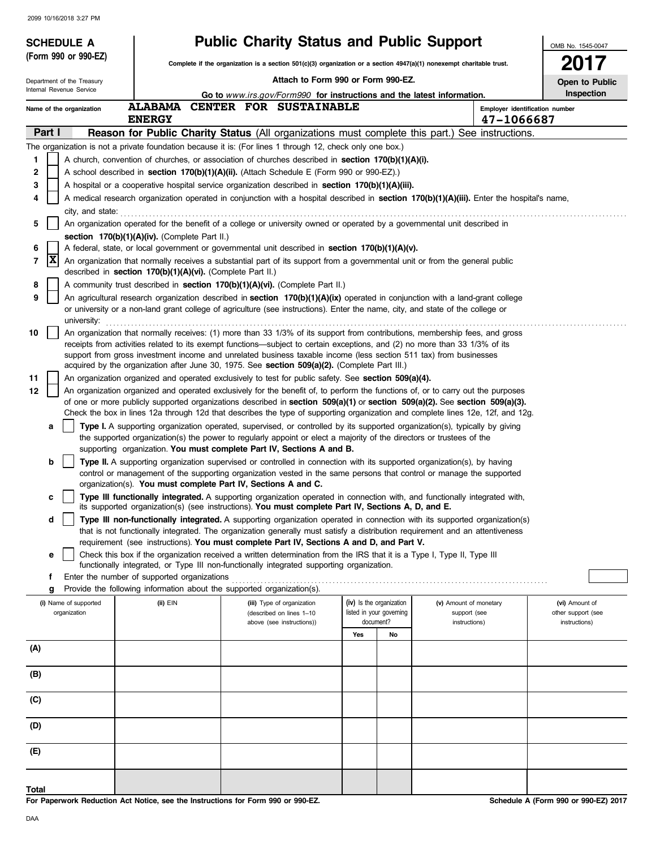| <b>SCHEDULE A</b>                                                                        |                                                                                                                                  | <b>Public Charity Status and Public Support</b>                                                                                                                                                                                                                 |                          |                                                                                                                                                                                                                                                                        | OMB No. 1545-0047                    |  |  |  |
|------------------------------------------------------------------------------------------|----------------------------------------------------------------------------------------------------------------------------------|-----------------------------------------------------------------------------------------------------------------------------------------------------------------------------------------------------------------------------------------------------------------|--------------------------|------------------------------------------------------------------------------------------------------------------------------------------------------------------------------------------------------------------------------------------------------------------------|--------------------------------------|--|--|--|
| (Form 990 or 990-EZ)                                                                     | 2017<br>Complete if the organization is a section $501(c)(3)$ organization or a section $4947(a)(1)$ nonexempt charitable trust. |                                                                                                                                                                                                                                                                 |                          |                                                                                                                                                                                                                                                                        |                                      |  |  |  |
| Department of the Treasury                                                               |                                                                                                                                  | Attach to Form 990 or Form 990-EZ.                                                                                                                                                                                                                              | Open to Public           |                                                                                                                                                                                                                                                                        |                                      |  |  |  |
| Internal Revenue Service                                                                 |                                                                                                                                  | Go to www.irs.gov/Form990 for instructions and the latest information.                                                                                                                                                                                          |                          |                                                                                                                                                                                                                                                                        | Inspection                           |  |  |  |
| Name of the organization                                                                 | <b>ALABAMA</b><br><b>ENERGY</b>                                                                                                  | <b>CENTER FOR SUSTAINABLE</b>                                                                                                                                                                                                                                   |                          | 47–1066687                                                                                                                                                                                                                                                             | Employer identification number       |  |  |  |
| Part I                                                                                   |                                                                                                                                  |                                                                                                                                                                                                                                                                 |                          | <b>Reason for Public Charity Status (All organizations must complete this part.) See instructions.</b>                                                                                                                                                                 |                                      |  |  |  |
|                                                                                          |                                                                                                                                  | The organization is not a private foundation because it is: (For lines 1 through 12, check only one box.)                                                                                                                                                       |                          |                                                                                                                                                                                                                                                                        |                                      |  |  |  |
| 1                                                                                        |                                                                                                                                  | A church, convention of churches, or association of churches described in section 170(b)(1)(A)(i).                                                                                                                                                              |                          |                                                                                                                                                                                                                                                                        |                                      |  |  |  |
| 2<br>3                                                                                   |                                                                                                                                  | A school described in <b>section 170(b)(1)(A)(ii).</b> (Attach Schedule E (Form 990 or 990-EZ).)<br>A hospital or a cooperative hospital service organization described in section $170(b)(1)(A)(iii)$ .                                                        |                          |                                                                                                                                                                                                                                                                        |                                      |  |  |  |
| 4                                                                                        |                                                                                                                                  |                                                                                                                                                                                                                                                                 |                          | A medical research organization operated in conjunction with a hospital described in section 170(b)(1)(A)(iii). Enter the hospital's name,                                                                                                                             |                                      |  |  |  |
| city, and state:                                                                         |                                                                                                                                  |                                                                                                                                                                                                                                                                 |                          |                                                                                                                                                                                                                                                                        |                                      |  |  |  |
| 5                                                                                        |                                                                                                                                  | An organization operated for the benefit of a college or university owned or operated by a governmental unit described in                                                                                                                                       |                          |                                                                                                                                                                                                                                                                        |                                      |  |  |  |
|                                                                                          | section 170(b)(1)(A)(iv). (Complete Part II.)                                                                                    |                                                                                                                                                                                                                                                                 |                          |                                                                                                                                                                                                                                                                        |                                      |  |  |  |
| 6<br>X                                                                                   |                                                                                                                                  | A federal, state, or local government or governmental unit described in section 170(b)(1)(A)(v).                                                                                                                                                                |                          |                                                                                                                                                                                                                                                                        |                                      |  |  |  |
| 7                                                                                        | described in section 170(b)(1)(A)(vi). (Complete Part II.)                                                                       | An organization that normally receives a substantial part of its support from a governmental unit or from the general public                                                                                                                                    |                          |                                                                                                                                                                                                                                                                        |                                      |  |  |  |
| 8                                                                                        |                                                                                                                                  | A community trust described in section 170(b)(1)(A)(vi). (Complete Part II.)                                                                                                                                                                                    |                          |                                                                                                                                                                                                                                                                        |                                      |  |  |  |
| 9<br>university:                                                                         |                                                                                                                                  | An agricultural research organization described in section 170(b)(1)(A)(ix) operated in conjunction with a land-grant college<br>or university or a non-land grant college of agriculture (see instructions). Enter the name, city, and state of the college or |                          |                                                                                                                                                                                                                                                                        |                                      |  |  |  |
| 10                                                                                       |                                                                                                                                  | An organization that normally receives: (1) more than 33 1/3% of its support from contributions, membership fees, and gross                                                                                                                                     |                          |                                                                                                                                                                                                                                                                        |                                      |  |  |  |
|                                                                                          |                                                                                                                                  | receipts from activities related to its exempt functions—subject to certain exceptions, and (2) no more than 33 1/3% of its<br>support from gross investment income and unrelated business taxable income (less section 511 tax) from businesses                |                          |                                                                                                                                                                                                                                                                        |                                      |  |  |  |
|                                                                                          |                                                                                                                                  | acquired by the organization after June 30, 1975. See section 509(a)(2). (Complete Part III.)                                                                                                                                                                   |                          |                                                                                                                                                                                                                                                                        |                                      |  |  |  |
| 11                                                                                       |                                                                                                                                  | An organization organized and operated exclusively to test for public safety. See section 509(a)(4).                                                                                                                                                            |                          |                                                                                                                                                                                                                                                                        |                                      |  |  |  |
| 12                                                                                       |                                                                                                                                  |                                                                                                                                                                                                                                                                 |                          | An organization organized and operated exclusively for the benefit of, to perform the functions of, or to carry out the purposes                                                                                                                                       |                                      |  |  |  |
|                                                                                          |                                                                                                                                  |                                                                                                                                                                                                                                                                 |                          | of one or more publicly supported organizations described in section $509(a)(1)$ or section $509(a)(2)$ . See section $509(a)(3)$ .<br>Check the box in lines 12a through 12d that describes the type of supporting organization and complete lines 12e, 12f, and 12g. |                                      |  |  |  |
| a                                                                                        |                                                                                                                                  | Type I. A supporting organization operated, supervised, or controlled by its supported organization(s), typically by giving                                                                                                                                     |                          |                                                                                                                                                                                                                                                                        |                                      |  |  |  |
|                                                                                          |                                                                                                                                  | the supported organization(s) the power to regularly appoint or elect a majority of the directors or trustees of the                                                                                                                                            |                          |                                                                                                                                                                                                                                                                        |                                      |  |  |  |
|                                                                                          |                                                                                                                                  | supporting organization. You must complete Part IV, Sections A and B.                                                                                                                                                                                           |                          |                                                                                                                                                                                                                                                                        |                                      |  |  |  |
| b                                                                                        |                                                                                                                                  | Type II. A supporting organization supervised or controlled in connection with its supported organization(s), by having<br>control or management of the supporting organization vested in the same persons that control or manage the supported                 |                          |                                                                                                                                                                                                                                                                        |                                      |  |  |  |
|                                                                                          |                                                                                                                                  | organization(s). You must complete Part IV, Sections A and C.                                                                                                                                                                                                   |                          |                                                                                                                                                                                                                                                                        |                                      |  |  |  |
| c                                                                                        |                                                                                                                                  | its supported organization(s) (see instructions). You must complete Part IV, Sections A, D, and E.                                                                                                                                                              |                          | Type III functionally integrated. A supporting organization operated in connection with, and functionally integrated with,                                                                                                                                             |                                      |  |  |  |
| d                                                                                        |                                                                                                                                  |                                                                                                                                                                                                                                                                 |                          | Type III non-functionally integrated. A supporting organization operated in connection with its supported organization(s)                                                                                                                                              |                                      |  |  |  |
|                                                                                          |                                                                                                                                  | that is not functionally integrated. The organization generally must satisfy a distribution requirement and an attentiveness<br>requirement (see instructions). You must complete Part IV, Sections A and D, and Part V.                                        |                          |                                                                                                                                                                                                                                                                        |                                      |  |  |  |
| е                                                                                        |                                                                                                                                  | Check this box if the organization received a written determination from the IRS that it is a Type I, Type II, Type III                                                                                                                                         |                          |                                                                                                                                                                                                                                                                        |                                      |  |  |  |
|                                                                                          |                                                                                                                                  | functionally integrated, or Type III non-functionally integrated supporting organization.                                                                                                                                                                       |                          |                                                                                                                                                                                                                                                                        |                                      |  |  |  |
| f                                                                                        | Enter the number of supported organizations                                                                                      |                                                                                                                                                                                                                                                                 |                          |                                                                                                                                                                                                                                                                        |                                      |  |  |  |
| g<br>(i) Name of supported                                                               | $(ii)$ $EIN$                                                                                                                     | Provide the following information about the supported organization(s).<br>(iii) Type of organization                                                                                                                                                            | (iv) Is the organization | (v) Amount of monetary                                                                                                                                                                                                                                                 | (vi) Amount of                       |  |  |  |
| organization                                                                             |                                                                                                                                  | (described on lines 1-10                                                                                                                                                                                                                                        | listed in your governing | support (see                                                                                                                                                                                                                                                           | other support (see                   |  |  |  |
|                                                                                          |                                                                                                                                  | above (see instructions))                                                                                                                                                                                                                                       | document?                | instructions)                                                                                                                                                                                                                                                          | instructions)                        |  |  |  |
| (A)                                                                                      |                                                                                                                                  |                                                                                                                                                                                                                                                                 | Yes<br>No                |                                                                                                                                                                                                                                                                        |                                      |  |  |  |
|                                                                                          |                                                                                                                                  |                                                                                                                                                                                                                                                                 |                          |                                                                                                                                                                                                                                                                        |                                      |  |  |  |
| (B)                                                                                      |                                                                                                                                  |                                                                                                                                                                                                                                                                 |                          |                                                                                                                                                                                                                                                                        |                                      |  |  |  |
| (C)                                                                                      |                                                                                                                                  |                                                                                                                                                                                                                                                                 |                          |                                                                                                                                                                                                                                                                        |                                      |  |  |  |
| (D)                                                                                      |                                                                                                                                  |                                                                                                                                                                                                                                                                 |                          |                                                                                                                                                                                                                                                                        |                                      |  |  |  |
| (E)                                                                                      |                                                                                                                                  |                                                                                                                                                                                                                                                                 |                          |                                                                                                                                                                                                                                                                        |                                      |  |  |  |
|                                                                                          |                                                                                                                                  |                                                                                                                                                                                                                                                                 |                          |                                                                                                                                                                                                                                                                        |                                      |  |  |  |
|                                                                                          |                                                                                                                                  |                                                                                                                                                                                                                                                                 |                          |                                                                                                                                                                                                                                                                        |                                      |  |  |  |
| Total<br>For Panerwork Reduction Act Notice, see the Instructions for Form 990 or 990-FZ |                                                                                                                                  |                                                                                                                                                                                                                                                                 |                          |                                                                                                                                                                                                                                                                        | Schedule A (Form 990 or 990-F7) 2017 |  |  |  |

tions for Form 990 or 990 aŗ e,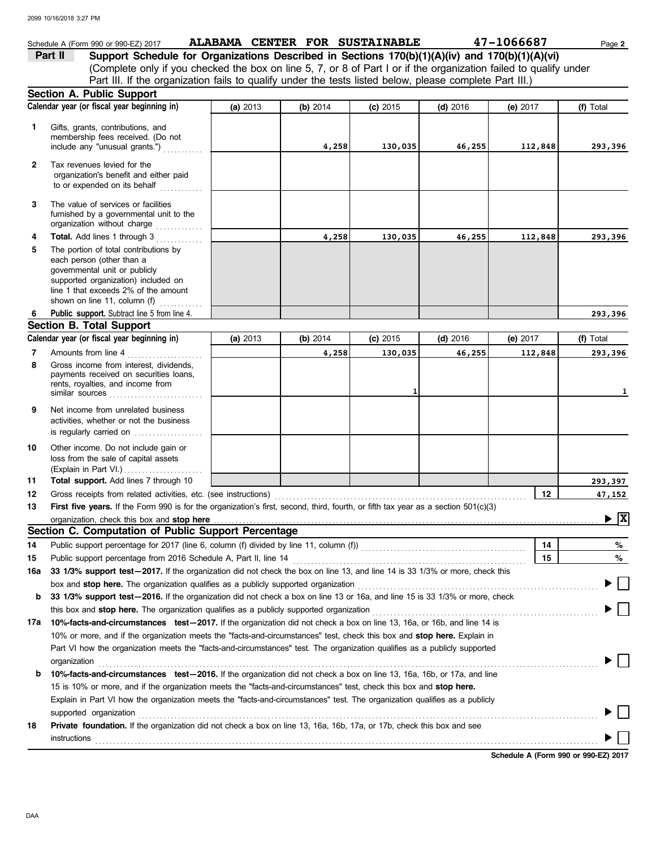|              | Schedule A (Form 990 or 990-EZ) 2017                                                                                                                                                                                                                                                  |          | ALABAMA CENTER FOR SUSTAINABLE |            |            | 47-1066687 | Page 2                             |
|--------------|---------------------------------------------------------------------------------------------------------------------------------------------------------------------------------------------------------------------------------------------------------------------------------------|----------|--------------------------------|------------|------------|------------|------------------------------------|
|              | Support Schedule for Organizations Described in Sections 170(b)(1)(A)(iv) and 170(b)(1)(A)(vi)<br>Part II                                                                                                                                                                             |          |                                |            |            |            |                                    |
|              | (Complete only if you checked the box on line 5, 7, or 8 of Part I or if the organization failed to qualify under                                                                                                                                                                     |          |                                |            |            |            |                                    |
|              | Part III. If the organization fails to qualify under the tests listed below, please complete Part III.)                                                                                                                                                                               |          |                                |            |            |            |                                    |
|              | <b>Section A. Public Support</b>                                                                                                                                                                                                                                                      |          |                                |            |            |            |                                    |
|              | Calendar year (or fiscal year beginning in)                                                                                                                                                                                                                                           | (a) 2013 | (b) 2014                       | $(c)$ 2015 | $(d)$ 2016 | (e) 2017   | (f) Total                          |
| 1.           | Gifts, grants, contributions, and                                                                                                                                                                                                                                                     |          |                                |            |            |            |                                    |
|              | membership fees received. (Do not                                                                                                                                                                                                                                                     |          |                                |            |            |            |                                    |
|              | include any "unusual grants.")                                                                                                                                                                                                                                                        |          | 4,258                          | 130,035    | 46,255     | 112,848    | 293,396                            |
| $\mathbf{2}$ | Tax revenues levied for the                                                                                                                                                                                                                                                           |          |                                |            |            |            |                                    |
|              | organization's benefit and either paid                                                                                                                                                                                                                                                |          |                                |            |            |            |                                    |
|              | to or expended on its behalf                                                                                                                                                                                                                                                          |          |                                |            |            |            |                                    |
| 3            | The value of services or facilities                                                                                                                                                                                                                                                   |          |                                |            |            |            |                                    |
|              | furnished by a governmental unit to the                                                                                                                                                                                                                                               |          |                                |            |            |            |                                    |
|              | organization without charge<br><u>.</u>                                                                                                                                                                                                                                               |          |                                |            |            |            |                                    |
| 4            | Total. Add lines 1 through 3                                                                                                                                                                                                                                                          |          | 4,258                          | 130,035    | 46,255     | 112,848    | 293,396                            |
| 5            | The portion of total contributions by<br>each person (other than a                                                                                                                                                                                                                    |          |                                |            |            |            |                                    |
|              | governmental unit or publicly                                                                                                                                                                                                                                                         |          |                                |            |            |            |                                    |
|              | supported organization) included on                                                                                                                                                                                                                                                   |          |                                |            |            |            |                                    |
|              | line 1 that exceeds 2% of the amount<br>shown on line 11, column (f)                                                                                                                                                                                                                  |          |                                |            |            |            |                                    |
| 6            | Public support. Subtract line 5 from line 4.                                                                                                                                                                                                                                          |          |                                |            |            |            | 293,396                            |
|              | <b>Section B. Total Support</b>                                                                                                                                                                                                                                                       |          |                                |            |            |            |                                    |
|              | Calendar year (or fiscal year beginning in)                                                                                                                                                                                                                                           | (a) 2013 | (b) 2014                       | $(c)$ 2015 | $(d)$ 2016 | (e) 2017   | (f) Total                          |
| 7            | Amounts from line 4                                                                                                                                                                                                                                                                   |          | 4,258                          | 130,035    | 46,255     | 112,848    | 293,396                            |
| 8            | Gross income from interest, dividends,                                                                                                                                                                                                                                                |          |                                |            |            |            |                                    |
|              | payments received on securities loans,                                                                                                                                                                                                                                                |          |                                |            |            |            |                                    |
|              | rents, royalties, and income from<br>similar sources                                                                                                                                                                                                                                  |          |                                |            |            |            | 1                                  |
|              |                                                                                                                                                                                                                                                                                       |          |                                |            |            |            |                                    |
| 9            | Net income from unrelated business<br>activities, whether or not the business                                                                                                                                                                                                         |          |                                |            |            |            |                                    |
|              | is regularly carried on $\ldots$ , $\ldots$                                                                                                                                                                                                                                           |          |                                |            |            |            |                                    |
| 10           | Other income. Do not include gain or                                                                                                                                                                                                                                                  |          |                                |            |            |            |                                    |
|              | loss from the sale of capital assets                                                                                                                                                                                                                                                  |          |                                |            |            |            |                                    |
|              |                                                                                                                                                                                                                                                                                       |          |                                |            |            |            |                                    |
| 11           | Total support. Add lines 7 through 10                                                                                                                                                                                                                                                 |          |                                |            |            |            | 293,397                            |
| 12           | Gross receipts from related activities, etc. (see instructions)                                                                                                                                                                                                                       |          |                                |            |            | 12         | 47,152                             |
|              | First five years. If the Form 990 is for the organization's first, second, third, fourth, or fifth tax year as a section 501(c)(3)                                                                                                                                                    |          |                                |            |            |            |                                    |
|              | organization, check this box and stop here manufactured and content to the state of the state of the state of the state of the state of the state of the state of the state of the state of the state of the state of the stat<br>Section C. Computation of Public Support Percentage |          |                                |            |            |            | $\blacktriangleright \overline{X}$ |
| 14           | Public support percentage for 2017 (line 6, column (f) divided by line 11, column (f)) [[[[[[[[[[[[[[[[[[[[[[                                                                                                                                                                         |          |                                |            |            | 14         | %                                  |
| 15           | Public support percentage from 2016 Schedule A, Part II, line 14                                                                                                                                                                                                                      |          |                                |            |            | 15         | %                                  |
| 16a          | 33 1/3% support test-2017. If the organization did not check the box on line 13, and line 14 is 33 1/3% or more, check this                                                                                                                                                           |          |                                |            |            |            |                                    |
|              | box and stop here. The organization qualifies as a publicly supported organization                                                                                                                                                                                                    |          |                                |            |            |            |                                    |
| b            | 33 1/3% support test-2016. If the organization did not check a box on line 13 or 16a, and line 15 is 33 1/3% or more, check                                                                                                                                                           |          |                                |            |            |            |                                    |
|              | this box and <b>stop here.</b> The organization qualifies as a publicly supported organization                                                                                                                                                                                        |          |                                |            |            |            |                                    |
|              | 17a 10%-facts-and-circumstances test-2017. If the organization did not check a box on line 13, 16a, or 16b, and line 14 is                                                                                                                                                            |          |                                |            |            |            |                                    |
|              | 10% or more, and if the organization meets the "facts-and-circumstances" test, check this box and stop here. Explain in                                                                                                                                                               |          |                                |            |            |            |                                    |
|              | Part VI how the organization meets the "facts-and-circumstances" test. The organization qualifies as a publicly supported                                                                                                                                                             |          |                                |            |            |            |                                    |
|              | organization                                                                                                                                                                                                                                                                          |          |                                |            |            |            |                                    |
| b            | 10%-facts-and-circumstances test-2016. If the organization did not check a box on line 13, 16a, 16b, or 17a, and line                                                                                                                                                                 |          |                                |            |            |            |                                    |
|              | 15 is 10% or more, and if the organization meets the "facts-and-circumstances" test, check this box and stop here.                                                                                                                                                                    |          |                                |            |            |            |                                    |
|              | Explain in Part VI how the organization meets the "facts-and-circumstances" test. The organization qualifies as a publicly                                                                                                                                                            |          |                                |            |            |            |                                    |
|              | supported organization                                                                                                                                                                                                                                                                |          |                                |            |            |            |                                    |
| 18           | Private foundation. If the organization did not check a box on line 13, 16a, 16b, 17a, or 17b, check this box and see                                                                                                                                                                 |          |                                |            |            |            |                                    |
|              | instructions                                                                                                                                                                                                                                                                          |          |                                |            |            |            |                                    |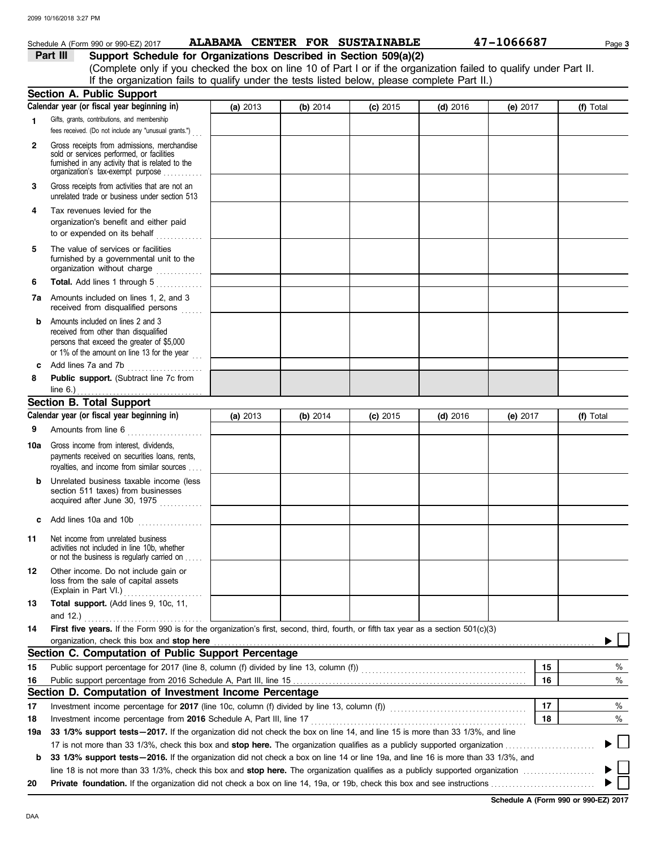|              | Schedule A (Form 990 or 990-EZ) 2017                                                                                                                                              |          |          | ALABAMA CENTER FOR SUSTAINABLE |            | 47-1066687 | Page 3    |
|--------------|-----------------------------------------------------------------------------------------------------------------------------------------------------------------------------------|----------|----------|--------------------------------|------------|------------|-----------|
|              | Support Schedule for Organizations Described in Section 509(a)(2)<br>Part III                                                                                                     |          |          |                                |            |            |           |
|              | (Complete only if you checked the box on line 10 of Part I or if the organization failed to qualify under Part II.                                                                |          |          |                                |            |            |           |
|              | If the organization fails to qualify under the tests listed below, please complete Part II.)                                                                                      |          |          |                                |            |            |           |
|              | Section A. Public Support                                                                                                                                                         |          |          |                                |            |            |           |
|              | Calendar year (or fiscal year beginning in)                                                                                                                                       | (a) 2013 | (b) 2014 | $(c)$ 2015                     | $(d)$ 2016 | (e) 2017   | (f) Total |
| 1            | Gifts, grants, contributions, and membership                                                                                                                                      |          |          |                                |            |            |           |
|              | fees received. (Do not include any "unusual grants.")                                                                                                                             |          |          |                                |            |            |           |
| $\mathbf{2}$ | Gross receipts from admissions, merchandise<br>sold or services performed, or facilities<br>furnished in any activity that is related to the<br>organization's tax-exempt purpose |          |          |                                |            |            |           |
| 3            | Gross receipts from activities that are not an<br>unrelated trade or business under section 513                                                                                   |          |          |                                |            |            |           |
| 4            | Tax revenues levied for the<br>organization's benefit and either paid<br>to or expended on its behalf                                                                             |          |          |                                |            |            |           |
| 5            | The value of services or facilities<br>furnished by a governmental unit to the<br>organization without charge                                                                     |          |          |                                |            |            |           |
| 6            | Total. Add lines 1 through 5                                                                                                                                                      |          |          |                                |            |            |           |
|              | 7a Amounts included on lines 1, 2, and 3<br>received from disqualified persons                                                                                                    |          |          |                                |            |            |           |
| b            | Amounts included on lines 2 and 3<br>received from other than disqualified<br>persons that exceed the greater of \$5,000<br>or 1% of the amount on line 13 for the year           |          |          |                                |            |            |           |
| c            | Add lines 7a and 7b                                                                                                                                                               |          |          |                                |            |            |           |
| 8            | Public support. (Subtract line 7c from<br>line $6.$ )                                                                                                                             |          |          |                                |            |            |           |
|              | <b>Section B. Total Support</b>                                                                                                                                                   |          |          |                                |            |            |           |
|              | Calendar year (or fiscal year beginning in)                                                                                                                                       | (a) 2013 | (b) 2014 | $(c)$ 2015                     | $(d)$ 2016 | (e) 2017   | (f) Total |
| 9            | Amounts from line 6<br>.                                                                                                                                                          |          |          |                                |            |            |           |
| 10a          | Gross income from interest, dividends,<br>payments received on securities loans, rents,<br>royalties, and income from similar sources                                             |          |          |                                |            |            |           |
| b            | Unrelated business taxable income (less<br>section 511 taxes) from businesses<br>acquired after June 30, 1975                                                                     |          |          |                                |            |            |           |
|              | Add lines 10a and 10b                                                                                                                                                             |          |          |                                |            |            |           |
| 11           | Net income from unrelated business<br>activities not included in line 10b, whether<br>or not the business is regularly carried on<br>$\ldots$                                     |          |          |                                |            |            |           |
| 12           | Other income. Do not include gain or<br>loss from the sale of capital assets<br>(Explain in Part VI.)                                                                             |          |          |                                |            |            |           |
| 13           | Total support. (Add lines 9, 10c, 11,<br>and 12.)                                                                                                                                 |          |          |                                |            |            |           |
| 14           | First five vears. If the Form 990 is for the organization's first, second, third, fourth, or fifth tax vear as a section 501(c)(3)                                                |          |          |                                |            |            |           |
|              | organization, check this box and stop here<br>Section C. Computation of Public Support Percentage                                                                                 |          |          |                                |            |            |           |
|              |                                                                                                                                                                                   |          |          |                                |            |            |           |
| 15           | Public support percentage for 2017 (line 8, column (f) divided by line 13, column (f)) [[[[[[[[[[[[[[[[[[[[[[                                                                     |          |          |                                |            | 15         | %         |
| 16           |                                                                                                                                                                                   |          |          |                                |            | 16         | %         |
|              | Section D. Computation of Investment Income Percentage                                                                                                                            |          |          |                                |            |            |           |
| 17           |                                                                                                                                                                                   |          |          |                                |            | 17         | %         |
| 18           | Investment income percentage from 2016 Schedule A, Part III, line 17                                                                                                              |          |          |                                |            | 18         | %         |
| 19a          | 33 1/3% support tests - 2017. If the organization did not check the box on line 14, and line 15 is more than 33 1/3%, and line                                                    |          |          |                                |            |            |           |
|              |                                                                                                                                                                                   |          |          |                                |            |            |           |
| b            | 33 1/3% support tests-2016. If the organization did not check a box on line 14 or line 19a, and line 16 is more than 33 1/3%, and                                                 |          |          |                                |            |            |           |
|              |                                                                                                                                                                                   |          |          |                                |            |            |           |
| 20           |                                                                                                                                                                                   |          |          |                                |            |            |           |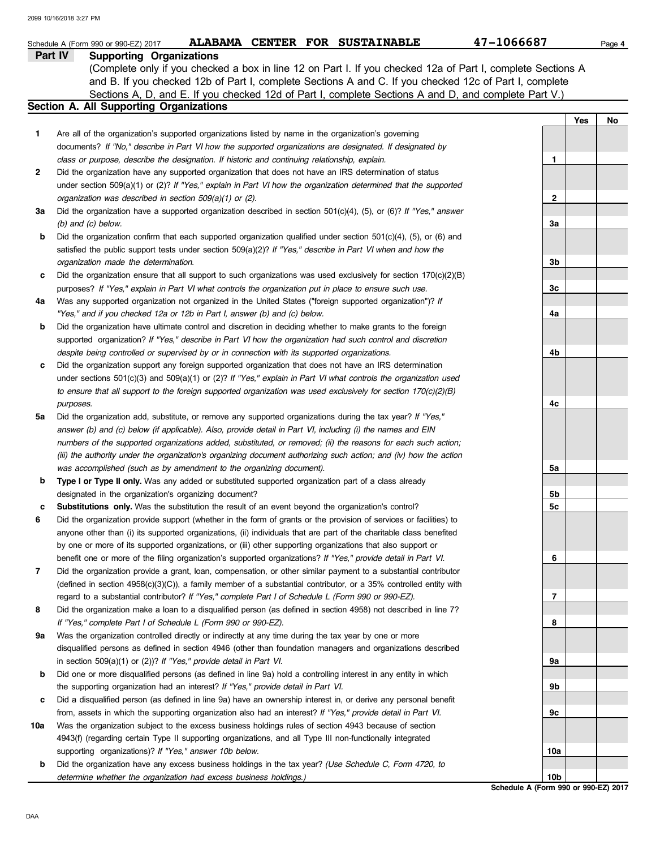|     | ALABAMA CENTER FOR SUSTAINABLE<br>Schedule A (Form 990 or 990-EZ) 2017                                                                                           | 47-1066687      |     | Page 4 |
|-----|------------------------------------------------------------------------------------------------------------------------------------------------------------------|-----------------|-----|--------|
|     | Part IV<br><b>Supporting Organizations</b>                                                                                                                       |                 |     |        |
|     | (Complete only if you checked a box in line 12 on Part I. If you checked 12a of Part I, complete Sections A                                                      |                 |     |        |
|     | and B. If you checked 12b of Part I, complete Sections A and C. If you checked 12c of Part I, complete                                                           |                 |     |        |
|     | Sections A, D, and E. If you checked 12d of Part I, complete Sections A and D, and complete Part V.)                                                             |                 |     |        |
|     | Section A. All Supporting Organizations                                                                                                                          |                 |     |        |
|     |                                                                                                                                                                  |                 | Yes | No     |
| 1   | Are all of the organization's supported organizations listed by name in the organization's governing                                                             |                 |     |        |
|     | documents? If "No," describe in Part VI how the supported organizations are designated. If designated by                                                         |                 |     |        |
|     | class or purpose, describe the designation. If historic and continuing relationship, explain.                                                                    | 1               |     |        |
| 2   | Did the organization have any supported organization that does not have an IRS determination of status                                                           |                 |     |        |
|     | under section 509(a)(1) or (2)? If "Yes," explain in Part VI how the organization determined that the supported                                                  |                 |     |        |
|     | organization was described in section 509(a)(1) or (2).                                                                                                          | 2               |     |        |
| За  | Did the organization have a supported organization described in section 501(c)(4), (5), or (6)? If "Yes," answer                                                 |                 |     |        |
|     | $(b)$ and $(c)$ below.                                                                                                                                           | За              |     |        |
| b   | Did the organization confirm that each supported organization qualified under section $501(c)(4)$ , (5), or (6) and                                              |                 |     |        |
|     | satisfied the public support tests under section 509(a)(2)? If "Yes," describe in Part VI when and how the                                                       |                 |     |        |
|     | organization made the determination.                                                                                                                             | 3b              |     |        |
| c   | Did the organization ensure that all support to such organizations was used exclusively for section $170(c)(2)(B)$                                               |                 |     |        |
|     | purposes? If "Yes," explain in Part VI what controls the organization put in place to ensure such use.                                                           | 3c              |     |        |
| 4a  | Was any supported organization not organized in the United States ("foreign supported organization")? If                                                         |                 |     |        |
|     | "Yes," and if you checked 12a or 12b in Part I, answer (b) and (c) below.                                                                                        | 4a              |     |        |
| b   | Did the organization have ultimate control and discretion in deciding whether to make grants to the foreign                                                      |                 |     |        |
|     | supported organization? If "Yes," describe in Part VI how the organization had such control and discretion                                                       |                 |     |        |
|     | despite being controlled or supervised by or in connection with its supported organizations.                                                                     | 4b              |     |        |
| c   | Did the organization support any foreign supported organization that does not have an IRS determination                                                          |                 |     |        |
|     | under sections $501(c)(3)$ and $509(a)(1)$ or $(2)$ ? If "Yes," explain in Part VI what controls the organization used                                           |                 |     |        |
|     | to ensure that all support to the foreign supported organization was used exclusively for section $170(c)(2)(B)$                                                 |                 |     |        |
|     | purposes.                                                                                                                                                        | 4c              |     |        |
| 5a  | Did the organization add, substitute, or remove any supported organizations during the tax year? If "Yes,"                                                       |                 |     |        |
|     | answer (b) and (c) below (if applicable). Also, provide detail in Part VI, including (i) the names and EIN                                                       |                 |     |        |
|     | numbers of the supported organizations added, substituted, or removed; (ii) the reasons for each such action;                                                    |                 |     |        |
|     | (iii) the authority under the organization's organizing document authorizing such action; and (iv) how the action                                                |                 |     |        |
|     | was accomplished (such as by amendment to the organizing document).                                                                                              | 5a              |     |        |
| b   | Type I or Type II only. Was any added or substituted supported organization part of a class already                                                              |                 |     |        |
|     | designated in the organization's organizing document?                                                                                                            | 5b              |     |        |
| c   | Substitutions only. Was the substitution the result of an event beyond the organization's control?                                                               | 5 <sub>c</sub>  |     |        |
| 6   | Did the organization provide support (whether in the form of grants or the provision of services or facilities) to                                               |                 |     |        |
|     | anyone other than (i) its supported organizations, (ii) individuals that are part of the charitable class benefited                                              |                 |     |        |
|     | by one or more of its supported organizations, or (iii) other supporting organizations that also support or                                                      |                 |     |        |
|     | benefit one or more of the filing organization's supported organizations? If "Yes," provide detail in Part VI.                                                   | 6               |     |        |
| 7   | Did the organization provide a grant, loan, compensation, or other similar payment to a substantial contributor                                                  |                 |     |        |
|     | (defined in section $4958(c)(3)(C)$ ), a family member of a substantial contributor, or a 35% controlled entity with                                             |                 |     |        |
|     | regard to a substantial contributor? If "Yes," complete Part I of Schedule L (Form 990 or 990-EZ).                                                               | 7               |     |        |
| 8   | Did the organization make a loan to a disqualified person (as defined in section 4958) not described in line 7?                                                  |                 |     |        |
|     | If "Yes," complete Part I of Schedule L (Form 990 or 990-EZ).                                                                                                    | 8               |     |        |
| 9а  | Was the organization controlled directly or indirectly at any time during the tax year by one or more                                                            |                 |     |        |
|     | disqualified persons as defined in section 4946 (other than foundation managers and organizations described                                                      |                 |     |        |
|     | in section $509(a)(1)$ or $(2)$ ? If "Yes," provide detail in Part VI.                                                                                           | 9a              |     |        |
| b   | Did one or more disqualified persons (as defined in line 9a) hold a controlling interest in any entity in which                                                  |                 |     |        |
|     | the supporting organization had an interest? If "Yes," provide detail in Part VI.                                                                                | 9b              |     |        |
| c   | Did a disqualified person (as defined in line 9a) have an ownership interest in, or derive any personal benefit                                                  |                 |     |        |
|     | from, assets in which the supporting organization also had an interest? If "Yes," provide detail in Part VI.                                                     | 9c              |     |        |
| 10a | Was the organization subject to the excess business holdings rules of section 4943 because of section                                                            |                 |     |        |
|     | 4943(f) (regarding certain Type II supporting organizations, and all Type III non-functionally integrated                                                        |                 |     |        |
|     | supporting organizations)? If "Yes," answer 10b below.<br>Did the organization have any excess business holdings in the tax year? (Use Schedule C, Form 4720, to | 10a             |     |        |
| b   | determine whether the organization had excess business holdings.)                                                                                                | 10 <sub>b</sub> |     |        |
|     |                                                                                                                                                                  |                 |     |        |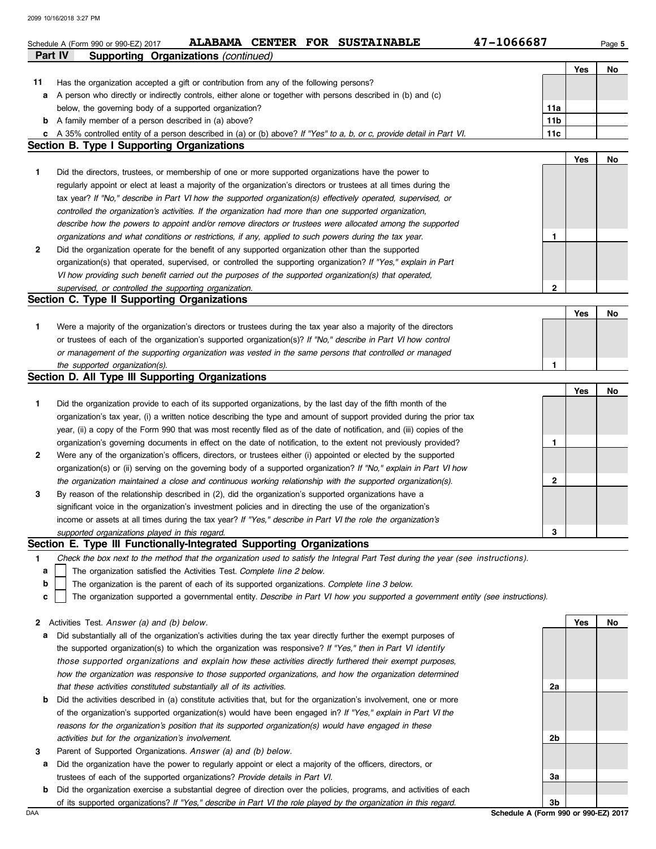|    | 47-1066687<br>ALABAMA CENTER FOR SUSTAINABLE<br>Schedule A (Form 990 or 990-EZ) 2017                                              |                 |     | Page 5 |
|----|-----------------------------------------------------------------------------------------------------------------------------------|-----------------|-----|--------|
|    | Part IV<br><b>Supporting Organizations (continued)</b>                                                                            |                 |     |        |
| 11 | Has the organization accepted a gift or contribution from any of the following persons?                                           |                 | Yes | No     |
| а  | A person who directly or indirectly controls, either alone or together with persons described in (b) and (c)                      |                 |     |        |
|    | below, the governing body of a supported organization?                                                                            | 11a             |     |        |
| b  | A family member of a person described in (a) above?                                                                               | 11 <sub>b</sub> |     |        |
| c  | A 35% controlled entity of a person described in (a) or (b) above? If "Yes" to a, b, or c, provide detail in Part VI.             | 11c             |     |        |
|    | Section B. Type I Supporting Organizations                                                                                        |                 |     |        |
|    |                                                                                                                                   |                 | Yes | No     |
| 1  | Did the directors, trustees, or membership of one or more supported organizations have the power to                               |                 |     |        |
|    | regularly appoint or elect at least a majority of the organization's directors or trustees at all times during the                |                 |     |        |
|    | tax year? If "No," describe in Part VI how the supported organization(s) effectively operated, supervised, or                     |                 |     |        |
|    | controlled the organization's activities. If the organization had more than one supported organization,                           |                 |     |        |
|    | describe how the powers to appoint and/or remove directors or trustees were allocated among the supported                         |                 |     |        |
|    | organizations and what conditions or restrictions, if any, applied to such powers during the tax year.                            | 1               |     |        |
| 2  | Did the organization operate for the benefit of any supported organization other than the supported                               |                 |     |        |
|    | organization(s) that operated, supervised, or controlled the supporting organization? If "Yes," explain in Part                   |                 |     |        |
|    | VI how providing such benefit carried out the purposes of the supported organization(s) that operated,                            |                 |     |        |
|    | supervised, or controlled the supporting organization.                                                                            | $\mathbf 2$     |     |        |
|    | Section C. Type II Supporting Organizations                                                                                       |                 |     |        |
|    |                                                                                                                                   |                 | Yes | No     |
| 1  | Were a majority of the organization's directors or trustees during the tax year also a majority of the directors                  |                 |     |        |
|    | or trustees of each of the organization's supported organization(s)? If "No," describe in Part VI how control                     |                 |     |        |
|    | or management of the supporting organization was vested in the same persons that controlled or managed                            |                 |     |        |
|    | the supported organization(s).                                                                                                    | $\mathbf{1}$    |     |        |
|    | Section D. All Type III Supporting Organizations                                                                                  |                 |     |        |
| 1  | Did the organization provide to each of its supported organizations, by the last day of the fifth month of the                    |                 | Yes | No     |
|    | organization's tax year, (i) a written notice describing the type and amount of support provided during the prior tax             |                 |     |        |
|    | year, (ii) a copy of the Form 990 that was most recently filed as of the date of notification, and (iii) copies of the            |                 |     |        |
|    | organization's governing documents in effect on the date of notification, to the extent not previously provided?                  | 1               |     |        |
| 2  | Were any of the organization's officers, directors, or trustees either (i) appointed or elected by the supported                  |                 |     |        |
|    | organization(s) or (ii) serving on the governing body of a supported organization? If "No," explain in Part VI how                |                 |     |        |
|    | the organization maintained a close and continuous working relationship with the supported organization(s).                       | 2               |     |        |
|    | By reason of the relationship described in (2), did the organization's supported organizations have a                             |                 |     |        |
| 3  | significant voice in the organization's investment policies and in directing the use of the organization's                        |                 |     |        |
|    | income or assets at all times during the tax year? If "Yes," describe in Part VI the role the organization's                      |                 |     |        |
|    | supported organizations played in this regard.                                                                                    | 3               |     |        |
|    | Section E. Type III Functionally-Integrated Supporting Organizations                                                              |                 |     |        |
| 1. | Check the box next to the method that the organization used to satisfy the Integral Part Test during the year (see instructions). |                 |     |        |
| а  | The organization satisfied the Activities Test. Complete line 2 below.                                                            |                 |     |        |
| b  | The organization is the parent of each of its supported organizations. Complete line 3 below.                                     |                 |     |        |
| c  | The organization supported a governmental entity. Describe in Part VI how you supported a government entity (see instructions).   |                 |     |        |
|    |                                                                                                                                   |                 |     |        |
| 2  | Activities Test. Answer (a) and (b) below.                                                                                        |                 | Yes | No     |
| а  | Did substantially all of the organization's activities during the tax year directly further the exempt purposes of                |                 |     |        |
|    | the supported organization(s) to which the organization was responsive? If "Yes," then in Part VI identify                        |                 |     |        |
|    | those supported organizations and explain how these activities directly furthered their exempt purposes,                          |                 |     |        |
|    | how the organization was responsive to those supported organizations, and how the organization determined                         |                 |     |        |
|    | that these activities constituted substantially all of its activities.                                                            | 2a              |     |        |
| b  | Did the activities described in (a) constitute activities that, but for the organization's involvement, one or more               |                 |     |        |
|    | of the organization's supported organization(s) would have been engaged in? If "Yes," explain in Part VI the                      |                 |     |        |
|    | reasons for the organization's position that its supported organization(s) would have engaged in these                            |                 |     |        |
|    | activities but for the organization's involvement.                                                                                | 2b              |     |        |
| 3  | Parent of Supported Organizations. Answer (a) and (b) below.                                                                      |                 |     |        |
| а  | Did the organization have the power to regularly appoint or elect a majority of the officers, directors, or                       |                 |     |        |
|    | trustees of each of the supported organizations? Provide details in Part VI.                                                      | 3a              |     |        |

b Did the organization exercise a substantial degree of direction over the policies, programs, and activities of each of its supported organizations? If "Yes," describe in Part VI the role played by the organization in this regard.

 $3<sub>b</sub>$ Schedule A (Form 990 or 990-EZ) 2017

DAA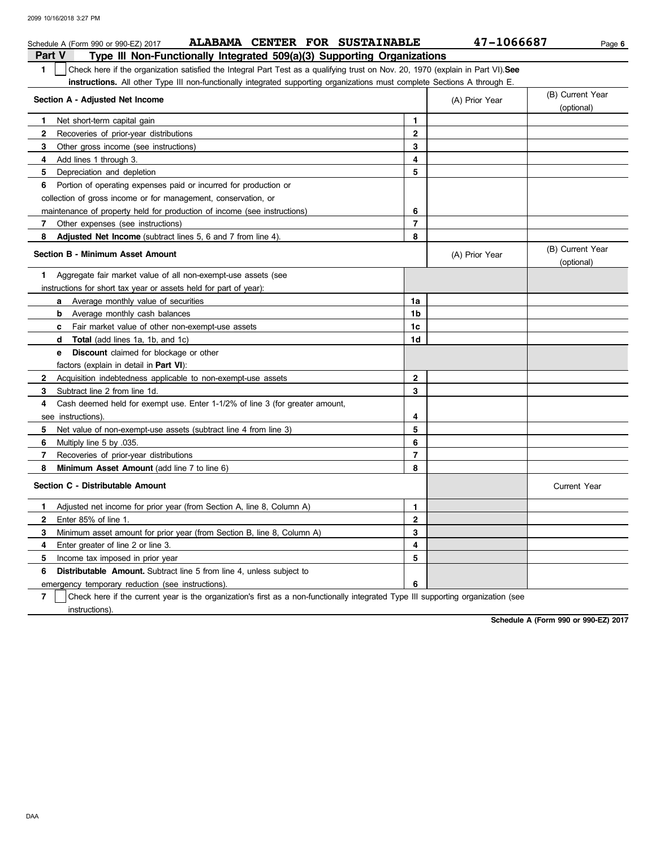| ALABAMA CENTER FOR SUSTAINABLE<br>Schedule A (Form 990 or 990-EZ) 2017                                                                           |                | 47-1066687     | Page 6                         |
|--------------------------------------------------------------------------------------------------------------------------------------------------|----------------|----------------|--------------------------------|
| Type III Non-Functionally Integrated 509(a)(3) Supporting Organizations<br><b>Part V</b>                                                         |                |                |                                |
| $\mathbf{1}$<br>Check here if the organization satisfied the Integral Part Test as a qualifying trust on Nov. 20, 1970 (explain in Part VI). See |                |                |                                |
| instructions. All other Type III non-functionally integrated supporting organizations must complete Sections A through E.                        |                |                |                                |
| Section A - Adjusted Net Income                                                                                                                  |                | (A) Prior Year | (B) Current Year<br>(optional) |
| Net short-term capital gain<br>1.                                                                                                                | 1              |                |                                |
| 2<br>Recoveries of prior-year distributions                                                                                                      | $\mathbf 2$    |                |                                |
| 3<br>Other gross income (see instructions)                                                                                                       | 3              |                |                                |
| 4<br>Add lines 1 through 3.                                                                                                                      | 4              |                |                                |
| 5<br>Depreciation and depletion                                                                                                                  | 5              |                |                                |
| 6<br>Portion of operating expenses paid or incurred for production or                                                                            |                |                |                                |
| collection of gross income or for management, conservation, or                                                                                   |                |                |                                |
| maintenance of property held for production of income (see instructions)                                                                         | 6              |                |                                |
| 7<br>Other expenses (see instructions)                                                                                                           | 7              |                |                                |
| 8<br><b>Adjusted Net Income</b> (subtract lines 5, 6 and 7 from line 4).                                                                         | 8              |                |                                |
| Section B - Minimum Asset Amount                                                                                                                 |                | (A) Prior Year | (B) Current Year<br>(optional) |
| Aggregate fair market value of all non-exempt-use assets (see<br>1.                                                                              |                |                |                                |
| instructions for short tax year or assets held for part of year):                                                                                |                |                |                                |
| <b>a</b> Average monthly value of securities                                                                                                     | 1a             |                |                                |
| <b>b</b> Average monthly cash balances                                                                                                           | 1b             |                |                                |
| Fair market value of other non-exempt-use assets<br>C                                                                                            | 1c             |                |                                |
| <b>Total</b> (add lines 1a, 1b, and 1c)<br>d                                                                                                     | 1d             |                |                                |
| <b>Discount</b> claimed for blockage or other<br>е                                                                                               |                |                |                                |
| factors (explain in detail in Part VI):                                                                                                          |                |                |                                |
| 2<br>Acquisition indebtedness applicable to non-exempt-use assets                                                                                | $\mathbf 2$    |                |                                |
| 3<br>Subtract line 2 from line 1d.                                                                                                               | 3              |                |                                |
| Cash deemed held for exempt use. Enter 1-1/2% of line 3 (for greater amount,<br>4                                                                |                |                |                                |
| see instructions)                                                                                                                                | 4              |                |                                |
| 5<br>Net value of non-exempt-use assets (subtract line 4 from line 3)                                                                            | 5              |                |                                |
| 6<br>Multiply line 5 by 035.                                                                                                                     | 6              |                |                                |
| 7<br>Recoveries of prior-year distributions                                                                                                      | $\overline{7}$ |                |                                |
| 8<br>Minimum Asset Amount (add line 7 to line 6)                                                                                                 | 8              |                |                                |
| Section C - Distributable Amount                                                                                                                 |                |                | <b>Current Year</b>            |
| Adjusted net income for prior year (from Section A, line 8, Column A)<br>1.                                                                      | 1              |                |                                |
| $\mathbf{2}$<br>Enter 85% of line 1.                                                                                                             | $\mathbf{2}$   |                |                                |
| 3<br>Minimum asset amount for prior year (from Section B, line 8, Column A)                                                                      | 3              |                |                                |
| 4<br>Enter greater of line 2 or line 3.                                                                                                          | 4              |                |                                |
| 5<br>Income tax imposed in prior year                                                                                                            | 5              |                |                                |
| <b>Distributable Amount.</b> Subtract line 5 from line 4, unless subject to<br>6                                                                 |                |                |                                |
| emergency temporary reduction (see instructions).                                                                                                | 6              |                |                                |

 $\overline{7}$ Check here if the current year is the organization's first as a non-functionally integrated Type III supporting organization (see instructions).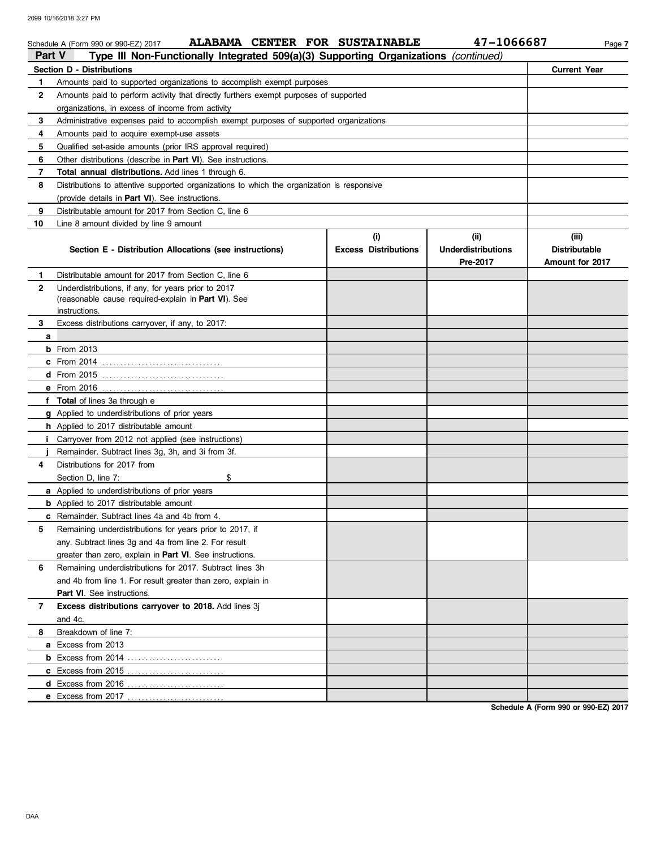|              | ALABAMA CENTER FOR SUSTAINABLE<br>Schedule A (Form 990 or 990-EZ) 2017                     |                             | 47-1066687                | Page 7               |
|--------------|--------------------------------------------------------------------------------------------|-----------------------------|---------------------------|----------------------|
| Part V       | Type III Non-Functionally Integrated 509(a)(3) Supporting Organizations (continued)        |                             |                           |                      |
|              | Section D - Distributions                                                                  |                             |                           | <b>Current Year</b>  |
| 1            | Amounts paid to supported organizations to accomplish exempt purposes                      |                             |                           |                      |
| $\mathbf{2}$ | Amounts paid to perform activity that directly furthers exempt purposes of supported       |                             |                           |                      |
|              | organizations, in excess of income from activity                                           |                             |                           |                      |
| 3            | Administrative expenses paid to accomplish exempt purposes of supported organizations      |                             |                           |                      |
| 4            | Amounts paid to acquire exempt-use assets                                                  |                             |                           |                      |
| 5            | Qualified set-aside amounts (prior IRS approval required)                                  |                             |                           |                      |
| 6            | Other distributions (describe in Part VI). See instructions.                               |                             |                           |                      |
| 7            | <b>Total annual distributions.</b> Add lines 1 through 6.                                  |                             |                           |                      |
| 8            | Distributions to attentive supported organizations to which the organization is responsive |                             |                           |                      |
|              | (provide details in <b>Part VI</b> ). See instructions.                                    |                             |                           |                      |
| 9            | Distributable amount for 2017 from Section C, line 6                                       |                             |                           |                      |
| 10           | Line 8 amount divided by line 9 amount                                                     |                             |                           |                      |
|              |                                                                                            | (i)                         | (ii)                      | (iii)                |
|              | Section E - Distribution Allocations (see instructions)                                    | <b>Excess Distributions</b> | <b>Underdistributions</b> | <b>Distributable</b> |
|              |                                                                                            |                             | Pre-2017                  | Amount for 2017      |
| 1.           | Distributable amount for 2017 from Section C, line 6                                       |                             |                           |                      |
| 2            | Underdistributions, if any, for years prior to 2017                                        |                             |                           |                      |
|              | (reasonable cause required-explain in Part VI). See                                        |                             |                           |                      |
| 3.           | instructions.<br>Excess distributions carryover, if any, to 2017:                          |                             |                           |                      |
| a            |                                                                                            |                             |                           |                      |
|              | $b$ From 2013                                                                              |                             |                           |                      |
|              |                                                                                            |                             |                           |                      |
|              | <b>d</b> From 2015                                                                         |                             |                           |                      |
|              | e From 2016                                                                                |                             |                           |                      |
|              | f Total of lines 3a through e                                                              |                             |                           |                      |
|              | g Applied to underdistributions of prior years                                             |                             |                           |                      |
|              | h Applied to 2017 distributable amount                                                     |                             |                           |                      |
| j.           | Carryover from 2012 not applied (see instructions)                                         |                             |                           |                      |
|              | Remainder. Subtract lines 3g, 3h, and 3i from 3f.                                          |                             |                           |                      |
| 4            | Distributions for 2017 from                                                                |                             |                           |                      |
|              | Section D, line 7:<br>\$                                                                   |                             |                           |                      |
|              | <b>a</b> Applied to underdistributions of prior years                                      |                             |                           |                      |
|              | <b>b</b> Applied to 2017 distributable amount                                              |                             |                           |                      |
|              | <b>c</b> Remainder. Subtract lines 4a and 4b from 4                                        |                             |                           |                      |
| 5            | Remaining underdistributions for years prior to 2017, if                                   |                             |                           |                      |
|              | any. Subtract lines 3g and 4a from line 2. For result                                      |                             |                           |                      |
|              | greater than zero, explain in Part VI. See instructions.                                   |                             |                           |                      |
| 6            | Remaining underdistributions for 2017. Subtract lines 3h                                   |                             |                           |                      |
|              | and 4b from line 1. For result greater than zero, explain in                               |                             |                           |                      |
|              | <b>Part VI.</b> See instructions.                                                          |                             |                           |                      |
| 7            | Excess distributions carryover to 2018. Add lines 3j                                       |                             |                           |                      |
|              | and 4c.                                                                                    |                             |                           |                      |
| 8            | Breakdown of line 7:                                                                       |                             |                           |                      |
|              | a Excess from 2013                                                                         |                             |                           |                      |
|              | <b>b</b> Excess from 2014                                                                  |                             |                           |                      |
|              | c Excess from 2015                                                                         |                             |                           |                      |
|              | d Excess from 2016                                                                         |                             |                           |                      |
|              | e Excess from 2017                                                                         |                             |                           |                      |
|              |                                                                                            |                             |                           |                      |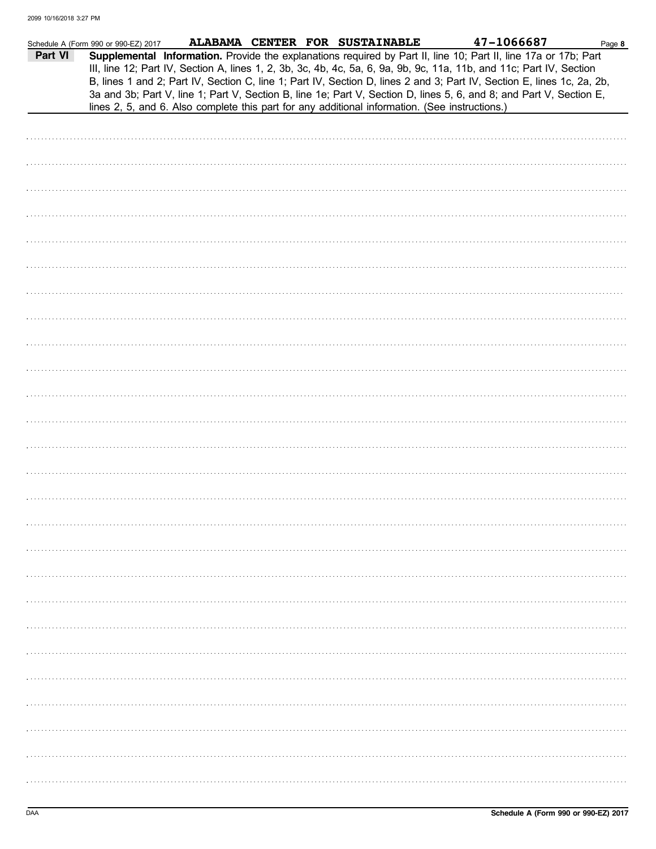|         | Schedule A (Form 990 or 990-EZ) 2017 |  | ALABAMA CENTER FOR SUSTAINABLE | 47-1066687                                                                                                                                                                                                                                                                                                                                                                                                                                                                                                                                                                                 | Page 8 |
|---------|--------------------------------------|--|--------------------------------|--------------------------------------------------------------------------------------------------------------------------------------------------------------------------------------------------------------------------------------------------------------------------------------------------------------------------------------------------------------------------------------------------------------------------------------------------------------------------------------------------------------------------------------------------------------------------------------------|--------|
| Part VI |                                      |  |                                | Supplemental Information. Provide the explanations required by Part II, line 10; Part II, line 17a or 17b; Part<br>III, line 12; Part IV, Section A, lines 1, 2, 3b, 3c, 4b, 4c, 5a, 6, 9a, 9b, 9c, 11a, 11b, and 11c; Part IV, Section<br>B, lines 1 and 2; Part IV, Section C, line 1; Part IV, Section D, lines 2 and 3; Part IV, Section E, lines 1c, 2a, 2b,<br>3a and 3b; Part V, line 1; Part V, Section B, line 1e; Part V, Section D, lines 5, 6, and 8; and Part V, Section E,<br>lines 2, 5, and 6. Also complete this part for any additional information. (See instructions.) |        |
|         |                                      |  |                                |                                                                                                                                                                                                                                                                                                                                                                                                                                                                                                                                                                                            |        |
|         |                                      |  |                                |                                                                                                                                                                                                                                                                                                                                                                                                                                                                                                                                                                                            |        |
|         |                                      |  |                                |                                                                                                                                                                                                                                                                                                                                                                                                                                                                                                                                                                                            |        |
|         |                                      |  |                                |                                                                                                                                                                                                                                                                                                                                                                                                                                                                                                                                                                                            |        |
|         |                                      |  |                                |                                                                                                                                                                                                                                                                                                                                                                                                                                                                                                                                                                                            |        |
|         |                                      |  |                                |                                                                                                                                                                                                                                                                                                                                                                                                                                                                                                                                                                                            |        |
|         |                                      |  |                                |                                                                                                                                                                                                                                                                                                                                                                                                                                                                                                                                                                                            |        |
|         |                                      |  |                                |                                                                                                                                                                                                                                                                                                                                                                                                                                                                                                                                                                                            |        |
|         |                                      |  |                                |                                                                                                                                                                                                                                                                                                                                                                                                                                                                                                                                                                                            |        |
|         |                                      |  |                                |                                                                                                                                                                                                                                                                                                                                                                                                                                                                                                                                                                                            |        |
|         |                                      |  |                                |                                                                                                                                                                                                                                                                                                                                                                                                                                                                                                                                                                                            |        |
|         |                                      |  |                                |                                                                                                                                                                                                                                                                                                                                                                                                                                                                                                                                                                                            |        |
|         |                                      |  |                                |                                                                                                                                                                                                                                                                                                                                                                                                                                                                                                                                                                                            |        |
|         |                                      |  |                                |                                                                                                                                                                                                                                                                                                                                                                                                                                                                                                                                                                                            |        |
|         |                                      |  |                                |                                                                                                                                                                                                                                                                                                                                                                                                                                                                                                                                                                                            |        |
|         |                                      |  |                                |                                                                                                                                                                                                                                                                                                                                                                                                                                                                                                                                                                                            |        |
|         |                                      |  |                                |                                                                                                                                                                                                                                                                                                                                                                                                                                                                                                                                                                                            |        |
|         |                                      |  |                                |                                                                                                                                                                                                                                                                                                                                                                                                                                                                                                                                                                                            |        |
|         |                                      |  |                                |                                                                                                                                                                                                                                                                                                                                                                                                                                                                                                                                                                                            |        |
|         |                                      |  |                                |                                                                                                                                                                                                                                                                                                                                                                                                                                                                                                                                                                                            |        |
|         |                                      |  |                                |                                                                                                                                                                                                                                                                                                                                                                                                                                                                                                                                                                                            |        |
|         |                                      |  |                                |                                                                                                                                                                                                                                                                                                                                                                                                                                                                                                                                                                                            |        |
|         |                                      |  |                                |                                                                                                                                                                                                                                                                                                                                                                                                                                                                                                                                                                                            |        |
|         |                                      |  |                                |                                                                                                                                                                                                                                                                                                                                                                                                                                                                                                                                                                                            |        |
|         |                                      |  |                                |                                                                                                                                                                                                                                                                                                                                                                                                                                                                                                                                                                                            |        |
|         |                                      |  |                                |                                                                                                                                                                                                                                                                                                                                                                                                                                                                                                                                                                                            |        |
|         |                                      |  |                                |                                                                                                                                                                                                                                                                                                                                                                                                                                                                                                                                                                                            |        |
|         |                                      |  |                                |                                                                                                                                                                                                                                                                                                                                                                                                                                                                                                                                                                                            |        |
|         |                                      |  |                                |                                                                                                                                                                                                                                                                                                                                                                                                                                                                                                                                                                                            |        |
|         |                                      |  |                                |                                                                                                                                                                                                                                                                                                                                                                                                                                                                                                                                                                                            |        |
|         |                                      |  |                                |                                                                                                                                                                                                                                                                                                                                                                                                                                                                                                                                                                                            |        |
|         |                                      |  |                                |                                                                                                                                                                                                                                                                                                                                                                                                                                                                                                                                                                                            |        |
|         |                                      |  |                                |                                                                                                                                                                                                                                                                                                                                                                                                                                                                                                                                                                                            |        |
|         |                                      |  |                                |                                                                                                                                                                                                                                                                                                                                                                                                                                                                                                                                                                                            |        |
|         |                                      |  |                                |                                                                                                                                                                                                                                                                                                                                                                                                                                                                                                                                                                                            |        |
|         |                                      |  |                                |                                                                                                                                                                                                                                                                                                                                                                                                                                                                                                                                                                                            |        |
|         |                                      |  |                                |                                                                                                                                                                                                                                                                                                                                                                                                                                                                                                                                                                                            |        |
|         |                                      |  |                                |                                                                                                                                                                                                                                                                                                                                                                                                                                                                                                                                                                                            |        |
|         |                                      |  |                                |                                                                                                                                                                                                                                                                                                                                                                                                                                                                                                                                                                                            |        |
|         |                                      |  |                                |                                                                                                                                                                                                                                                                                                                                                                                                                                                                                                                                                                                            |        |
|         |                                      |  |                                |                                                                                                                                                                                                                                                                                                                                                                                                                                                                                                                                                                                            |        |
|         |                                      |  |                                |                                                                                                                                                                                                                                                                                                                                                                                                                                                                                                                                                                                            |        |
|         |                                      |  |                                |                                                                                                                                                                                                                                                                                                                                                                                                                                                                                                                                                                                            |        |
|         |                                      |  |                                |                                                                                                                                                                                                                                                                                                                                                                                                                                                                                                                                                                                            |        |
|         |                                      |  |                                |                                                                                                                                                                                                                                                                                                                                                                                                                                                                                                                                                                                            |        |
|         |                                      |  |                                |                                                                                                                                                                                                                                                                                                                                                                                                                                                                                                                                                                                            |        |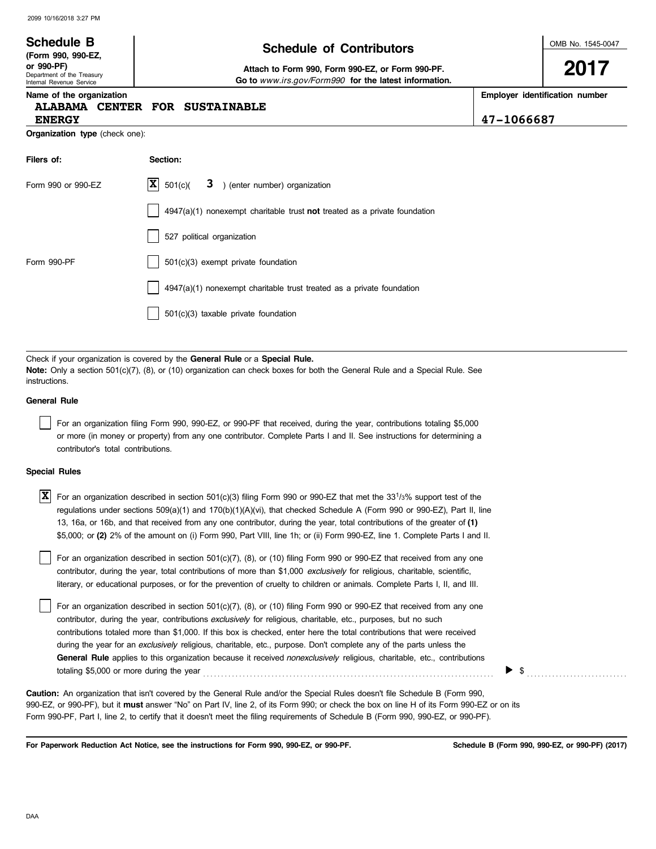**Schedule B** 

(Form 990, 990-EZ, or 990-PF)

Department of the Treasury

Internal Revenue Service

## **Schedule of Contributors**

Attach to Form 990, Form 990-EZ, or Form 990-PF. Go to www.irs.gov/Form990 for the latest information. OMB No. 1545-0047

2017

Employer identification number

| Name of the organization |  |  |                                |  |  |  |  |  |
|--------------------------|--|--|--------------------------------|--|--|--|--|--|
|                          |  |  | ALABAMA CENTER FOR SUSTAINABLE |  |  |  |  |  |
| <b>ENERGY</b>            |  |  |                                |  |  |  |  |  |

47-1066687

Organization type (check one):

| Filers of:         | Section:                                                                    |
|--------------------|-----------------------------------------------------------------------------|
| Form 990 or 990-EZ | $ \mathbf{X} $ 501(c)(<br>3 ) (enter number) organization                   |
|                    | $4947(a)(1)$ nonexempt charitable trust not treated as a private foundation |
|                    | 527 political organization                                                  |
| Form 990-PF        | 501(c)(3) exempt private foundation                                         |
|                    | $4947(a)(1)$ nonexempt charitable trust treated as a private foundation     |
|                    | $501(c)(3)$ taxable private foundation                                      |
|                    |                                                                             |

Check if your organization is covered by the General Rule or a Special Rule. Note: Only a section 501(c)(7), (8), or (10) organization can check boxes for both the General Rule and a Special Rule. See *instructions* 

### **General Rule**

For an organization filing Form 990, 990-EZ, or 990-PF that received, during the year, contributions totaling \$5,000 or more (in money or property) from any one contributor. Complete Parts I and II. See instructions for determining a contributor's total contributions.

### **Special Rules**

| $\boxed{\mathbf{X}}$ For an organization described in section 501(c)(3) filing Form 990 or 990-EZ that met the 33 <sup>1</sup> /3% support test of the |
|--------------------------------------------------------------------------------------------------------------------------------------------------------|
| regulations under sections 509(a)(1) and 170(b)(1)(A)(vi), that checked Schedule A (Form 990 or 990-EZ), Part II, line                                 |
| 13, 16a, or 16b, and that received from any one contributor, during the year, total contributions of the greater of (1)                                |
| \$5,000; or (2) 2% of the amount on (i) Form 990, Part VIII, line 1h; or (ii) Form 990-EZ, line 1. Complete Parts I and II.                            |
|                                                                                                                                                        |

For an organization described in section 501(c)(7), (8), or (10) filing Form 990 or 990-EZ that received from any one contributor, during the year, total contributions of more than \$1,000 exclusively for religious, charitable, scientific, literary, or educational purposes, or for the prevention of cruelty to children or animals. Complete Parts I, II, and III.

For an organization described in section 501(c)(7), (8), or (10) filing Form 990 or 990-EZ that received from any one contributor, during the year, contributions exclusively for religious, charitable, etc., purposes, but no such contributions totaled more than \$1,000. If this box is checked, enter here the total contributions that were received during the year for an exclusively religious, charitable, etc., purpose. Don't complete any of the parts unless the General Rule applies to this organization because it received nonexclusively religious, charitable, etc., contributions 

Caution: An organization that isn't covered by the General Rule and/or the Special Rules doesn't file Schedule B (Form 990, 990-EZ, or 990-PF), but it must answer "No" on Part IV, line 2, of its Form 990; or check the box on line H of its Form 990-EZ or on its Form 990-PF, Part I, line 2, to certify that it doesn't meet the filing requirements of Schedule B (Form 990, 990-EZ, or 990-PF).

For Paperwork Reduction Act Notice, see the instructions for Form 990, 990-EZ, or 990-PF.

 $\blacktriangleright$  \$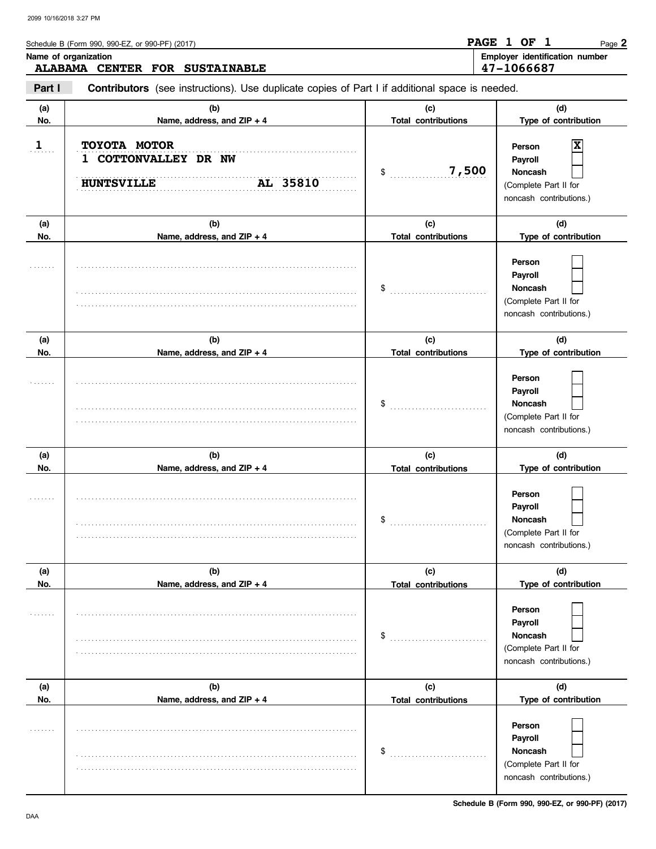|              | Schedule B (Form 990, 990-EZ, or 990-PF) (2017)                                                       | <b>PAGE</b>                       | 1 OF 1<br>Page 2                                                                             |
|--------------|-------------------------------------------------------------------------------------------------------|-----------------------------------|----------------------------------------------------------------------------------------------|
|              | Name of organization<br>ALABAMA CENTER FOR SUSTAINABLE                                                |                                   | Employer identification number<br>47-1066687                                                 |
| Part I       | <b>Contributors</b> (see instructions). Use duplicate copies of Part I if additional space is needed. |                                   |                                                                                              |
| (a)<br>No.   | (b)<br>Name, address, and ZIP + 4                                                                     | (c)<br><b>Total contributions</b> | (d)<br>Type of contribution                                                                  |
| $\mathbf{1}$ | TOYOTA MOTOR<br>1 COTTONVALLEY DR NW<br>AL 35810<br><b>HUNTSVILLE</b>                                 | 7,500<br>\$                       | X<br>Person<br>Payroll<br><b>Noncash</b><br>(Complete Part II for<br>noncash contributions.) |
| (a)<br>No.   | (b)<br>Name, address, and ZIP + 4                                                                     | (c)<br><b>Total contributions</b> | (d)<br>Type of contribution                                                                  |
|              |                                                                                                       | \$                                | Person<br>Payroll<br><b>Noncash</b><br>(Complete Part II for<br>noncash contributions.)      |
| (a)<br>No.   | (b)<br>Name, address, and ZIP + 4                                                                     | (c)<br><b>Total contributions</b> | (d)<br>Type of contribution                                                                  |
|              |                                                                                                       | \$                                | Person<br>Payroll<br>Noncash<br>(Complete Part II for<br>noncash contributions.)             |
| (a)<br>No.   | (b)<br>Name, address, and ZIP + 4                                                                     | (c)<br><b>Total contributions</b> | (d)<br>Type of contribution                                                                  |
|              |                                                                                                       | \$                                | Person<br>Payroll<br>Noncash<br>(Complete Part II for<br>noncash contributions.)             |
| (a)<br>No.   | (b)<br>Name, address, and ZIP + 4                                                                     | (c)<br><b>Total contributions</b> | (d)<br>Type of contribution                                                                  |
| .            |                                                                                                       | \$                                | Person<br>Payroll<br>Noncash<br>(Complete Part II for<br>noncash contributions.)             |
| (a)<br>No.   | (b)<br>Name, address, and ZIP + 4                                                                     | (c)<br><b>Total contributions</b> | (d)<br>Type of contribution                                                                  |
|              |                                                                                                       | \$                                | Person<br>Payroll<br>Noncash<br>(Complete Part II for                                        |

noncash contributions.)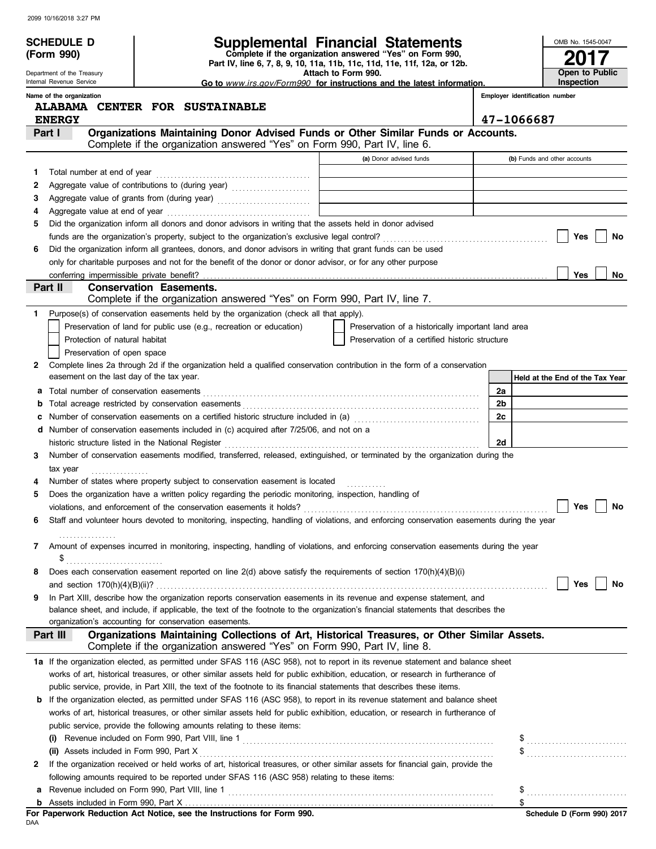| Complete if the organization answered "Yes" on Form 990,<br>(Form 990)<br>Part IV, line 6, 7, 8, 9, 10, 11a, 11b, 11c, 11d, 11e, 11f, 12a, or 12b.<br>Attach to Form 990.<br><b>Open to Public</b><br>Department of the Treasury<br>Internal Revenue Service<br><b>Inspection</b><br>Go to www.irs.gov/Form990 for instructions and the latest information.<br>Employer identification number<br>Name of the organization<br>ALABAMA CENTER FOR SUSTAINABLE<br>47-1066687<br><b>ENERGY</b><br>Organizations Maintaining Donor Advised Funds or Other Similar Funds or Accounts.<br>Part I<br>Complete if the organization answered "Yes" on Form 990, Part IV, line 6.<br>(a) Donor advised funds<br>(b) Funds and other accounts<br>Total number at end of year<br>1<br>Aggregate value of contributions to (during year) Materian Materian Materian Materian Materia Materia Materia<br>2<br>Aggregate value of grants from (during year) [[11] Aggregate value of grants from (during year) [[11] Aggregate value of grants from (during year) [[11] Aggregate value of grants from (during year) [11] Aggregate value of<br>3<br>4<br>Did the organization inform all donors and donor advisors in writing that the assets held in donor advised<br>5<br>Yes<br>No<br>Did the organization inform all grantees, donors, and donor advisors in writing that grant funds can be used<br>6<br>only for charitable purposes and not for the benefit of the donor or donor advisor, or for any other purpose<br>Yes<br>conferring impermissible private benefit?<br>No.<br>Part II<br><b>Conservation Easements.</b><br>Complete if the organization answered "Yes" on Form 990, Part IV, line 7.<br>Purpose(s) of conservation easements held by the organization (check all that apply).<br>Preservation of land for public use (e.g., recreation or education)<br>Preservation of a historically important land area<br>Preservation of a certified historic structure<br>Protection of natural habitat<br>Preservation of open space<br>Complete lines 2a through 2d if the organization held a qualified conservation contribution in the form of a conservation<br>$\mathbf{2}$<br>easement on the last day of the tax year.<br>Held at the End of the Tax Year<br>2a<br>а<br>2 <sub>b</sub><br>b<br>2c<br>Number of conservation easements included in (c) acquired after 7/25/06, and not on a<br>d<br>2d<br>historic structure listed in the National Register<br>Number of conservation easements modified, transferred, released, extinguished, or terminated by the organization during the<br>3<br>tax year<br>Number of states where property subject to conservation easement is located<br>Does the organization have a written policy regarding the periodic monitoring, inspection, handling of<br>5<br>$\Box$ Yes $\Box$<br>Staff and volunteer hours devoted to monitoring, inspecting, handling of violations, and enforcing conservation easements during the year<br>.<br>Amount of expenses incurred in monitoring, inspecting, handling of violations, and enforcing conservation easements during the year<br>7<br>$\$\ldots\ldots\ldots\ldots\ldots\ldots\ldots\ldots\ldots\ldots$<br>Does each conservation easement reported on line 2(d) above satisfy the requirements of section 170(h)(4)(B)(i)<br>8<br>Yes<br>In Part XIII, describe how the organization reports conservation easements in its revenue and expense statement, and<br>9<br>balance sheet, and include, if applicable, the text of the footnote to the organization's financial statements that describes the<br>organization's accounting for conservation easements.<br>Organizations Maintaining Collections of Art, Historical Treasures, or Other Similar Assets.<br>Part III<br>Complete if the organization answered "Yes" on Form 990, Part IV, line 8.<br>1a If the organization elected, as permitted under SFAS 116 (ASC 958), not to report in its revenue statement and balance sheet<br>works of art, historical treasures, or other similar assets held for public exhibition, education, or research in furtherance of<br>public service, provide, in Part XIII, the text of the footnote to its financial statements that describes these items.<br><b>b</b> If the organization elected, as permitted under SFAS 116 (ASC 958), to report in its revenue statement and balance sheet<br>works of art, historical treasures, or other similar assets held for public exhibition, education, or research in furtherance of<br>public service, provide the following amounts relating to these items:<br>(ii) Assets included in Form 990, Part X<br>If the organization received or held works of art, historical treasures, or other similar assets for financial gain, provide the<br>2<br>following amounts required to be reported under SFAS 116 (ASC 958) relating to these items:<br>a<br>b<br>For Paperwork Reduction Act Notice, see the Instructions for Form 990.<br>Schedule D (Form 990) 2017 | <b>SCHEDULE D</b> | <b>Supplemental Financial Statements</b> |  | OMB No. 1545-0047 |
|----------------------------------------------------------------------------------------------------------------------------------------------------------------------------------------------------------------------------------------------------------------------------------------------------------------------------------------------------------------------------------------------------------------------------------------------------------------------------------------------------------------------------------------------------------------------------------------------------------------------------------------------------------------------------------------------------------------------------------------------------------------------------------------------------------------------------------------------------------------------------------------------------------------------------------------------------------------------------------------------------------------------------------------------------------------------------------------------------------------------------------------------------------------------------------------------------------------------------------------------------------------------------------------------------------------------------------------------------------------------------------------------------------------------------------------------------------------------------------------------------------------------------------------------------------------------------------------------------------------------------------------------------------------------------------------------------------------------------------------------------------------------------------------------------------------------------------------------------------------------------------------------------------------------------------------------------------------------------------------------------------------------------------------------------------------------------------------------------------------------------------------------------------------------------------------------------------------------------------------------------------------------------------------------------------------------------------------------------------------------------------------------------------------------------------------------------------------------------------------------------------------------------------------------------------------------------------------------------------------------------------------------------------------------------------------------------------------------------------------------------------------------------------------------------------------------------------------------------------------------------------------------------------------------------------------------------------------------------------------------------------------------------------------------------------------------------------------------------------------------------------------------------------------------------------------------------------------------------------------------------------------------------------------------------------------------------------------------------------------------------------------------------------------------------------------------------------------------------------------------------------------------------------------------------------------------------------------------------------------------------------------------------------------------------------------------------------------------------------------------------------------------------------------------------------------------------------------------------------------------------------------------------------------------------------------------------------------------------------------------------------------------------------------------------------------------------------------------------------------------------------------------------------------------------------------------------------------------------------------------------------------------------------------------------------------------------------------------------------------------------------------------------------------------------------------------------------------------------------------------------------------------------------------------------------------------------------------------------------------------------------------------------------------------------------------------------------------------------------------------------------------------------------------------------------------------------------------------------------------------------------------------------------------------------------------------------------------------------------------------------------------------------|-------------------|------------------------------------------|--|-------------------|
|                                                                                                                                                                                                                                                                                                                                                                                                                                                                                                                                                                                                                                                                                                                                                                                                                                                                                                                                                                                                                                                                                                                                                                                                                                                                                                                                                                                                                                                                                                                                                                                                                                                                                                                                                                                                                                                                                                                                                                                                                                                                                                                                                                                                                                                                                                                                                                                                                                                                                                                                                                                                                                                                                                                                                                                                                                                                                                                                                                                                                                                                                                                                                                                                                                                                                                                                                                                                                                                                                                                                                                                                                                                                                                                                                                                                                                                                                                                                                                                                                                                                                                                                                                                                                                                                                                                                                                                                                                                                                                                                                                                                                                                                                                                                                                                                                                                                                                                                                                                                                            |                   |                                          |  |                   |
|                                                                                                                                                                                                                                                                                                                                                                                                                                                                                                                                                                                                                                                                                                                                                                                                                                                                                                                                                                                                                                                                                                                                                                                                                                                                                                                                                                                                                                                                                                                                                                                                                                                                                                                                                                                                                                                                                                                                                                                                                                                                                                                                                                                                                                                                                                                                                                                                                                                                                                                                                                                                                                                                                                                                                                                                                                                                                                                                                                                                                                                                                                                                                                                                                                                                                                                                                                                                                                                                                                                                                                                                                                                                                                                                                                                                                                                                                                                                                                                                                                                                                                                                                                                                                                                                                                                                                                                                                                                                                                                                                                                                                                                                                                                                                                                                                                                                                                                                                                                                                            |                   |                                          |  |                   |
|                                                                                                                                                                                                                                                                                                                                                                                                                                                                                                                                                                                                                                                                                                                                                                                                                                                                                                                                                                                                                                                                                                                                                                                                                                                                                                                                                                                                                                                                                                                                                                                                                                                                                                                                                                                                                                                                                                                                                                                                                                                                                                                                                                                                                                                                                                                                                                                                                                                                                                                                                                                                                                                                                                                                                                                                                                                                                                                                                                                                                                                                                                                                                                                                                                                                                                                                                                                                                                                                                                                                                                                                                                                                                                                                                                                                                                                                                                                                                                                                                                                                                                                                                                                                                                                                                                                                                                                                                                                                                                                                                                                                                                                                                                                                                                                                                                                                                                                                                                                                                            |                   |                                          |  |                   |
|                                                                                                                                                                                                                                                                                                                                                                                                                                                                                                                                                                                                                                                                                                                                                                                                                                                                                                                                                                                                                                                                                                                                                                                                                                                                                                                                                                                                                                                                                                                                                                                                                                                                                                                                                                                                                                                                                                                                                                                                                                                                                                                                                                                                                                                                                                                                                                                                                                                                                                                                                                                                                                                                                                                                                                                                                                                                                                                                                                                                                                                                                                                                                                                                                                                                                                                                                                                                                                                                                                                                                                                                                                                                                                                                                                                                                                                                                                                                                                                                                                                                                                                                                                                                                                                                                                                                                                                                                                                                                                                                                                                                                                                                                                                                                                                                                                                                                                                                                                                                                            |                   |                                          |  |                   |
|                                                                                                                                                                                                                                                                                                                                                                                                                                                                                                                                                                                                                                                                                                                                                                                                                                                                                                                                                                                                                                                                                                                                                                                                                                                                                                                                                                                                                                                                                                                                                                                                                                                                                                                                                                                                                                                                                                                                                                                                                                                                                                                                                                                                                                                                                                                                                                                                                                                                                                                                                                                                                                                                                                                                                                                                                                                                                                                                                                                                                                                                                                                                                                                                                                                                                                                                                                                                                                                                                                                                                                                                                                                                                                                                                                                                                                                                                                                                                                                                                                                                                                                                                                                                                                                                                                                                                                                                                                                                                                                                                                                                                                                                                                                                                                                                                                                                                                                                                                                                                            |                   |                                          |  |                   |
|                                                                                                                                                                                                                                                                                                                                                                                                                                                                                                                                                                                                                                                                                                                                                                                                                                                                                                                                                                                                                                                                                                                                                                                                                                                                                                                                                                                                                                                                                                                                                                                                                                                                                                                                                                                                                                                                                                                                                                                                                                                                                                                                                                                                                                                                                                                                                                                                                                                                                                                                                                                                                                                                                                                                                                                                                                                                                                                                                                                                                                                                                                                                                                                                                                                                                                                                                                                                                                                                                                                                                                                                                                                                                                                                                                                                                                                                                                                                                                                                                                                                                                                                                                                                                                                                                                                                                                                                                                                                                                                                                                                                                                                                                                                                                                                                                                                                                                                                                                                                                            |                   |                                          |  |                   |
|                                                                                                                                                                                                                                                                                                                                                                                                                                                                                                                                                                                                                                                                                                                                                                                                                                                                                                                                                                                                                                                                                                                                                                                                                                                                                                                                                                                                                                                                                                                                                                                                                                                                                                                                                                                                                                                                                                                                                                                                                                                                                                                                                                                                                                                                                                                                                                                                                                                                                                                                                                                                                                                                                                                                                                                                                                                                                                                                                                                                                                                                                                                                                                                                                                                                                                                                                                                                                                                                                                                                                                                                                                                                                                                                                                                                                                                                                                                                                                                                                                                                                                                                                                                                                                                                                                                                                                                                                                                                                                                                                                                                                                                                                                                                                                                                                                                                                                                                                                                                                            |                   |                                          |  |                   |
|                                                                                                                                                                                                                                                                                                                                                                                                                                                                                                                                                                                                                                                                                                                                                                                                                                                                                                                                                                                                                                                                                                                                                                                                                                                                                                                                                                                                                                                                                                                                                                                                                                                                                                                                                                                                                                                                                                                                                                                                                                                                                                                                                                                                                                                                                                                                                                                                                                                                                                                                                                                                                                                                                                                                                                                                                                                                                                                                                                                                                                                                                                                                                                                                                                                                                                                                                                                                                                                                                                                                                                                                                                                                                                                                                                                                                                                                                                                                                                                                                                                                                                                                                                                                                                                                                                                                                                                                                                                                                                                                                                                                                                                                                                                                                                                                                                                                                                                                                                                                                            |                   |                                          |  |                   |
|                                                                                                                                                                                                                                                                                                                                                                                                                                                                                                                                                                                                                                                                                                                                                                                                                                                                                                                                                                                                                                                                                                                                                                                                                                                                                                                                                                                                                                                                                                                                                                                                                                                                                                                                                                                                                                                                                                                                                                                                                                                                                                                                                                                                                                                                                                                                                                                                                                                                                                                                                                                                                                                                                                                                                                                                                                                                                                                                                                                                                                                                                                                                                                                                                                                                                                                                                                                                                                                                                                                                                                                                                                                                                                                                                                                                                                                                                                                                                                                                                                                                                                                                                                                                                                                                                                                                                                                                                                                                                                                                                                                                                                                                                                                                                                                                                                                                                                                                                                                                                            |                   |                                          |  |                   |
|                                                                                                                                                                                                                                                                                                                                                                                                                                                                                                                                                                                                                                                                                                                                                                                                                                                                                                                                                                                                                                                                                                                                                                                                                                                                                                                                                                                                                                                                                                                                                                                                                                                                                                                                                                                                                                                                                                                                                                                                                                                                                                                                                                                                                                                                                                                                                                                                                                                                                                                                                                                                                                                                                                                                                                                                                                                                                                                                                                                                                                                                                                                                                                                                                                                                                                                                                                                                                                                                                                                                                                                                                                                                                                                                                                                                                                                                                                                                                                                                                                                                                                                                                                                                                                                                                                                                                                                                                                                                                                                                                                                                                                                                                                                                                                                                                                                                                                                                                                                                                            |                   |                                          |  |                   |
|                                                                                                                                                                                                                                                                                                                                                                                                                                                                                                                                                                                                                                                                                                                                                                                                                                                                                                                                                                                                                                                                                                                                                                                                                                                                                                                                                                                                                                                                                                                                                                                                                                                                                                                                                                                                                                                                                                                                                                                                                                                                                                                                                                                                                                                                                                                                                                                                                                                                                                                                                                                                                                                                                                                                                                                                                                                                                                                                                                                                                                                                                                                                                                                                                                                                                                                                                                                                                                                                                                                                                                                                                                                                                                                                                                                                                                                                                                                                                                                                                                                                                                                                                                                                                                                                                                                                                                                                                                                                                                                                                                                                                                                                                                                                                                                                                                                                                                                                                                                                                            |                   |                                          |  |                   |
|                                                                                                                                                                                                                                                                                                                                                                                                                                                                                                                                                                                                                                                                                                                                                                                                                                                                                                                                                                                                                                                                                                                                                                                                                                                                                                                                                                                                                                                                                                                                                                                                                                                                                                                                                                                                                                                                                                                                                                                                                                                                                                                                                                                                                                                                                                                                                                                                                                                                                                                                                                                                                                                                                                                                                                                                                                                                                                                                                                                                                                                                                                                                                                                                                                                                                                                                                                                                                                                                                                                                                                                                                                                                                                                                                                                                                                                                                                                                                                                                                                                                                                                                                                                                                                                                                                                                                                                                                                                                                                                                                                                                                                                                                                                                                                                                                                                                                                                                                                                                                            |                   |                                          |  |                   |
|                                                                                                                                                                                                                                                                                                                                                                                                                                                                                                                                                                                                                                                                                                                                                                                                                                                                                                                                                                                                                                                                                                                                                                                                                                                                                                                                                                                                                                                                                                                                                                                                                                                                                                                                                                                                                                                                                                                                                                                                                                                                                                                                                                                                                                                                                                                                                                                                                                                                                                                                                                                                                                                                                                                                                                                                                                                                                                                                                                                                                                                                                                                                                                                                                                                                                                                                                                                                                                                                                                                                                                                                                                                                                                                                                                                                                                                                                                                                                                                                                                                                                                                                                                                                                                                                                                                                                                                                                                                                                                                                                                                                                                                                                                                                                                                                                                                                                                                                                                                                                            |                   |                                          |  |                   |
|                                                                                                                                                                                                                                                                                                                                                                                                                                                                                                                                                                                                                                                                                                                                                                                                                                                                                                                                                                                                                                                                                                                                                                                                                                                                                                                                                                                                                                                                                                                                                                                                                                                                                                                                                                                                                                                                                                                                                                                                                                                                                                                                                                                                                                                                                                                                                                                                                                                                                                                                                                                                                                                                                                                                                                                                                                                                                                                                                                                                                                                                                                                                                                                                                                                                                                                                                                                                                                                                                                                                                                                                                                                                                                                                                                                                                                                                                                                                                                                                                                                                                                                                                                                                                                                                                                                                                                                                                                                                                                                                                                                                                                                                                                                                                                                                                                                                                                                                                                                                                            |                   |                                          |  |                   |
|                                                                                                                                                                                                                                                                                                                                                                                                                                                                                                                                                                                                                                                                                                                                                                                                                                                                                                                                                                                                                                                                                                                                                                                                                                                                                                                                                                                                                                                                                                                                                                                                                                                                                                                                                                                                                                                                                                                                                                                                                                                                                                                                                                                                                                                                                                                                                                                                                                                                                                                                                                                                                                                                                                                                                                                                                                                                                                                                                                                                                                                                                                                                                                                                                                                                                                                                                                                                                                                                                                                                                                                                                                                                                                                                                                                                                                                                                                                                                                                                                                                                                                                                                                                                                                                                                                                                                                                                                                                                                                                                                                                                                                                                                                                                                                                                                                                                                                                                                                                                                            |                   |                                          |  |                   |
|                                                                                                                                                                                                                                                                                                                                                                                                                                                                                                                                                                                                                                                                                                                                                                                                                                                                                                                                                                                                                                                                                                                                                                                                                                                                                                                                                                                                                                                                                                                                                                                                                                                                                                                                                                                                                                                                                                                                                                                                                                                                                                                                                                                                                                                                                                                                                                                                                                                                                                                                                                                                                                                                                                                                                                                                                                                                                                                                                                                                                                                                                                                                                                                                                                                                                                                                                                                                                                                                                                                                                                                                                                                                                                                                                                                                                                                                                                                                                                                                                                                                                                                                                                                                                                                                                                                                                                                                                                                                                                                                                                                                                                                                                                                                                                                                                                                                                                                                                                                                                            |                   |                                          |  |                   |
|                                                                                                                                                                                                                                                                                                                                                                                                                                                                                                                                                                                                                                                                                                                                                                                                                                                                                                                                                                                                                                                                                                                                                                                                                                                                                                                                                                                                                                                                                                                                                                                                                                                                                                                                                                                                                                                                                                                                                                                                                                                                                                                                                                                                                                                                                                                                                                                                                                                                                                                                                                                                                                                                                                                                                                                                                                                                                                                                                                                                                                                                                                                                                                                                                                                                                                                                                                                                                                                                                                                                                                                                                                                                                                                                                                                                                                                                                                                                                                                                                                                                                                                                                                                                                                                                                                                                                                                                                                                                                                                                                                                                                                                                                                                                                                                                                                                                                                                                                                                                                            |                   |                                          |  |                   |
|                                                                                                                                                                                                                                                                                                                                                                                                                                                                                                                                                                                                                                                                                                                                                                                                                                                                                                                                                                                                                                                                                                                                                                                                                                                                                                                                                                                                                                                                                                                                                                                                                                                                                                                                                                                                                                                                                                                                                                                                                                                                                                                                                                                                                                                                                                                                                                                                                                                                                                                                                                                                                                                                                                                                                                                                                                                                                                                                                                                                                                                                                                                                                                                                                                                                                                                                                                                                                                                                                                                                                                                                                                                                                                                                                                                                                                                                                                                                                                                                                                                                                                                                                                                                                                                                                                                                                                                                                                                                                                                                                                                                                                                                                                                                                                                                                                                                                                                                                                                                                            |                   |                                          |  |                   |
|                                                                                                                                                                                                                                                                                                                                                                                                                                                                                                                                                                                                                                                                                                                                                                                                                                                                                                                                                                                                                                                                                                                                                                                                                                                                                                                                                                                                                                                                                                                                                                                                                                                                                                                                                                                                                                                                                                                                                                                                                                                                                                                                                                                                                                                                                                                                                                                                                                                                                                                                                                                                                                                                                                                                                                                                                                                                                                                                                                                                                                                                                                                                                                                                                                                                                                                                                                                                                                                                                                                                                                                                                                                                                                                                                                                                                                                                                                                                                                                                                                                                                                                                                                                                                                                                                                                                                                                                                                                                                                                                                                                                                                                                                                                                                                                                                                                                                                                                                                                                                            |                   |                                          |  |                   |
|                                                                                                                                                                                                                                                                                                                                                                                                                                                                                                                                                                                                                                                                                                                                                                                                                                                                                                                                                                                                                                                                                                                                                                                                                                                                                                                                                                                                                                                                                                                                                                                                                                                                                                                                                                                                                                                                                                                                                                                                                                                                                                                                                                                                                                                                                                                                                                                                                                                                                                                                                                                                                                                                                                                                                                                                                                                                                                                                                                                                                                                                                                                                                                                                                                                                                                                                                                                                                                                                                                                                                                                                                                                                                                                                                                                                                                                                                                                                                                                                                                                                                                                                                                                                                                                                                                                                                                                                                                                                                                                                                                                                                                                                                                                                                                                                                                                                                                                                                                                                                            |                   |                                          |  |                   |
|                                                                                                                                                                                                                                                                                                                                                                                                                                                                                                                                                                                                                                                                                                                                                                                                                                                                                                                                                                                                                                                                                                                                                                                                                                                                                                                                                                                                                                                                                                                                                                                                                                                                                                                                                                                                                                                                                                                                                                                                                                                                                                                                                                                                                                                                                                                                                                                                                                                                                                                                                                                                                                                                                                                                                                                                                                                                                                                                                                                                                                                                                                                                                                                                                                                                                                                                                                                                                                                                                                                                                                                                                                                                                                                                                                                                                                                                                                                                                                                                                                                                                                                                                                                                                                                                                                                                                                                                                                                                                                                                                                                                                                                                                                                                                                                                                                                                                                                                                                                                                            |                   |                                          |  |                   |
|                                                                                                                                                                                                                                                                                                                                                                                                                                                                                                                                                                                                                                                                                                                                                                                                                                                                                                                                                                                                                                                                                                                                                                                                                                                                                                                                                                                                                                                                                                                                                                                                                                                                                                                                                                                                                                                                                                                                                                                                                                                                                                                                                                                                                                                                                                                                                                                                                                                                                                                                                                                                                                                                                                                                                                                                                                                                                                                                                                                                                                                                                                                                                                                                                                                                                                                                                                                                                                                                                                                                                                                                                                                                                                                                                                                                                                                                                                                                                                                                                                                                                                                                                                                                                                                                                                                                                                                                                                                                                                                                                                                                                                                                                                                                                                                                                                                                                                                                                                                                                            |                   |                                          |  |                   |
|                                                                                                                                                                                                                                                                                                                                                                                                                                                                                                                                                                                                                                                                                                                                                                                                                                                                                                                                                                                                                                                                                                                                                                                                                                                                                                                                                                                                                                                                                                                                                                                                                                                                                                                                                                                                                                                                                                                                                                                                                                                                                                                                                                                                                                                                                                                                                                                                                                                                                                                                                                                                                                                                                                                                                                                                                                                                                                                                                                                                                                                                                                                                                                                                                                                                                                                                                                                                                                                                                                                                                                                                                                                                                                                                                                                                                                                                                                                                                                                                                                                                                                                                                                                                                                                                                                                                                                                                                                                                                                                                                                                                                                                                                                                                                                                                                                                                                                                                                                                                                            |                   |                                          |  |                   |
|                                                                                                                                                                                                                                                                                                                                                                                                                                                                                                                                                                                                                                                                                                                                                                                                                                                                                                                                                                                                                                                                                                                                                                                                                                                                                                                                                                                                                                                                                                                                                                                                                                                                                                                                                                                                                                                                                                                                                                                                                                                                                                                                                                                                                                                                                                                                                                                                                                                                                                                                                                                                                                                                                                                                                                                                                                                                                                                                                                                                                                                                                                                                                                                                                                                                                                                                                                                                                                                                                                                                                                                                                                                                                                                                                                                                                                                                                                                                                                                                                                                                                                                                                                                                                                                                                                                                                                                                                                                                                                                                                                                                                                                                                                                                                                                                                                                                                                                                                                                                                            |                   |                                          |  |                   |
|                                                                                                                                                                                                                                                                                                                                                                                                                                                                                                                                                                                                                                                                                                                                                                                                                                                                                                                                                                                                                                                                                                                                                                                                                                                                                                                                                                                                                                                                                                                                                                                                                                                                                                                                                                                                                                                                                                                                                                                                                                                                                                                                                                                                                                                                                                                                                                                                                                                                                                                                                                                                                                                                                                                                                                                                                                                                                                                                                                                                                                                                                                                                                                                                                                                                                                                                                                                                                                                                                                                                                                                                                                                                                                                                                                                                                                                                                                                                                                                                                                                                                                                                                                                                                                                                                                                                                                                                                                                                                                                                                                                                                                                                                                                                                                                                                                                                                                                                                                                                                            |                   |                                          |  |                   |
|                                                                                                                                                                                                                                                                                                                                                                                                                                                                                                                                                                                                                                                                                                                                                                                                                                                                                                                                                                                                                                                                                                                                                                                                                                                                                                                                                                                                                                                                                                                                                                                                                                                                                                                                                                                                                                                                                                                                                                                                                                                                                                                                                                                                                                                                                                                                                                                                                                                                                                                                                                                                                                                                                                                                                                                                                                                                                                                                                                                                                                                                                                                                                                                                                                                                                                                                                                                                                                                                                                                                                                                                                                                                                                                                                                                                                                                                                                                                                                                                                                                                                                                                                                                                                                                                                                                                                                                                                                                                                                                                                                                                                                                                                                                                                                                                                                                                                                                                                                                                                            |                   |                                          |  |                   |
|                                                                                                                                                                                                                                                                                                                                                                                                                                                                                                                                                                                                                                                                                                                                                                                                                                                                                                                                                                                                                                                                                                                                                                                                                                                                                                                                                                                                                                                                                                                                                                                                                                                                                                                                                                                                                                                                                                                                                                                                                                                                                                                                                                                                                                                                                                                                                                                                                                                                                                                                                                                                                                                                                                                                                                                                                                                                                                                                                                                                                                                                                                                                                                                                                                                                                                                                                                                                                                                                                                                                                                                                                                                                                                                                                                                                                                                                                                                                                                                                                                                                                                                                                                                                                                                                                                                                                                                                                                                                                                                                                                                                                                                                                                                                                                                                                                                                                                                                                                                                                            |                   |                                          |  |                   |
|                                                                                                                                                                                                                                                                                                                                                                                                                                                                                                                                                                                                                                                                                                                                                                                                                                                                                                                                                                                                                                                                                                                                                                                                                                                                                                                                                                                                                                                                                                                                                                                                                                                                                                                                                                                                                                                                                                                                                                                                                                                                                                                                                                                                                                                                                                                                                                                                                                                                                                                                                                                                                                                                                                                                                                                                                                                                                                                                                                                                                                                                                                                                                                                                                                                                                                                                                                                                                                                                                                                                                                                                                                                                                                                                                                                                                                                                                                                                                                                                                                                                                                                                                                                                                                                                                                                                                                                                                                                                                                                                                                                                                                                                                                                                                                                                                                                                                                                                                                                                                            |                   |                                          |  |                   |
|                                                                                                                                                                                                                                                                                                                                                                                                                                                                                                                                                                                                                                                                                                                                                                                                                                                                                                                                                                                                                                                                                                                                                                                                                                                                                                                                                                                                                                                                                                                                                                                                                                                                                                                                                                                                                                                                                                                                                                                                                                                                                                                                                                                                                                                                                                                                                                                                                                                                                                                                                                                                                                                                                                                                                                                                                                                                                                                                                                                                                                                                                                                                                                                                                                                                                                                                                                                                                                                                                                                                                                                                                                                                                                                                                                                                                                                                                                                                                                                                                                                                                                                                                                                                                                                                                                                                                                                                                                                                                                                                                                                                                                                                                                                                                                                                                                                                                                                                                                                                                            |                   |                                          |  |                   |
|                                                                                                                                                                                                                                                                                                                                                                                                                                                                                                                                                                                                                                                                                                                                                                                                                                                                                                                                                                                                                                                                                                                                                                                                                                                                                                                                                                                                                                                                                                                                                                                                                                                                                                                                                                                                                                                                                                                                                                                                                                                                                                                                                                                                                                                                                                                                                                                                                                                                                                                                                                                                                                                                                                                                                                                                                                                                                                                                                                                                                                                                                                                                                                                                                                                                                                                                                                                                                                                                                                                                                                                                                                                                                                                                                                                                                                                                                                                                                                                                                                                                                                                                                                                                                                                                                                                                                                                                                                                                                                                                                                                                                                                                                                                                                                                                                                                                                                                                                                                                                            |                   |                                          |  |                   |
|                                                                                                                                                                                                                                                                                                                                                                                                                                                                                                                                                                                                                                                                                                                                                                                                                                                                                                                                                                                                                                                                                                                                                                                                                                                                                                                                                                                                                                                                                                                                                                                                                                                                                                                                                                                                                                                                                                                                                                                                                                                                                                                                                                                                                                                                                                                                                                                                                                                                                                                                                                                                                                                                                                                                                                                                                                                                                                                                                                                                                                                                                                                                                                                                                                                                                                                                                                                                                                                                                                                                                                                                                                                                                                                                                                                                                                                                                                                                                                                                                                                                                                                                                                                                                                                                                                                                                                                                                                                                                                                                                                                                                                                                                                                                                                                                                                                                                                                                                                                                                            |                   |                                          |  |                   |
|                                                                                                                                                                                                                                                                                                                                                                                                                                                                                                                                                                                                                                                                                                                                                                                                                                                                                                                                                                                                                                                                                                                                                                                                                                                                                                                                                                                                                                                                                                                                                                                                                                                                                                                                                                                                                                                                                                                                                                                                                                                                                                                                                                                                                                                                                                                                                                                                                                                                                                                                                                                                                                                                                                                                                                                                                                                                                                                                                                                                                                                                                                                                                                                                                                                                                                                                                                                                                                                                                                                                                                                                                                                                                                                                                                                                                                                                                                                                                                                                                                                                                                                                                                                                                                                                                                                                                                                                                                                                                                                                                                                                                                                                                                                                                                                                                                                                                                                                                                                                                            |                   |                                          |  |                   |
|                                                                                                                                                                                                                                                                                                                                                                                                                                                                                                                                                                                                                                                                                                                                                                                                                                                                                                                                                                                                                                                                                                                                                                                                                                                                                                                                                                                                                                                                                                                                                                                                                                                                                                                                                                                                                                                                                                                                                                                                                                                                                                                                                                                                                                                                                                                                                                                                                                                                                                                                                                                                                                                                                                                                                                                                                                                                                                                                                                                                                                                                                                                                                                                                                                                                                                                                                                                                                                                                                                                                                                                                                                                                                                                                                                                                                                                                                                                                                                                                                                                                                                                                                                                                                                                                                                                                                                                                                                                                                                                                                                                                                                                                                                                                                                                                                                                                                                                                                                                                                            |                   |                                          |  |                   |
|                                                                                                                                                                                                                                                                                                                                                                                                                                                                                                                                                                                                                                                                                                                                                                                                                                                                                                                                                                                                                                                                                                                                                                                                                                                                                                                                                                                                                                                                                                                                                                                                                                                                                                                                                                                                                                                                                                                                                                                                                                                                                                                                                                                                                                                                                                                                                                                                                                                                                                                                                                                                                                                                                                                                                                                                                                                                                                                                                                                                                                                                                                                                                                                                                                                                                                                                                                                                                                                                                                                                                                                                                                                                                                                                                                                                                                                                                                                                                                                                                                                                                                                                                                                                                                                                                                                                                                                                                                                                                                                                                                                                                                                                                                                                                                                                                                                                                                                                                                                                                            |                   |                                          |  | No                |
|                                                                                                                                                                                                                                                                                                                                                                                                                                                                                                                                                                                                                                                                                                                                                                                                                                                                                                                                                                                                                                                                                                                                                                                                                                                                                                                                                                                                                                                                                                                                                                                                                                                                                                                                                                                                                                                                                                                                                                                                                                                                                                                                                                                                                                                                                                                                                                                                                                                                                                                                                                                                                                                                                                                                                                                                                                                                                                                                                                                                                                                                                                                                                                                                                                                                                                                                                                                                                                                                                                                                                                                                                                                                                                                                                                                                                                                                                                                                                                                                                                                                                                                                                                                                                                                                                                                                                                                                                                                                                                                                                                                                                                                                                                                                                                                                                                                                                                                                                                                                                            |                   |                                          |  |                   |
|                                                                                                                                                                                                                                                                                                                                                                                                                                                                                                                                                                                                                                                                                                                                                                                                                                                                                                                                                                                                                                                                                                                                                                                                                                                                                                                                                                                                                                                                                                                                                                                                                                                                                                                                                                                                                                                                                                                                                                                                                                                                                                                                                                                                                                                                                                                                                                                                                                                                                                                                                                                                                                                                                                                                                                                                                                                                                                                                                                                                                                                                                                                                                                                                                                                                                                                                                                                                                                                                                                                                                                                                                                                                                                                                                                                                                                                                                                                                                                                                                                                                                                                                                                                                                                                                                                                                                                                                                                                                                                                                                                                                                                                                                                                                                                                                                                                                                                                                                                                                                            |                   |                                          |  |                   |
|                                                                                                                                                                                                                                                                                                                                                                                                                                                                                                                                                                                                                                                                                                                                                                                                                                                                                                                                                                                                                                                                                                                                                                                                                                                                                                                                                                                                                                                                                                                                                                                                                                                                                                                                                                                                                                                                                                                                                                                                                                                                                                                                                                                                                                                                                                                                                                                                                                                                                                                                                                                                                                                                                                                                                                                                                                                                                                                                                                                                                                                                                                                                                                                                                                                                                                                                                                                                                                                                                                                                                                                                                                                                                                                                                                                                                                                                                                                                                                                                                                                                                                                                                                                                                                                                                                                                                                                                                                                                                                                                                                                                                                                                                                                                                                                                                                                                                                                                                                                                                            |                   |                                          |  |                   |
|                                                                                                                                                                                                                                                                                                                                                                                                                                                                                                                                                                                                                                                                                                                                                                                                                                                                                                                                                                                                                                                                                                                                                                                                                                                                                                                                                                                                                                                                                                                                                                                                                                                                                                                                                                                                                                                                                                                                                                                                                                                                                                                                                                                                                                                                                                                                                                                                                                                                                                                                                                                                                                                                                                                                                                                                                                                                                                                                                                                                                                                                                                                                                                                                                                                                                                                                                                                                                                                                                                                                                                                                                                                                                                                                                                                                                                                                                                                                                                                                                                                                                                                                                                                                                                                                                                                                                                                                                                                                                                                                                                                                                                                                                                                                                                                                                                                                                                                                                                                                                            |                   |                                          |  |                   |
|                                                                                                                                                                                                                                                                                                                                                                                                                                                                                                                                                                                                                                                                                                                                                                                                                                                                                                                                                                                                                                                                                                                                                                                                                                                                                                                                                                                                                                                                                                                                                                                                                                                                                                                                                                                                                                                                                                                                                                                                                                                                                                                                                                                                                                                                                                                                                                                                                                                                                                                                                                                                                                                                                                                                                                                                                                                                                                                                                                                                                                                                                                                                                                                                                                                                                                                                                                                                                                                                                                                                                                                                                                                                                                                                                                                                                                                                                                                                                                                                                                                                                                                                                                                                                                                                                                                                                                                                                                                                                                                                                                                                                                                                                                                                                                                                                                                                                                                                                                                                                            |                   |                                          |  |                   |
|                                                                                                                                                                                                                                                                                                                                                                                                                                                                                                                                                                                                                                                                                                                                                                                                                                                                                                                                                                                                                                                                                                                                                                                                                                                                                                                                                                                                                                                                                                                                                                                                                                                                                                                                                                                                                                                                                                                                                                                                                                                                                                                                                                                                                                                                                                                                                                                                                                                                                                                                                                                                                                                                                                                                                                                                                                                                                                                                                                                                                                                                                                                                                                                                                                                                                                                                                                                                                                                                                                                                                                                                                                                                                                                                                                                                                                                                                                                                                                                                                                                                                                                                                                                                                                                                                                                                                                                                                                                                                                                                                                                                                                                                                                                                                                                                                                                                                                                                                                                                                            |                   |                                          |  | No                |
|                                                                                                                                                                                                                                                                                                                                                                                                                                                                                                                                                                                                                                                                                                                                                                                                                                                                                                                                                                                                                                                                                                                                                                                                                                                                                                                                                                                                                                                                                                                                                                                                                                                                                                                                                                                                                                                                                                                                                                                                                                                                                                                                                                                                                                                                                                                                                                                                                                                                                                                                                                                                                                                                                                                                                                                                                                                                                                                                                                                                                                                                                                                                                                                                                                                                                                                                                                                                                                                                                                                                                                                                                                                                                                                                                                                                                                                                                                                                                                                                                                                                                                                                                                                                                                                                                                                                                                                                                                                                                                                                                                                                                                                                                                                                                                                                                                                                                                                                                                                                                            |                   |                                          |  |                   |
|                                                                                                                                                                                                                                                                                                                                                                                                                                                                                                                                                                                                                                                                                                                                                                                                                                                                                                                                                                                                                                                                                                                                                                                                                                                                                                                                                                                                                                                                                                                                                                                                                                                                                                                                                                                                                                                                                                                                                                                                                                                                                                                                                                                                                                                                                                                                                                                                                                                                                                                                                                                                                                                                                                                                                                                                                                                                                                                                                                                                                                                                                                                                                                                                                                                                                                                                                                                                                                                                                                                                                                                                                                                                                                                                                                                                                                                                                                                                                                                                                                                                                                                                                                                                                                                                                                                                                                                                                                                                                                                                                                                                                                                                                                                                                                                                                                                                                                                                                                                                                            |                   |                                          |  |                   |
|                                                                                                                                                                                                                                                                                                                                                                                                                                                                                                                                                                                                                                                                                                                                                                                                                                                                                                                                                                                                                                                                                                                                                                                                                                                                                                                                                                                                                                                                                                                                                                                                                                                                                                                                                                                                                                                                                                                                                                                                                                                                                                                                                                                                                                                                                                                                                                                                                                                                                                                                                                                                                                                                                                                                                                                                                                                                                                                                                                                                                                                                                                                                                                                                                                                                                                                                                                                                                                                                                                                                                                                                                                                                                                                                                                                                                                                                                                                                                                                                                                                                                                                                                                                                                                                                                                                                                                                                                                                                                                                                                                                                                                                                                                                                                                                                                                                                                                                                                                                                                            |                   |                                          |  |                   |
|                                                                                                                                                                                                                                                                                                                                                                                                                                                                                                                                                                                                                                                                                                                                                                                                                                                                                                                                                                                                                                                                                                                                                                                                                                                                                                                                                                                                                                                                                                                                                                                                                                                                                                                                                                                                                                                                                                                                                                                                                                                                                                                                                                                                                                                                                                                                                                                                                                                                                                                                                                                                                                                                                                                                                                                                                                                                                                                                                                                                                                                                                                                                                                                                                                                                                                                                                                                                                                                                                                                                                                                                                                                                                                                                                                                                                                                                                                                                                                                                                                                                                                                                                                                                                                                                                                                                                                                                                                                                                                                                                                                                                                                                                                                                                                                                                                                                                                                                                                                                                            |                   |                                          |  |                   |
|                                                                                                                                                                                                                                                                                                                                                                                                                                                                                                                                                                                                                                                                                                                                                                                                                                                                                                                                                                                                                                                                                                                                                                                                                                                                                                                                                                                                                                                                                                                                                                                                                                                                                                                                                                                                                                                                                                                                                                                                                                                                                                                                                                                                                                                                                                                                                                                                                                                                                                                                                                                                                                                                                                                                                                                                                                                                                                                                                                                                                                                                                                                                                                                                                                                                                                                                                                                                                                                                                                                                                                                                                                                                                                                                                                                                                                                                                                                                                                                                                                                                                                                                                                                                                                                                                                                                                                                                                                                                                                                                                                                                                                                                                                                                                                                                                                                                                                                                                                                                                            |                   |                                          |  |                   |
|                                                                                                                                                                                                                                                                                                                                                                                                                                                                                                                                                                                                                                                                                                                                                                                                                                                                                                                                                                                                                                                                                                                                                                                                                                                                                                                                                                                                                                                                                                                                                                                                                                                                                                                                                                                                                                                                                                                                                                                                                                                                                                                                                                                                                                                                                                                                                                                                                                                                                                                                                                                                                                                                                                                                                                                                                                                                                                                                                                                                                                                                                                                                                                                                                                                                                                                                                                                                                                                                                                                                                                                                                                                                                                                                                                                                                                                                                                                                                                                                                                                                                                                                                                                                                                                                                                                                                                                                                                                                                                                                                                                                                                                                                                                                                                                                                                                                                                                                                                                                                            |                   |                                          |  |                   |
|                                                                                                                                                                                                                                                                                                                                                                                                                                                                                                                                                                                                                                                                                                                                                                                                                                                                                                                                                                                                                                                                                                                                                                                                                                                                                                                                                                                                                                                                                                                                                                                                                                                                                                                                                                                                                                                                                                                                                                                                                                                                                                                                                                                                                                                                                                                                                                                                                                                                                                                                                                                                                                                                                                                                                                                                                                                                                                                                                                                                                                                                                                                                                                                                                                                                                                                                                                                                                                                                                                                                                                                                                                                                                                                                                                                                                                                                                                                                                                                                                                                                                                                                                                                                                                                                                                                                                                                                                                                                                                                                                                                                                                                                                                                                                                                                                                                                                                                                                                                                                            |                   |                                          |  |                   |
|                                                                                                                                                                                                                                                                                                                                                                                                                                                                                                                                                                                                                                                                                                                                                                                                                                                                                                                                                                                                                                                                                                                                                                                                                                                                                                                                                                                                                                                                                                                                                                                                                                                                                                                                                                                                                                                                                                                                                                                                                                                                                                                                                                                                                                                                                                                                                                                                                                                                                                                                                                                                                                                                                                                                                                                                                                                                                                                                                                                                                                                                                                                                                                                                                                                                                                                                                                                                                                                                                                                                                                                                                                                                                                                                                                                                                                                                                                                                                                                                                                                                                                                                                                                                                                                                                                                                                                                                                                                                                                                                                                                                                                                                                                                                                                                                                                                                                                                                                                                                                            |                   |                                          |  |                   |
|                                                                                                                                                                                                                                                                                                                                                                                                                                                                                                                                                                                                                                                                                                                                                                                                                                                                                                                                                                                                                                                                                                                                                                                                                                                                                                                                                                                                                                                                                                                                                                                                                                                                                                                                                                                                                                                                                                                                                                                                                                                                                                                                                                                                                                                                                                                                                                                                                                                                                                                                                                                                                                                                                                                                                                                                                                                                                                                                                                                                                                                                                                                                                                                                                                                                                                                                                                                                                                                                                                                                                                                                                                                                                                                                                                                                                                                                                                                                                                                                                                                                                                                                                                                                                                                                                                                                                                                                                                                                                                                                                                                                                                                                                                                                                                                                                                                                                                                                                                                                                            |                   |                                          |  |                   |
|                                                                                                                                                                                                                                                                                                                                                                                                                                                                                                                                                                                                                                                                                                                                                                                                                                                                                                                                                                                                                                                                                                                                                                                                                                                                                                                                                                                                                                                                                                                                                                                                                                                                                                                                                                                                                                                                                                                                                                                                                                                                                                                                                                                                                                                                                                                                                                                                                                                                                                                                                                                                                                                                                                                                                                                                                                                                                                                                                                                                                                                                                                                                                                                                                                                                                                                                                                                                                                                                                                                                                                                                                                                                                                                                                                                                                                                                                                                                                                                                                                                                                                                                                                                                                                                                                                                                                                                                                                                                                                                                                                                                                                                                                                                                                                                                                                                                                                                                                                                                                            |                   |                                          |  |                   |
|                                                                                                                                                                                                                                                                                                                                                                                                                                                                                                                                                                                                                                                                                                                                                                                                                                                                                                                                                                                                                                                                                                                                                                                                                                                                                                                                                                                                                                                                                                                                                                                                                                                                                                                                                                                                                                                                                                                                                                                                                                                                                                                                                                                                                                                                                                                                                                                                                                                                                                                                                                                                                                                                                                                                                                                                                                                                                                                                                                                                                                                                                                                                                                                                                                                                                                                                                                                                                                                                                                                                                                                                                                                                                                                                                                                                                                                                                                                                                                                                                                                                                                                                                                                                                                                                                                                                                                                                                                                                                                                                                                                                                                                                                                                                                                                                                                                                                                                                                                                                                            |                   |                                          |  |                   |
|                                                                                                                                                                                                                                                                                                                                                                                                                                                                                                                                                                                                                                                                                                                                                                                                                                                                                                                                                                                                                                                                                                                                                                                                                                                                                                                                                                                                                                                                                                                                                                                                                                                                                                                                                                                                                                                                                                                                                                                                                                                                                                                                                                                                                                                                                                                                                                                                                                                                                                                                                                                                                                                                                                                                                                                                                                                                                                                                                                                                                                                                                                                                                                                                                                                                                                                                                                                                                                                                                                                                                                                                                                                                                                                                                                                                                                                                                                                                                                                                                                                                                                                                                                                                                                                                                                                                                                                                                                                                                                                                                                                                                                                                                                                                                                                                                                                                                                                                                                                                                            |                   |                                          |  |                   |
|                                                                                                                                                                                                                                                                                                                                                                                                                                                                                                                                                                                                                                                                                                                                                                                                                                                                                                                                                                                                                                                                                                                                                                                                                                                                                                                                                                                                                                                                                                                                                                                                                                                                                                                                                                                                                                                                                                                                                                                                                                                                                                                                                                                                                                                                                                                                                                                                                                                                                                                                                                                                                                                                                                                                                                                                                                                                                                                                                                                                                                                                                                                                                                                                                                                                                                                                                                                                                                                                                                                                                                                                                                                                                                                                                                                                                                                                                                                                                                                                                                                                                                                                                                                                                                                                                                                                                                                                                                                                                                                                                                                                                                                                                                                                                                                                                                                                                                                                                                                                                            |                   |                                          |  |                   |
|                                                                                                                                                                                                                                                                                                                                                                                                                                                                                                                                                                                                                                                                                                                                                                                                                                                                                                                                                                                                                                                                                                                                                                                                                                                                                                                                                                                                                                                                                                                                                                                                                                                                                                                                                                                                                                                                                                                                                                                                                                                                                                                                                                                                                                                                                                                                                                                                                                                                                                                                                                                                                                                                                                                                                                                                                                                                                                                                                                                                                                                                                                                                                                                                                                                                                                                                                                                                                                                                                                                                                                                                                                                                                                                                                                                                                                                                                                                                                                                                                                                                                                                                                                                                                                                                                                                                                                                                                                                                                                                                                                                                                                                                                                                                                                                                                                                                                                                                                                                                                            |                   |                                          |  |                   |
|                                                                                                                                                                                                                                                                                                                                                                                                                                                                                                                                                                                                                                                                                                                                                                                                                                                                                                                                                                                                                                                                                                                                                                                                                                                                                                                                                                                                                                                                                                                                                                                                                                                                                                                                                                                                                                                                                                                                                                                                                                                                                                                                                                                                                                                                                                                                                                                                                                                                                                                                                                                                                                                                                                                                                                                                                                                                                                                                                                                                                                                                                                                                                                                                                                                                                                                                                                                                                                                                                                                                                                                                                                                                                                                                                                                                                                                                                                                                                                                                                                                                                                                                                                                                                                                                                                                                                                                                                                                                                                                                                                                                                                                                                                                                                                                                                                                                                                                                                                                                                            |                   |                                          |  |                   |
|                                                                                                                                                                                                                                                                                                                                                                                                                                                                                                                                                                                                                                                                                                                                                                                                                                                                                                                                                                                                                                                                                                                                                                                                                                                                                                                                                                                                                                                                                                                                                                                                                                                                                                                                                                                                                                                                                                                                                                                                                                                                                                                                                                                                                                                                                                                                                                                                                                                                                                                                                                                                                                                                                                                                                                                                                                                                                                                                                                                                                                                                                                                                                                                                                                                                                                                                                                                                                                                                                                                                                                                                                                                                                                                                                                                                                                                                                                                                                                                                                                                                                                                                                                                                                                                                                                                                                                                                                                                                                                                                                                                                                                                                                                                                                                                                                                                                                                                                                                                                                            |                   |                                          |  |                   |
|                                                                                                                                                                                                                                                                                                                                                                                                                                                                                                                                                                                                                                                                                                                                                                                                                                                                                                                                                                                                                                                                                                                                                                                                                                                                                                                                                                                                                                                                                                                                                                                                                                                                                                                                                                                                                                                                                                                                                                                                                                                                                                                                                                                                                                                                                                                                                                                                                                                                                                                                                                                                                                                                                                                                                                                                                                                                                                                                                                                                                                                                                                                                                                                                                                                                                                                                                                                                                                                                                                                                                                                                                                                                                                                                                                                                                                                                                                                                                                                                                                                                                                                                                                                                                                                                                                                                                                                                                                                                                                                                                                                                                                                                                                                                                                                                                                                                                                                                                                                                                            |                   |                                          |  |                   |

|    |  |  |  | or Paperwork Reduction Act Notice, see the Instructions for Form 99 |  |  |
|----|--|--|--|---------------------------------------------------------------------|--|--|
| AA |  |  |  |                                                                     |  |  |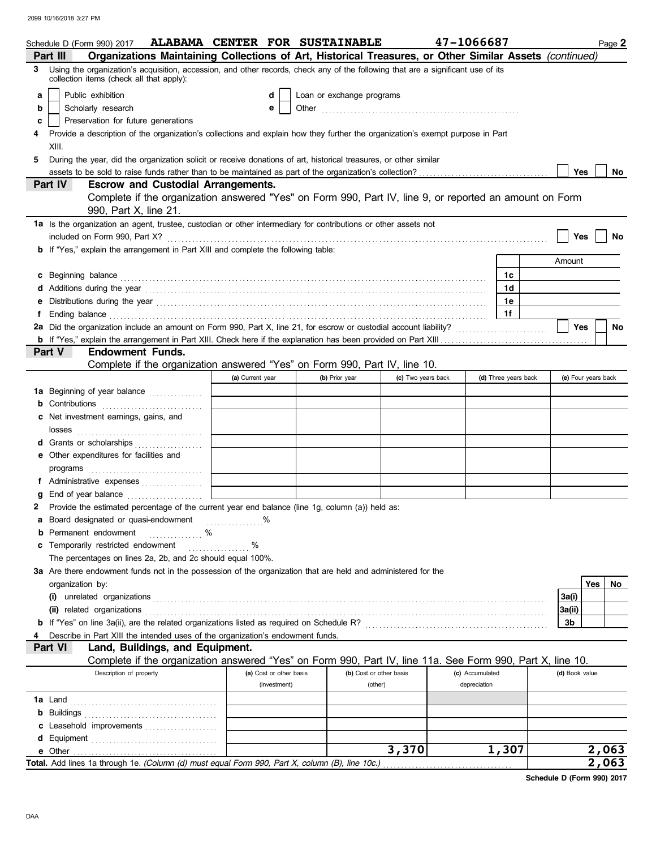| Schedule D (Form 990) 2017                                                                                                                                                                                                     |                                                                                                                                                                            |                         | ALABAMA CENTER FOR SUSTAINABLE |                    | 47-1066687      |                      | Page 2              |  |
|--------------------------------------------------------------------------------------------------------------------------------------------------------------------------------------------------------------------------------|----------------------------------------------------------------------------------------------------------------------------------------------------------------------------|-------------------------|--------------------------------|--------------------|-----------------|----------------------|---------------------|--|
| Organizations Maintaining Collections of Art, Historical Treasures, or Other Similar Assets (continued)<br>Part III                                                                                                            |                                                                                                                                                                            |                         |                                |                    |                 |                      |                     |  |
| 3<br>collection items (check all that apply):                                                                                                                                                                                  | Using the organization's acquisition, accession, and other records, check any of the following that are a significant use of its                                           |                         |                                |                    |                 |                      |                     |  |
| Public exhibition<br>a                                                                                                                                                                                                         | d<br>Loan or exchange programs                                                                                                                                             |                         |                                |                    |                 |                      |                     |  |
| Scholarly research<br>b                                                                                                                                                                                                        | е                                                                                                                                                                          |                         |                                |                    |                 |                      |                     |  |
|                                                                                                                                                                                                                                |                                                                                                                                                                            |                         |                                |                    |                 |                      |                     |  |
|                                                                                                                                                                                                                                | Preservation for future generations<br>c<br>Provide a description of the organization's collections and explain how they further the organization's exempt purpose in Part |                         |                                |                    |                 |                      |                     |  |
| XIII.                                                                                                                                                                                                                          |                                                                                                                                                                            |                         |                                |                    |                 |                      |                     |  |
| During the year, did the organization solicit or receive donations of art, historical treasures, or other similar<br>5                                                                                                         |                                                                                                                                                                            |                         |                                |                    |                 |                      |                     |  |
|                                                                                                                                                                                                                                |                                                                                                                                                                            |                         |                                |                    |                 |                      | Yes<br>No           |  |
| <b>Escrow and Custodial Arrangements.</b><br><b>Part IV</b>                                                                                                                                                                    |                                                                                                                                                                            |                         |                                |                    |                 |                      |                     |  |
| Complete if the organization answered "Yes" on Form 990, Part IV, line 9, or reported an amount on Form<br>990, Part X, line 21.                                                                                               |                                                                                                                                                                            |                         |                                |                    |                 |                      |                     |  |
| 1a Is the organization an agent, trustee, custodian or other intermediary for contributions or other assets not                                                                                                                |                                                                                                                                                                            |                         |                                |                    |                 |                      |                     |  |
| included on Form 990, Part X?                                                                                                                                                                                                  |                                                                                                                                                                            |                         |                                |                    |                 |                      | Yes<br>No           |  |
| <b>b</b> If "Yes," explain the arrangement in Part XIII and complete the following table:                                                                                                                                      |                                                                                                                                                                            |                         |                                |                    |                 |                      |                     |  |
|                                                                                                                                                                                                                                |                                                                                                                                                                            |                         |                                |                    |                 |                      | Amount              |  |
| Beginning balance<br>c                                                                                                                                                                                                         |                                                                                                                                                                            |                         |                                |                    |                 | 1c                   |                     |  |
| Additions during the year contained and according to the year contained and according the year contained and according the year contained and according the year contained and according to the state of the state of the stat |                                                                                                                                                                            |                         |                                |                    |                 | 1d                   |                     |  |
|                                                                                                                                                                                                                                |                                                                                                                                                                            |                         |                                |                    |                 | 1e                   |                     |  |
| Ending balance contains and account of the contact of the contact of the contact of the contact of the contact of the contact of the contact of the contact of the contact of the contact of the contact of the contact of the |                                                                                                                                                                            |                         |                                |                    |                 | 1f                   |                     |  |
| 2a Did the organization include an amount on Form 990, Part X, line 21, for escrow or custodial account liability?                                                                                                             |                                                                                                                                                                            |                         |                                |                    |                 |                      | Yes<br>No           |  |
|                                                                                                                                                                                                                                |                                                                                                                                                                            |                         |                                |                    |                 |                      |                     |  |
| Part V<br><b>Endowment Funds.</b>                                                                                                                                                                                              |                                                                                                                                                                            |                         |                                |                    |                 |                      |                     |  |
| Complete if the organization answered "Yes" on Form 990, Part IV, line 10.                                                                                                                                                     |                                                                                                                                                                            |                         |                                |                    |                 |                      |                     |  |
|                                                                                                                                                                                                                                | (a) Current year                                                                                                                                                           |                         | (b) Prior year                 | (c) Two years back |                 | (d) Three years back | (e) Four years back |  |
| <b>1a</b> Beginning of year balance <i>minimizing</i>                                                                                                                                                                          |                                                                                                                                                                            |                         |                                |                    |                 |                      |                     |  |
| Contributions                                                                                                                                                                                                                  |                                                                                                                                                                            |                         |                                |                    |                 |                      |                     |  |
| Net investment earnings, gains, and                                                                                                                                                                                            |                                                                                                                                                                            |                         |                                |                    |                 |                      |                     |  |
| losses                                                                                                                                                                                                                         |                                                                                                                                                                            |                         |                                |                    |                 |                      |                     |  |
| d Grants or scholarships                                                                                                                                                                                                       |                                                                                                                                                                            |                         |                                |                    |                 |                      |                     |  |
| .<br>Other expenditures for facilities and                                                                                                                                                                                     |                                                                                                                                                                            |                         |                                |                    |                 |                      |                     |  |
| programs                                                                                                                                                                                                                       |                                                                                                                                                                            |                         |                                |                    |                 |                      |                     |  |
| f Administrative expenses                                                                                                                                                                                                      |                                                                                                                                                                            |                         |                                |                    |                 |                      |                     |  |
|                                                                                                                                                                                                                                |                                                                                                                                                                            |                         |                                |                    |                 |                      |                     |  |
| End of year balance                                                                                                                                                                                                            |                                                                                                                                                                            |                         |                                |                    |                 |                      |                     |  |
| Provide the estimated percentage of the current year end balance (line 1g, column (a)) held as:                                                                                                                                |                                                                                                                                                                            |                         |                                |                    |                 |                      |                     |  |
| Board designated or quasi-endowment %                                                                                                                                                                                          |                                                                                                                                                                            |                         |                                |                    |                 |                      |                     |  |
| Permanent endowment<br>b                                                                                                                                                                                                       |                                                                                                                                                                            |                         |                                |                    |                 |                      |                     |  |
| Temporarily restricted endowment                                                                                                                                                                                               | %                                                                                                                                                                          |                         |                                |                    |                 |                      |                     |  |
| The percentages on lines 2a, 2b, and 2c should equal 100%.                                                                                                                                                                     |                                                                                                                                                                            |                         |                                |                    |                 |                      |                     |  |
| 3a Are there endowment funds not in the possession of the organization that are held and administered for the                                                                                                                  |                                                                                                                                                                            |                         |                                |                    |                 |                      |                     |  |
| organization by:                                                                                                                                                                                                               |                                                                                                                                                                            |                         |                                |                    |                 |                      | Yes<br>No           |  |
| (i) unrelated organizations entertainment and a set of the contract of the contract or the contract or the contract or the contract or the contract or the contract or the contract of the contract of the contract or the con |                                                                                                                                                                            |                         |                                |                    |                 |                      | 3a(i)               |  |
| (ii) related organizations                                                                                                                                                                                                     |                                                                                                                                                                            |                         |                                |                    |                 |                      | 3a(ii)              |  |
| 3b                                                                                                                                                                                                                             |                                                                                                                                                                            |                         |                                |                    |                 |                      |                     |  |
| Describe in Part XIII the intended uses of the organization's endowment funds.                                                                                                                                                 |                                                                                                                                                                            |                         |                                |                    |                 |                      |                     |  |
| Part VI<br>Land, Buildings, and Equipment.                                                                                                                                                                                     |                                                                                                                                                                            |                         |                                |                    |                 |                      |                     |  |
| Complete if the organization answered "Yes" on Form 990, Part IV, line 11a. See Form 990, Part X, line 10.                                                                                                                     |                                                                                                                                                                            |                         |                                |                    |                 |                      |                     |  |
| Description of property                                                                                                                                                                                                        |                                                                                                                                                                            | (a) Cost or other basis | (b) Cost or other basis        |                    | (c) Accumulated |                      | (d) Book value      |  |
|                                                                                                                                                                                                                                |                                                                                                                                                                            | (investment)            | (other)                        |                    | depreciation    |                      |                     |  |
| <b>1a</b> Land                                                                                                                                                                                                                 |                                                                                                                                                                            |                         |                                |                    |                 |                      |                     |  |
| <b>b</b> Buildings                                                                                                                                                                                                             |                                                                                                                                                                            |                         |                                |                    |                 |                      |                     |  |
| c Leasehold improvements                                                                                                                                                                                                       |                                                                                                                                                                            |                         |                                |                    |                 |                      |                     |  |
|                                                                                                                                                                                                                                |                                                                                                                                                                            |                         |                                |                    |                 |                      |                     |  |
|                                                                                                                                                                                                                                |                                                                                                                                                                            |                         |                                | 3,370              |                 | 1,307                | 2,063               |  |
| Total. Add lines 1a through 1e. (Column (d) must equal Form 990, Part X, column (B), line 10c.)                                                                                                                                |                                                                                                                                                                            |                         |                                |                    |                 |                      | 2,063               |  |

Schedule D (Form 990) 2017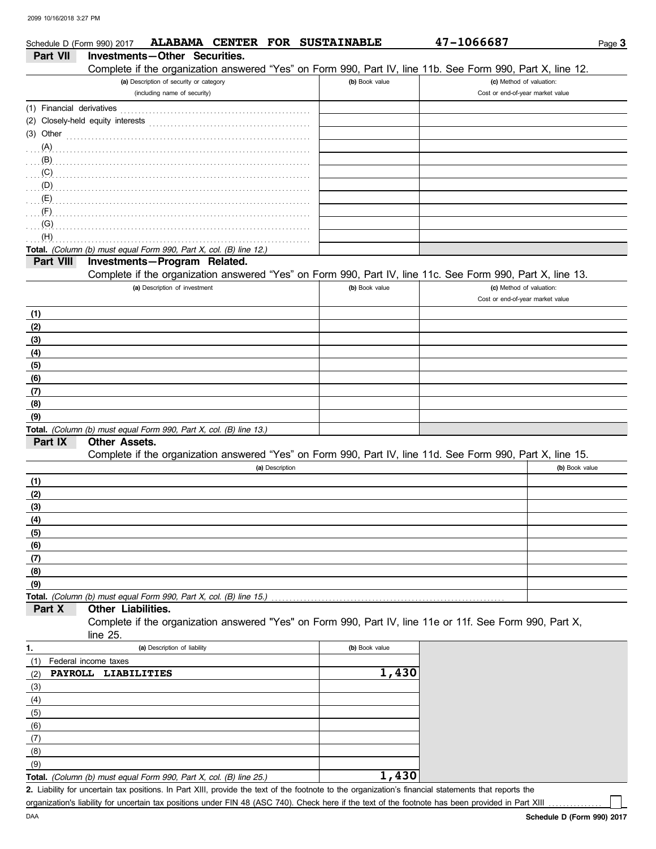| Schedule D (Form 990) 2017 | ALABAMA CENTER FOR SUSTAINABLE                                                                             |                | 47-1066687                                                   | Page 3         |
|----------------------------|------------------------------------------------------------------------------------------------------------|----------------|--------------------------------------------------------------|----------------|
| Part VII                   | Investments-Other Securities.                                                                              |                |                                                              |                |
|                            | Complete if the organization answered "Yes" on Form 990, Part IV, line 11b. See Form 990, Part X, line 12. |                |                                                              |                |
|                            | (a) Description of security or category<br>(including name of security)                                    | (b) Book value | (c) Method of valuation:<br>Cost or end-of-year market value |                |
|                            |                                                                                                            |                |                                                              |                |
| (1) Financial derivatives  |                                                                                                            |                |                                                              |                |
|                            |                                                                                                            |                |                                                              |                |
|                            | (3) Other $\ldots$ and $\ldots$ and $\ldots$ and $\ldots$                                                  |                |                                                              |                |
| $(A)$ .                    |                                                                                                            |                |                                                              |                |
|                            |                                                                                                            |                |                                                              |                |
| (C)                        |                                                                                                            |                |                                                              |                |
| (D)<br>(E)                 |                                                                                                            |                |                                                              |                |
| (F)                        |                                                                                                            |                |                                                              |                |
| (G)                        |                                                                                                            |                |                                                              |                |
| (H)                        |                                                                                                            |                |                                                              |                |
|                            | Total. (Column (b) must equal Form 990, Part X, col. (B) line 12.)                                         |                |                                                              |                |
| Part VIII                  | Investments-Program Related.                                                                               |                |                                                              |                |
|                            | Complete if the organization answered "Yes" on Form 990, Part IV, line 11c. See Form 990, Part X, line 13. |                |                                                              |                |
|                            | (a) Description of investment                                                                              | (b) Book value | (c) Method of valuation:                                     |                |
|                            |                                                                                                            |                | Cost or end-of-year market value                             |                |
| (1)                        |                                                                                                            |                |                                                              |                |
| (2)                        |                                                                                                            |                |                                                              |                |
| (3)                        |                                                                                                            |                |                                                              |                |
| (4)                        |                                                                                                            |                |                                                              |                |
| (5)                        |                                                                                                            |                |                                                              |                |
| (6)                        |                                                                                                            |                |                                                              |                |
| (7)                        |                                                                                                            |                |                                                              |                |
| (8)                        |                                                                                                            |                |                                                              |                |
| (9)                        |                                                                                                            |                |                                                              |                |
|                            | Total. (Column (b) must equal Form 990, Part X, col. (B) line 13.)                                         |                |                                                              |                |
| Part IX                    | <b>Other Assets.</b>                                                                                       |                |                                                              |                |
|                            | Complete if the organization answered "Yes" on Form 990, Part IV, line 11d. See Form 990, Part X, line 15. |                |                                                              |                |
|                            | (a) Description                                                                                            |                |                                                              | (b) Book value |
| (1)                        |                                                                                                            |                |                                                              |                |
| (2)                        |                                                                                                            |                |                                                              |                |
| (3)                        |                                                                                                            |                |                                                              |                |
| (4)                        |                                                                                                            |                |                                                              |                |
| (5)                        |                                                                                                            |                |                                                              |                |
| (6)                        |                                                                                                            |                |                                                              |                |
| (7)                        |                                                                                                            |                |                                                              |                |
| (8)                        |                                                                                                            |                |                                                              |                |
| (9)                        |                                                                                                            |                |                                                              |                |
|                            | Total. (Column (b) must equal Form 990, Part X, col. (B) line 15.)                                         |                |                                                              |                |
| Part X                     | Other Liabilities.                                                                                         |                |                                                              |                |
|                            | Complete if the organization answered "Yes" on Form 990, Part IV, line 11e or 11f. See Form 990, Part X,   |                |                                                              |                |
|                            | line $25$ .                                                                                                |                |                                                              |                |
| 1.                         | (a) Description of liability                                                                               | (b) Book value |                                                              |                |
| (1)                        | Federal income taxes                                                                                       |                |                                                              |                |
| (2)                        | PAYROLL LIABILITIES                                                                                        | 1,430          |                                                              |                |
| (3)                        |                                                                                                            |                |                                                              |                |
| (4)                        |                                                                                                            |                |                                                              |                |
| (5)                        |                                                                                                            |                |                                                              |                |
| (6)                        |                                                                                                            |                |                                                              |                |
| (7)                        |                                                                                                            |                |                                                              |                |
| (8)                        |                                                                                                            |                |                                                              |                |
| (9)                        |                                                                                                            |                |                                                              |                |
|                            | Total. (Column (b) must equal Form 990, Part X, col. (B) line 25.)                                         | 1,430          |                                                              |                |

| <b>Total.</b> (Column (b) must equal Form 990, Part X, col. (B) line $25$ .) |
|------------------------------------------------------------------------------|
|------------------------------------------------------------------------------|

2. Liability for uncertain tax positions. In Part XIII, provide the text of the footnote to the organization's financial statements that reports the organization's liability for uncertain tax positions under FIN 48 (ASC 740). Check here if the text of the footnote has been provided in Part XIII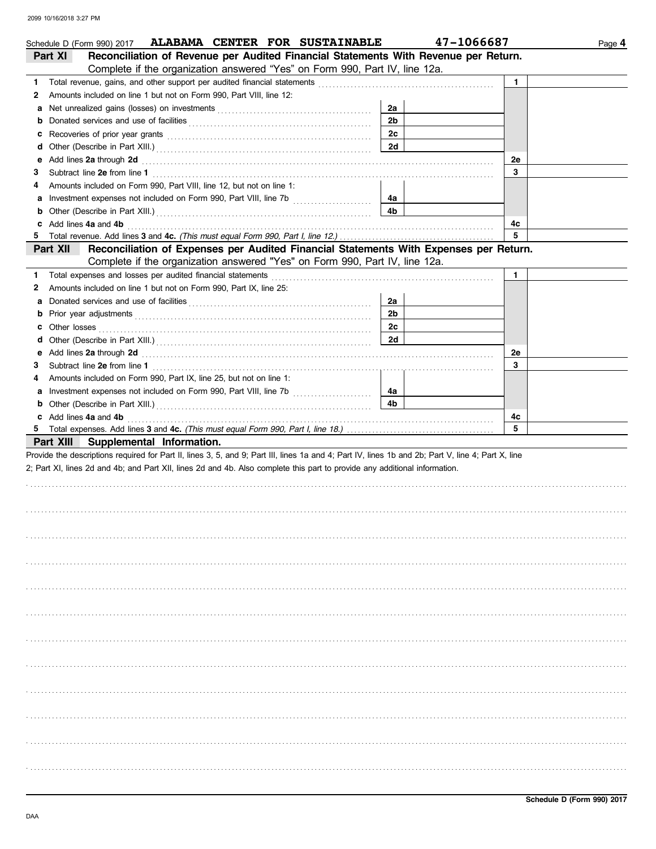| Schedule D (Form 990) 2017 ALABAMA CENTER FOR SUSTAINABLE                                                                                                                                                                                 |                | 47-1066687   | Page 4 |
|-------------------------------------------------------------------------------------------------------------------------------------------------------------------------------------------------------------------------------------------|----------------|--------------|--------|
| Reconciliation of Revenue per Audited Financial Statements With Revenue per Return.<br>Part XI                                                                                                                                            |                |              |        |
| Complete if the organization answered "Yes" on Form 990, Part IV, line 12a.                                                                                                                                                               |                |              |        |
| 1                                                                                                                                                                                                                                         |                | $\mathbf{1}$ |        |
| Amounts included on line 1 but not on Form 990, Part VIII, line 12:<br>2                                                                                                                                                                  |                |              |        |
| а                                                                                                                                                                                                                                         | 2a             |              |        |
|                                                                                                                                                                                                                                           | 2 <sub>b</sub> |              |        |
| C                                                                                                                                                                                                                                         | 2c             |              |        |
|                                                                                                                                                                                                                                           | 2d             |              |        |
| Add lines 2a through 2d <b>contained a contained a contained a contained a contained a contained a contained a contained a contained a contained a contained a contained a contained a contained a contained a contained a conta</b><br>e |                | <b>2e</b>    |        |
| 3                                                                                                                                                                                                                                         |                | 3            |        |
| Amounts included on Form 990, Part VIII, line 12, but not on line 1:<br>4                                                                                                                                                                 |                |              |        |
| a                                                                                                                                                                                                                                         | 4a             |              |        |
|                                                                                                                                                                                                                                           | 4b             |              |        |
| c Add lines 4a and 4b                                                                                                                                                                                                                     |                | 4c           |        |
| 5.                                                                                                                                                                                                                                        |                | 5            |        |
| Reconciliation of Expenses per Audited Financial Statements With Expenses per Return.<br>Part XII                                                                                                                                         |                |              |        |
| Complete if the organization answered "Yes" on Form 990, Part IV, line 12a.                                                                                                                                                               |                |              |        |
| Total expenses and losses per audited financial statements [11] contain the container and statements and the statements and the statements and the statements and the statements and the statements are statements and the sta<br>1       |                | 1            |        |
| Amounts included on line 1 but not on Form 990, Part IX, line 25:<br>2                                                                                                                                                                    |                |              |        |
| а                                                                                                                                                                                                                                         | 2a             |              |        |
|                                                                                                                                                                                                                                           | 2b             |              |        |
| c Other losses <b>contained</b> and <b>contained a stress of other losses</b>                                                                                                                                                             | 2c             |              |        |
|                                                                                                                                                                                                                                           | 2d             |              |        |
| e Add lines 2a through 2d (and all contracts and all contracts and all contracts and all contracts and all contracts and all contracts and all contracts and all contracts and all contracts and all contracts and all contrac            |                | <b>2e</b>    |        |
| 3                                                                                                                                                                                                                                         |                | 3            |        |
| Amounts included on Form 990, Part IX, line 25, but not on line 1:<br>4                                                                                                                                                                   |                |              |        |
| а                                                                                                                                                                                                                                         | 4a             |              |        |
|                                                                                                                                                                                                                                           | 4b             |              |        |
| c Add lines 4a and 4b                                                                                                                                                                                                                     |                | 4c<br>5      |        |
| Part XIII Supplemental Information.                                                                                                                                                                                                       |                |              |        |
| Provide the descriptions required for Part II, lines 3, 5, and 9; Part III, lines 1a and 4; Part IV, lines 1b and 2b; Part V, line 4; Part X, line                                                                                        |                |              |        |
| 2; Part XI, lines 2d and 4b; and Part XII, lines 2d and 4b. Also complete this part to provide any additional information.                                                                                                                |                |              |        |
|                                                                                                                                                                                                                                           |                |              |        |
|                                                                                                                                                                                                                                           |                |              |        |
|                                                                                                                                                                                                                                           |                |              |        |
|                                                                                                                                                                                                                                           |                |              |        |
|                                                                                                                                                                                                                                           |                |              |        |
|                                                                                                                                                                                                                                           |                |              |        |
|                                                                                                                                                                                                                                           |                |              |        |
|                                                                                                                                                                                                                                           |                |              |        |
|                                                                                                                                                                                                                                           |                |              |        |
|                                                                                                                                                                                                                                           |                |              |        |
|                                                                                                                                                                                                                                           |                |              |        |
|                                                                                                                                                                                                                                           |                |              |        |
|                                                                                                                                                                                                                                           |                |              |        |
|                                                                                                                                                                                                                                           |                |              |        |
|                                                                                                                                                                                                                                           |                |              |        |
|                                                                                                                                                                                                                                           |                |              |        |
|                                                                                                                                                                                                                                           |                |              |        |
|                                                                                                                                                                                                                                           |                |              |        |
|                                                                                                                                                                                                                                           |                |              |        |
|                                                                                                                                                                                                                                           |                |              |        |
|                                                                                                                                                                                                                                           |                |              |        |
|                                                                                                                                                                                                                                           |                |              |        |
|                                                                                                                                                                                                                                           |                |              |        |
|                                                                                                                                                                                                                                           |                |              |        |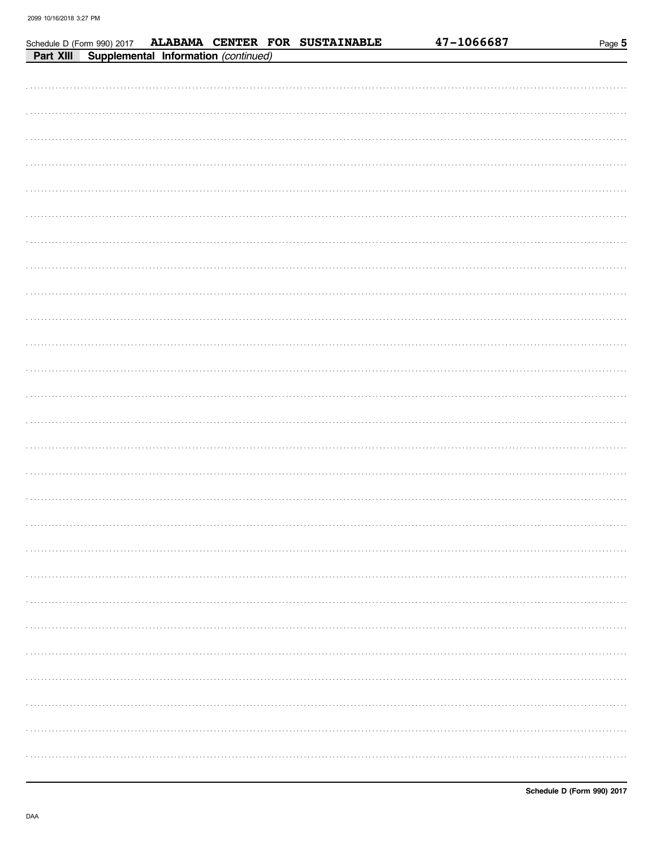| Schedule D (Form 990) 2017 ALABAMA CENTER FOR SUSTAINABLE Part XIII Supplemental Information (continued)<br>. |  |  | 47-1066687 | Page 5 |
|---------------------------------------------------------------------------------------------------------------|--|--|------------|--------|
|                                                                                                               |  |  |            |        |
|                                                                                                               |  |  |            |        |
|                                                                                                               |  |  |            |        |
|                                                                                                               |  |  |            |        |
|                                                                                                               |  |  |            |        |
|                                                                                                               |  |  |            |        |
|                                                                                                               |  |  |            |        |
|                                                                                                               |  |  |            |        |
|                                                                                                               |  |  |            |        |
|                                                                                                               |  |  |            |        |
|                                                                                                               |  |  |            |        |
|                                                                                                               |  |  |            |        |
|                                                                                                               |  |  |            |        |
|                                                                                                               |  |  |            |        |
|                                                                                                               |  |  |            |        |
|                                                                                                               |  |  |            |        |
|                                                                                                               |  |  |            |        |
|                                                                                                               |  |  |            |        |
|                                                                                                               |  |  |            |        |
|                                                                                                               |  |  |            |        |
|                                                                                                               |  |  |            |        |
|                                                                                                               |  |  |            |        |
|                                                                                                               |  |  |            |        |
|                                                                                                               |  |  |            |        |
|                                                                                                               |  |  |            |        |
|                                                                                                               |  |  |            |        |
|                                                                                                               |  |  |            |        |
|                                                                                                               |  |  |            |        |
|                                                                                                               |  |  |            |        |
|                                                                                                               |  |  |            |        |
|                                                                                                               |  |  |            |        |
|                                                                                                               |  |  |            |        |
|                                                                                                               |  |  |            |        |
|                                                                                                               |  |  |            |        |
|                                                                                                               |  |  |            |        |
|                                                                                                               |  |  |            |        |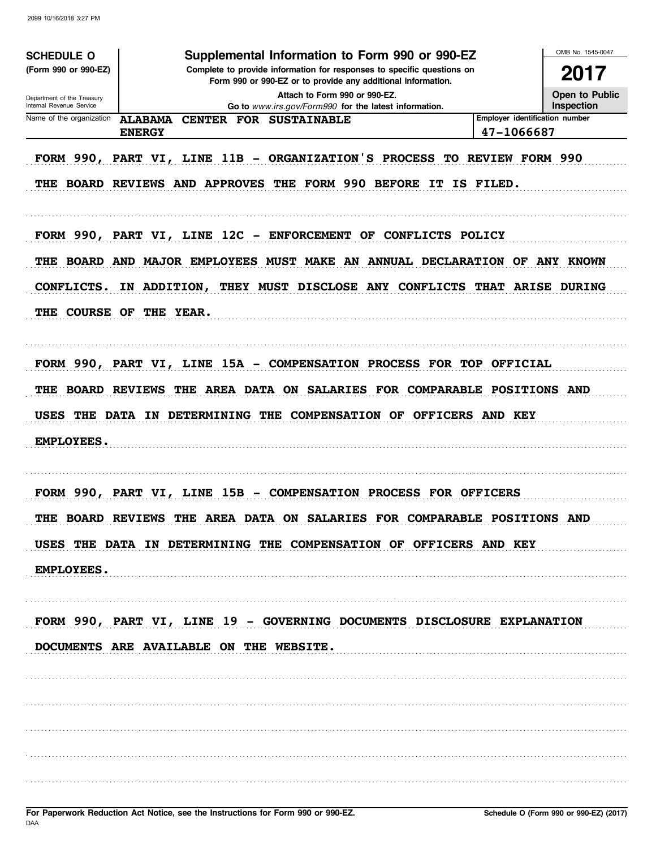| <b>SCHEDULE O</b><br>(Form 990 or 990-EZ)              | OMB No. 1545-0047<br>2017                                                                                                                                                                                                 |                                              |                              |
|--------------------------------------------------------|---------------------------------------------------------------------------------------------------------------------------------------------------------------------------------------------------------------------------|----------------------------------------------|------------------------------|
| Department of the Treasury<br>Internal Revenue Service | Attach to Form 990 or 990-EZ.<br>Go to www.irs.gov/Form990 for the latest information.                                                                                                                                    |                                              | Open to Public<br>Inspection |
| Name of the organization                               | ALABAMA CENTER FOR SUSTAINABLE<br><b>ENERGY</b>                                                                                                                                                                           | Employer identification number<br>47-1066687 |                              |
|                                                        | FORM 990, PART VI, LINE 11B - ORGANIZATION'S PROCESS TO REVIEW FORM 990<br>THE BOARD REVIEWS AND APPROVES THE FORM 990 BEFORE IT IS FILED.                                                                                |                                              |                              |
| THE COURSE OF THE YEAR.                                | FORM 990, PART VI, LINE 12C - ENFORCEMENT OF CONFLICTS POLICY<br>THE BOARD AND MAJOR EMPLOYEES MUST MAKE AN ANNUAL DECLARATION OF ANY KNOWN<br>CONFLICTS. IN ADDITION, THEY MUST DISCLOSE ANY CONFLICTS THAT ARISE DURING |                                              |                              |
| EMPLOYEES.                                             | FORM 990, PART VI, LINE 15A - COMPENSATION PROCESS FOR TOP OFFICIAL<br>THE BOARD REVIEWS THE AREA DATA ON SALARIES FOR COMPARABLE POSITIONS AND<br>USES THE DATA IN DETERMINING THE COMPENSATION OF OFFICERS AND KEY      |                                              |                              |
| <b>EMPLOYEES.</b>                                      | FORM 990, PART VI, LINE 15B - COMPENSATION PROCESS FOR OFFICERS<br>THE BOARD REVIEWS THE AREA DATA ON SALARIES FOR COMPARABLE POSITIONS AND<br>USES THE DATA IN DETERMINING THE COMPENSATION OF OFFICERS AND KEY          |                                              |                              |
|                                                        | FORM 990, PART VI, LINE 19 - GOVERNING DOCUMENTS DISCLOSURE EXPLANATION<br>DOCUMENTS ARE AVAILABLE ON THE WEBSITE.                                                                                                        |                                              |                              |
|                                                        |                                                                                                                                                                                                                           |                                              |                              |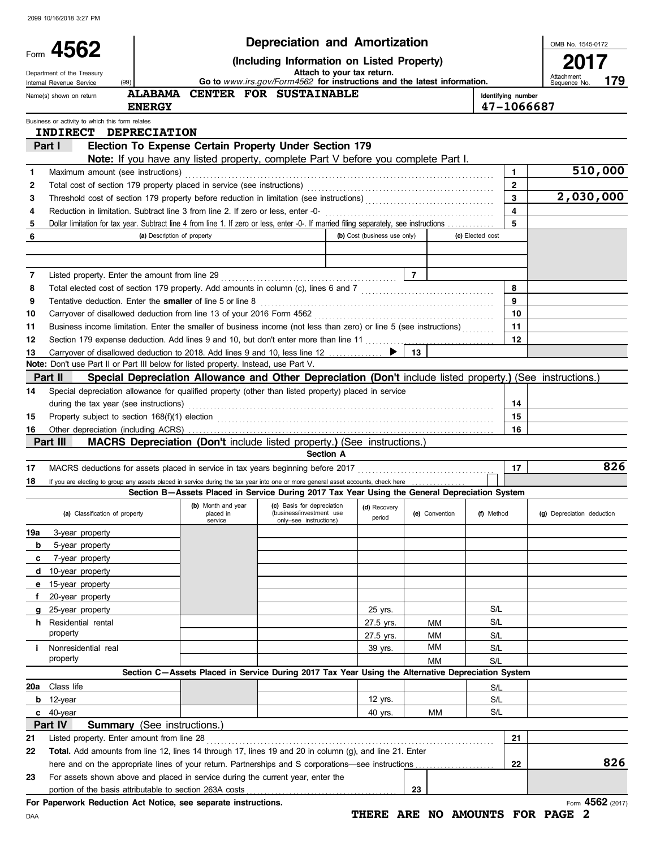|     | Form 4562                                                                                                                                                   |                             |                                                                                                   | <b>Depreciation and Amortization</b><br>(Including Information on Listed Property) |                              |                |                    | OMB No. 1545-0172                                                                                          |
|-----|-------------------------------------------------------------------------------------------------------------------------------------------------------------|-----------------------------|---------------------------------------------------------------------------------------------------|------------------------------------------------------------------------------------|------------------------------|----------------|--------------------|------------------------------------------------------------------------------------------------------------|
|     | Department of the Treasury                                                                                                                                  |                             |                                                                                                   |                                                                                    | Attach to your tax return.   |                |                    | Attachment                                                                                                 |
|     | (99)<br>Internal Revenue Service                                                                                                                            |                             |                                                                                                   | Go to www.irs.gov/Form4562 for instructions and the latest information.            |                              |                |                    | 179<br>Sequence No.                                                                                        |
|     | Name(s) shown on return                                                                                                                                     |                             | ALABAMA CENTER FOR SUSTAINABLE                                                                    |                                                                                    |                              |                | Identifying number |                                                                                                            |
|     |                                                                                                                                                             | <b>ENERGY</b>               |                                                                                                   |                                                                                    |                              |                | 47-1066687         |                                                                                                            |
|     | Business or activity to which this form relates                                                                                                             |                             |                                                                                                   |                                                                                    |                              |                |                    |                                                                                                            |
|     | <b>INDIRECT</b>                                                                                                                                             | <b>DEPRECIATION</b>         |                                                                                                   |                                                                                    |                              |                |                    |                                                                                                            |
|     | Part I                                                                                                                                                      |                             | Election To Expense Certain Property Under Section 179                                            |                                                                                    |                              |                |                    |                                                                                                            |
|     |                                                                                                                                                             |                             | Note: If you have any listed property, complete Part V before you complete Part I.                |                                                                                    |                              |                |                    |                                                                                                            |
| 1   | Maximum amount (see instructions)                                                                                                                           |                             |                                                                                                   |                                                                                    |                              |                | $\mathbf{1}$       | 510,000                                                                                                    |
| 2   | Total cost of section 179 property placed in service (see instructions)                                                                                     |                             |                                                                                                   |                                                                                    |                              |                | $\overline{2}$     |                                                                                                            |
| 3   |                                                                                                                                                             |                             |                                                                                                   |                                                                                    |                              |                | 3                  | $\overline{2,030,000}$                                                                                     |
| 4   | Reduction in limitation. Subtract line 3 from line 2. If zero or less, enter -0-                                                                            |                             |                                                                                                   |                                                                                    |                              |                | 4                  |                                                                                                            |
| 5   | Dollar limitation for tax year. Subtract line 4 from line 1. If zero or less, enter -0-. If married filing separately, see instructions                     |                             |                                                                                                   |                                                                                    |                              |                | 5                  |                                                                                                            |
| 6   |                                                                                                                                                             | (a) Description of property |                                                                                                   |                                                                                    | (b) Cost (business use only) |                | (c) Elected cost   |                                                                                                            |
|     |                                                                                                                                                             |                             |                                                                                                   |                                                                                    |                              |                |                    |                                                                                                            |
|     |                                                                                                                                                             |                             |                                                                                                   |                                                                                    |                              |                |                    |                                                                                                            |
| 7   | Listed property. Enter the amount from line 29                                                                                                              |                             |                                                                                                   |                                                                                    |                              | $\overline{7}$ |                    |                                                                                                            |
| 8   | Total elected cost of section 179 property. Add amounts in column (c), lines 6 and 7 [11] [11] Cost Cost Cost Cost Cost Cost Cost Column (c), lines 6 and 7 |                             |                                                                                                   |                                                                                    |                              |                | 8                  |                                                                                                            |
| 9   | Tentative deduction. Enter the smaller of line 5 or line 8                                                                                                  |                             |                                                                                                   |                                                                                    |                              |                | 9                  |                                                                                                            |
| 10  | Carryover of disallowed deduction from line 13 of your 2016 Form 4562                                                                                       |                             |                                                                                                   |                                                                                    |                              |                | 10                 |                                                                                                            |
| 11  | Business income limitation. Enter the smaller of business income (not less than zero) or line 5 (see instructions)                                          |                             |                                                                                                   |                                                                                    |                              |                | 11                 |                                                                                                            |
| 12  |                                                                                                                                                             |                             |                                                                                                   |                                                                                    |                              |                | 12                 |                                                                                                            |
| 13  | Carryover of disallowed deduction to 2018. Add lines 9 and 10, less line 12                                                                                 |                             |                                                                                                   |                                                                                    |                              | 13             |                    |                                                                                                            |
|     | <b>Note:</b> Don't use Part II or Part III below for listed property. Instead, use Part V.                                                                  |                             |                                                                                                   |                                                                                    |                              |                |                    |                                                                                                            |
|     | Part II                                                                                                                                                     |                             |                                                                                                   |                                                                                    |                              |                |                    | Special Depreciation Allowance and Other Depreciation (Don't include listed property.) (See instructions.) |
| 14  | Special depreciation allowance for qualified property (other than listed property) placed in service                                                        |                             |                                                                                                   |                                                                                    |                              |                |                    |                                                                                                            |
|     | during the tax year (see instructions)                                                                                                                      |                             |                                                                                                   |                                                                                    |                              |                | 14                 |                                                                                                            |
| 15  |                                                                                                                                                             |                             |                                                                                                   |                                                                                    |                              |                | 15                 |                                                                                                            |
| 16  | Other depreciation (including ACRS)                                                                                                                         |                             |                                                                                                   |                                                                                    |                              |                | 16                 |                                                                                                            |
|     | Part III                                                                                                                                                    |                             | MACRS Depreciation (Don't include listed property.) (See instructions.)                           |                                                                                    |                              |                |                    |                                                                                                            |
|     |                                                                                                                                                             |                             |                                                                                                   | <b>Section A</b>                                                                   |                              |                |                    |                                                                                                            |
| 17  |                                                                                                                                                             |                             |                                                                                                   |                                                                                    |                              |                | 17                 | 826                                                                                                        |
| 18  | If you are electing to group any assets placed in service during the tax year into one or more general asset accounts, check here                           |                             |                                                                                                   |                                                                                    |                              |                |                    |                                                                                                            |
|     |                                                                                                                                                             |                             | Section B-Assets Placed in Service During 2017 Tax Year Using the General Depreciation System     |                                                                                    |                              |                |                    |                                                                                                            |
|     | (a) Classification of property                                                                                                                              |                             | (b) Month and year<br>placed in<br>service                                                        | (c) Basis for depreciation<br>(business/investment use<br>only-see instructions)   | (d) Recovery<br>period       | (e) Convention | (f) Method         | (g) Depreciation deduction                                                                                 |
| 19a | 3-year property                                                                                                                                             |                             |                                                                                                   |                                                                                    |                              |                |                    |                                                                                                            |
| b   | 5-year property                                                                                                                                             |                             |                                                                                                   |                                                                                    |                              |                |                    |                                                                                                            |
| c   | 7-year property                                                                                                                                             |                             |                                                                                                   |                                                                                    |                              |                |                    |                                                                                                            |
| d   | 10-year property                                                                                                                                            |                             |                                                                                                   |                                                                                    |                              |                |                    |                                                                                                            |
|     | 15-year property                                                                                                                                            |                             |                                                                                                   |                                                                                    |                              |                |                    |                                                                                                            |
|     | 20-year property                                                                                                                                            |                             |                                                                                                   |                                                                                    |                              |                |                    |                                                                                                            |
|     | 25-year property                                                                                                                                            |                             |                                                                                                   |                                                                                    | 25 yrs.                      |                | S/L                |                                                                                                            |
| h.  | Residential rental                                                                                                                                          |                             |                                                                                                   |                                                                                    | 27.5 yrs.                    | MМ             | S/L                |                                                                                                            |
|     | property                                                                                                                                                    |                             |                                                                                                   |                                                                                    | 27.5 yrs.                    | MМ             | S/L                |                                                                                                            |
|     | Nonresidential real                                                                                                                                         |                             |                                                                                                   |                                                                                    | 39 yrs.                      | ΜМ             | S/L                |                                                                                                            |
|     | property                                                                                                                                                    |                             |                                                                                                   |                                                                                    |                              | МM             | S/L                |                                                                                                            |
|     |                                                                                                                                                             |                             | Section C-Assets Placed in Service During 2017 Tax Year Using the Alternative Depreciation System |                                                                                    |                              |                |                    |                                                                                                            |
| 20a | Class life                                                                                                                                                  |                             |                                                                                                   |                                                                                    |                              |                | S/L                |                                                                                                            |
| b   | 12-year                                                                                                                                                     |                             |                                                                                                   |                                                                                    | 12 yrs.                      |                | S/L                |                                                                                                            |
|     | c 40-year                                                                                                                                                   |                             |                                                                                                   |                                                                                    | 40 yrs.                      | МM             | S/L                |                                                                                                            |
|     | Part IV<br><b>Summary</b> (See instructions.)                                                                                                               |                             |                                                                                                   |                                                                                    |                              |                |                    |                                                                                                            |
|     |                                                                                                                                                             |                             |                                                                                                   |                                                                                    |                              |                |                    |                                                                                                            |
| 21  | Listed property. Enter amount from line 28                                                                                                                  |                             |                                                                                                   |                                                                                    |                              |                | 21                 |                                                                                                            |
| 22  | Total. Add amounts from line 12, lines 14 through 17, lines 19 and 20 in column (g), and line 21. Enter                                                     |                             |                                                                                                   |                                                                                    |                              |                |                    | 826                                                                                                        |
|     | here and on the appropriate lines of your return. Partnerships and S corporations—see instructions                                                          |                             |                                                                                                   |                                                                                    |                              |                | 22                 |                                                                                                            |
| 23  | For assets shown above and placed in service during the current year, enter the                                                                             |                             |                                                                                                   |                                                                                    |                              |                |                    |                                                                                                            |
|     | portion of the basis attributable to section 263A costs                                                                                                     |                             |                                                                                                   |                                                                                    |                              | 23             |                    |                                                                                                            |
| DAA | For Paperwork Reduction Act Notice, see separate instructions.                                                                                              |                             |                                                                                                   |                                                                                    |                              |                |                    | Form 4562 (2017)<br>THERE ARE NO AMOUNTS FOR PAGE 2                                                        |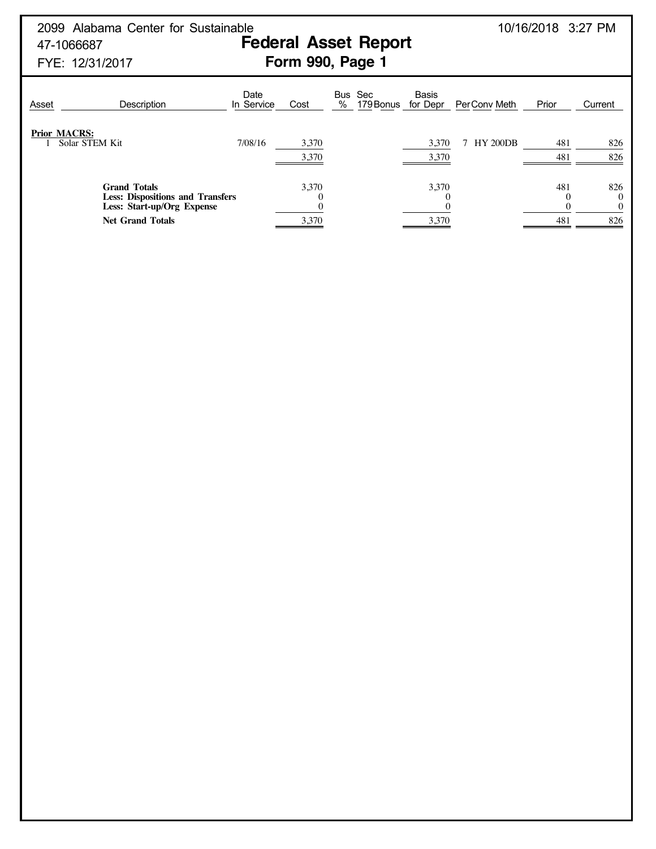FYE: 12/31/2017

## Form 990, Page 1

| Asset | Description                                                                                                             | Date<br>In Service | Cost           | Bus Sec | <b>Basis</b><br>% 179 Bonus for Depr | PerConv Meth    | Prior      | Current                |
|-------|-------------------------------------------------------------------------------------------------------------------------|--------------------|----------------|---------|--------------------------------------|-----------------|------------|------------------------|
|       | <b>Prior MACRS:</b><br>Solar STEM Kit                                                                                   | 7/08/16            | 3,370<br>3,370 |         | 3,370<br>3,370                       | <b>HY 200DB</b> | 481<br>481 | 826<br>826             |
|       | <b>Grand Totals</b><br><b>Less: Dispositions and Transfers</b><br>Less: Start-up/Org Expense<br><b>Net Grand Totals</b> |                    | 3.370<br>3,370 |         | 3,370<br>3,370                       |                 | 481<br>481 | 826<br>$\theta$<br>826 |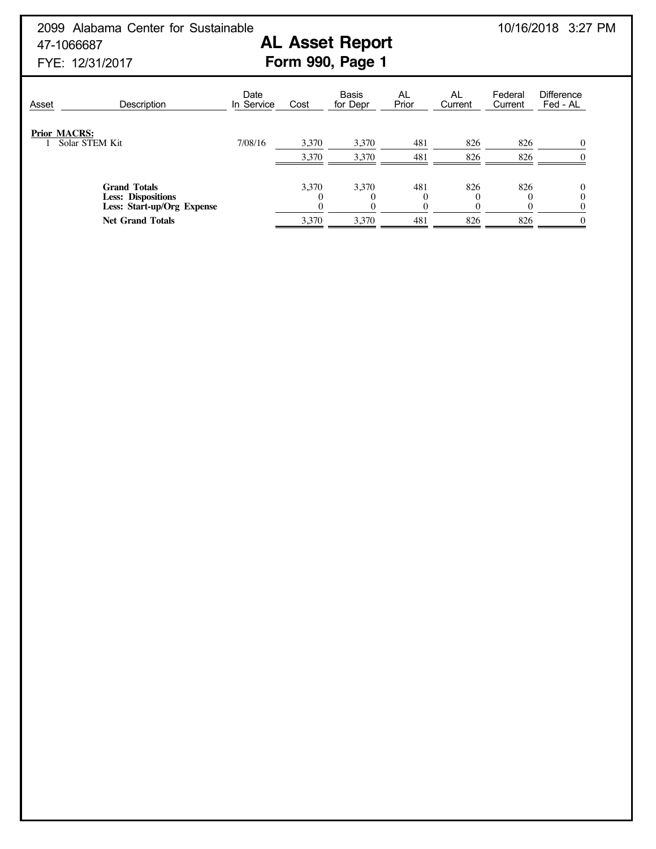2099 Alabama Center for Sustainable 47-1066687

# **AL Asset Report**

10/16/2018 3:27 PM

FYE: 12/31/2017

# Form 990, Page 1

| Asset | Description                                                                                               | Date<br>In Service | Cost                       | <b>Basis</b><br>for Depr | AL<br>Prior | AL<br>Current | Federal<br>Current | <b>Difference</b><br>Fed - AL |
|-------|-----------------------------------------------------------------------------------------------------------|--------------------|----------------------------|--------------------------|-------------|---------------|--------------------|-------------------------------|
|       | <b>Prior MACRS:</b><br>Solar STEM Kit                                                                     | 7/08/16            | 3.370<br>3.370             | 3,370<br>3.370           | 481<br>481  | 826<br>826    | 826<br>826         |                               |
|       | <b>Grand Totals</b><br><b>Less: Dispositions</b><br>Less: Start-up/Org Expense<br><b>Net Grand Totals</b> |                    | 3.370<br>$\Omega$<br>3,370 | 3.370<br>3.370           | 481<br>481  | 826<br>826    | 826<br>826         | $\Omega$<br>$\Omega$          |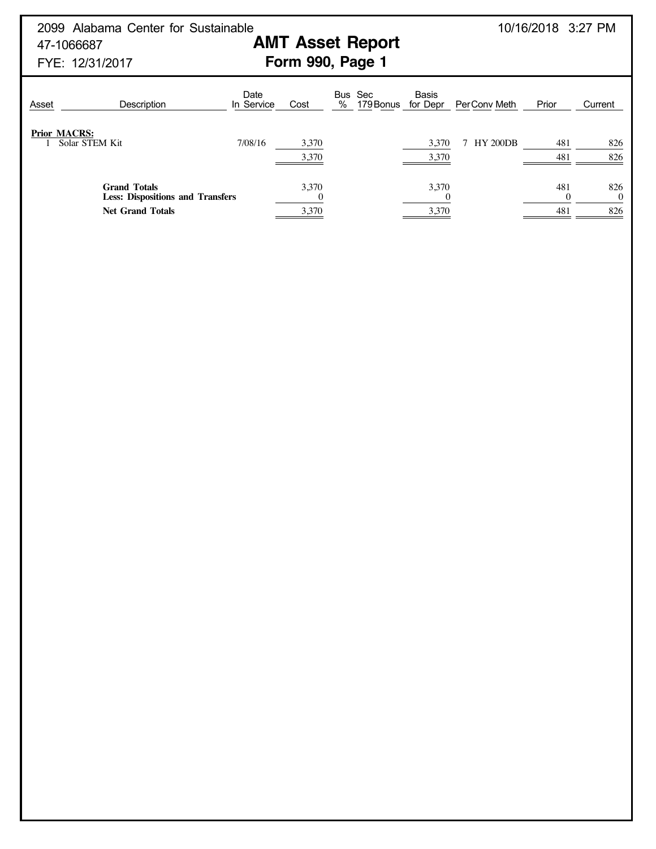2099 Alabama Center for Sustainable 47-1066687

# **AMT Asset Report**

10/16/2018 3:27 PM

FYE: 12/31/2017

## Form 990, Page 1

| Asset | Description                                                                               | Date<br>In Service | Cost           | Bus<br>% | Sec<br>179 Bonus for Depr | <b>Basis</b>   | PerConv Meth    | Prior      | Current    |
|-------|-------------------------------------------------------------------------------------------|--------------------|----------------|----------|---------------------------|----------------|-----------------|------------|------------|
|       | <b>Prior MACRS:</b><br>Solar STEM Kit                                                     | 7/08/16            | 3,370<br>3.370 |          |                           | 3,370<br>3.370 | <b>HY 200DB</b> | 481<br>481 | 826<br>826 |
|       | <b>Grand Totals</b><br><b>Less: Dispositions and Transfers</b><br><b>Net Grand Totals</b> |                    | 3.370<br>3.370 |          |                           | 3.370<br>3.370 |                 | 481<br>481 | 826<br>826 |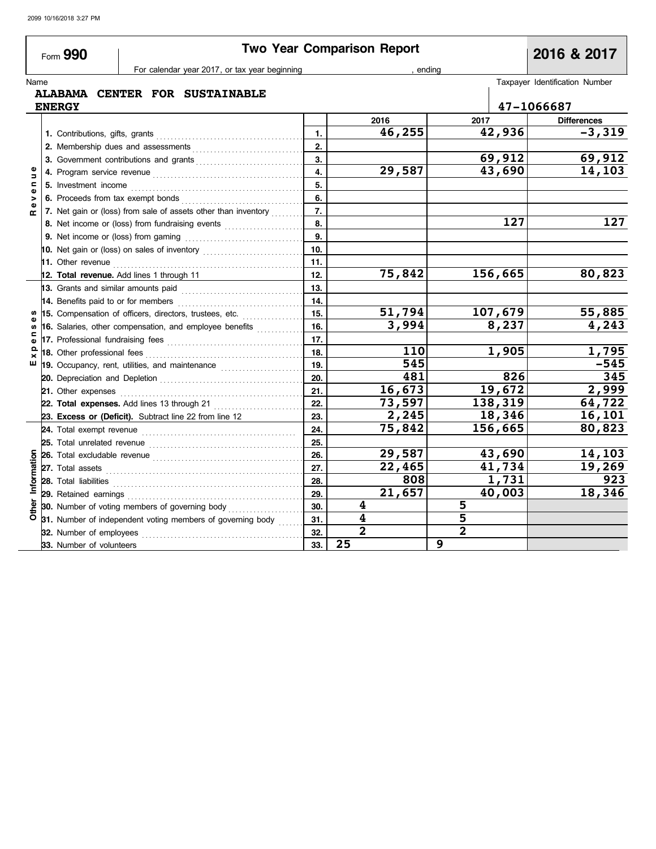|                    |               | Form 990                           |                                                                                                                                                                                                                                                                                        |     |    | <b>Two Year Comparison Report</b> |                         | 2016 & 2017                    |
|--------------------|---------------|------------------------------------|----------------------------------------------------------------------------------------------------------------------------------------------------------------------------------------------------------------------------------------------------------------------------------------|-----|----|-----------------------------------|-------------------------|--------------------------------|
|                    |               |                                    | For calendar year 2017, or tax year beginning                                                                                                                                                                                                                                          |     |    |                                   | endina                  |                                |
| Name               |               |                                    |                                                                                                                                                                                                                                                                                        |     |    |                                   |                         | Taxpayer Identification Number |
|                    |               |                                    | ALABAMA CENTER FOR SUSTAINABLE                                                                                                                                                                                                                                                         |     |    |                                   |                         |                                |
|                    | <b>ENERGY</b> |                                    |                                                                                                                                                                                                                                                                                        |     |    |                                   |                         | 47-1066687                     |
|                    |               |                                    |                                                                                                                                                                                                                                                                                        |     |    | 2016                              | 2017                    | <b>Differences</b>             |
|                    |               |                                    |                                                                                                                                                                                                                                                                                        | 1.  |    | 46,255                            | 42,936                  | $-3,319$                       |
|                    |               |                                    |                                                                                                                                                                                                                                                                                        | 2.  |    |                                   |                         |                                |
|                    |               |                                    |                                                                                                                                                                                                                                                                                        | 3.  |    |                                   | 69,912                  | 69,912                         |
| Φ<br>$\Rightarrow$ |               |                                    |                                                                                                                                                                                                                                                                                        | 4.  |    | 29,587                            | 43,690                  | 14,103                         |
| $\blacksquare$     |               |                                    |                                                                                                                                                                                                                                                                                        | 5.  |    |                                   |                         |                                |
|                    |               |                                    |                                                                                                                                                                                                                                                                                        | 6.  |    |                                   |                         |                                |
|                    |               |                                    | 7. Net gain or (loss) from sale of assets other than inventory                                                                                                                                                                                                                         | 7.  |    |                                   |                         |                                |
|                    |               |                                    | 8. Net income or (loss) from fundraising events <i>minimizion</i>                                                                                                                                                                                                                      | 8.  |    |                                   | 127                     | $\overline{127}$               |
|                    |               |                                    |                                                                                                                                                                                                                                                                                        | 9.  |    |                                   |                         |                                |
|                    |               |                                    | 10. Net gain or (loss) on sales of inventory $\ldots$                                                                                                                                                                                                                                  | 10. |    |                                   |                         |                                |
|                    |               |                                    |                                                                                                                                                                                                                                                                                        | 11. |    |                                   |                         |                                |
|                    |               |                                    | 12. Total revenue. Add lines 1 through 11                                                                                                                                                                                                                                              | 12. |    | 75,842                            | 156,665                 | 80,823                         |
|                    |               |                                    | 13. Grants and similar amounts paid                                                                                                                                                                                                                                                    | 13. |    |                                   |                         |                                |
|                    |               |                                    |                                                                                                                                                                                                                                                                                        | 14. |    |                                   |                         |                                |
|                    |               |                                    | <b>15.</b> Compensation of officers, directors, trustees, etc.                                                                                                                                                                                                                         | 15. |    | 51,794                            | 107,679                 | 55,885                         |
| c                  |               |                                    | 16. Salaries, other compensation, and employee benefits                                                                                                                                                                                                                                | 16. |    | 3,994                             | 8,237                   | 4,243                          |
| ω                  |               |                                    | 17. Professional fundraising fees <b>constants</b> and a series of the series and a series and a series and a series a                                                                                                                                                                 | 17. |    |                                   |                         |                                |
| Ω<br>$\times$      |               | <b>18.</b> Other professional fees |                                                                                                                                                                                                                                                                                        | 18. |    | 110                               | 1,905                   | 1,795                          |
| ш                  |               |                                    | 19. Occupancy, rent, utilities, and maintenance                                                                                                                                                                                                                                        | 19. |    | 545                               |                         | $-545$                         |
|                    |               |                                    |                                                                                                                                                                                                                                                                                        | 20. |    | 481                               | 826                     | 345                            |
|                    |               | 21. Other expenses                 |                                                                                                                                                                                                                                                                                        | 21. |    | 16, 673                           | 19,672                  | 2,999                          |
|                    |               |                                    | 22. Total expenses. Add lines 13 through 21                                                                                                                                                                                                                                            | 22. |    | 73,597                            | 138,319                 | 64,722                         |
|                    |               |                                    | 23. Excess or (Deficit). Subtract line 22 from line 12                                                                                                                                                                                                                                 | 23. |    | 2,245                             | 18,346                  | 16,101                         |
|                    |               |                                    |                                                                                                                                                                                                                                                                                        | 24. |    | 75,842                            | 156,665                 | 80,823                         |
|                    |               | 25. Total unrelated revenue        |                                                                                                                                                                                                                                                                                        | 25. |    |                                   |                         |                                |
|                    |               |                                    |                                                                                                                                                                                                                                                                                        | 26. |    | 29,587                            | 43,690                  | 14,103                         |
|                    |               |                                    | 27. Total assets <b>construction</b> assets <b>construction</b> and <b>construction</b> and <b>construction</b> and <b>construction</b> and <b>construction</b> and <b>construction</b> and <b>construction</b> and <b>construction</b> and <b>construction</b> and <b>constructio</b> | 27. |    | 22,465                            | 41,734                  | 19,269                         |
| Information        |               |                                    |                                                                                                                                                                                                                                                                                        | 28. |    | 808                               | 1,731                   | 923                            |
|                    |               |                                    |                                                                                                                                                                                                                                                                                        | 29. |    | 21,657                            | 40,003                  | 18,346                         |
| Other              |               |                                    | 30. Number of voting members of governing body                                                                                                                                                                                                                                         | 30. | 4  |                                   | 5                       |                                |
|                    |               |                                    | 31. Number of independent voting members of governing body                                                                                                                                                                                                                             | 31. | 4  |                                   | $\overline{\mathbf{5}}$ |                                |
|                    |               | 32. Number of employees            |                                                                                                                                                                                                                                                                                        | 32. | 2  |                                   | $\overline{2}$          |                                |
|                    |               | 33. Number of volunteers           |                                                                                                                                                                                                                                                                                        | 33. | 25 |                                   | 9                       |                                |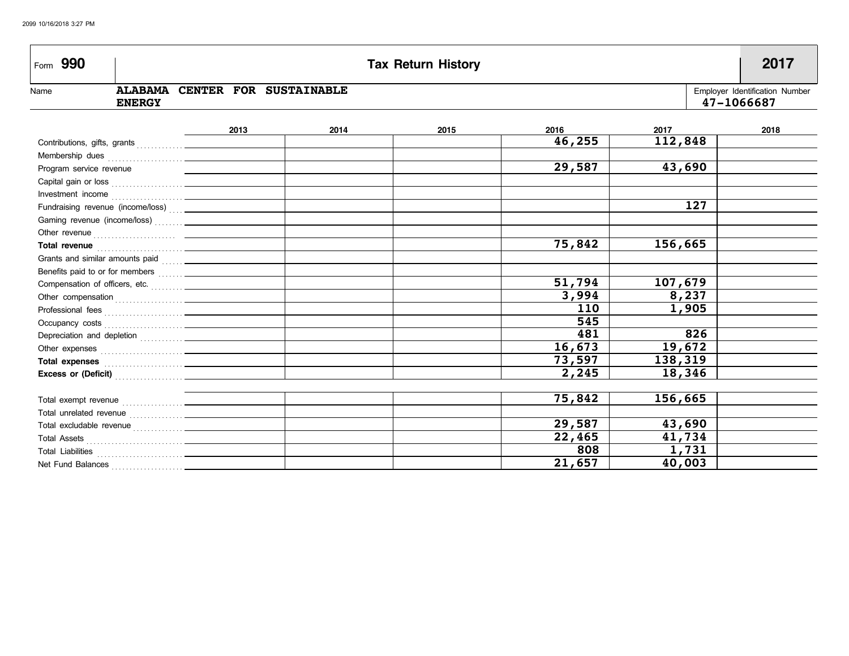| Form 990                                                                                                                                                                                                                             |               |      |                                | <b>Tax Return History</b> |        |         | 2017                                         |
|--------------------------------------------------------------------------------------------------------------------------------------------------------------------------------------------------------------------------------------|---------------|------|--------------------------------|---------------------------|--------|---------|----------------------------------------------|
| Name                                                                                                                                                                                                                                 | <b>ENERGY</b> |      | ALABAMA CENTER FOR SUSTAINABLE |                           |        |         | Employer Identification Number<br>47-1066687 |
|                                                                                                                                                                                                                                      |               |      |                                |                           |        |         |                                              |
|                                                                                                                                                                                                                                      |               | 2013 | 2014                           | 2015                      | 2016   | 2017    | 2018                                         |
|                                                                                                                                                                                                                                      |               |      |                                |                           | 46,255 | 112,848 |                                              |
|                                                                                                                                                                                                                                      |               |      |                                |                           |        |         |                                              |
| Program service revenue                                                                                                                                                                                                              |               |      |                                |                           | 29,587 | 43,690  |                                              |
|                                                                                                                                                                                                                                      |               |      |                                |                           |        |         |                                              |
| Investment income                                                                                                                                                                                                                    |               |      |                                |                           |        |         |                                              |
|                                                                                                                                                                                                                                      |               |      |                                |                           |        | 127     |                                              |
|                                                                                                                                                                                                                                      |               |      |                                |                           |        |         |                                              |
|                                                                                                                                                                                                                                      |               |      |                                |                           |        |         |                                              |
|                                                                                                                                                                                                                                      |               |      |                                |                           | 75,842 | 156,665 |                                              |
|                                                                                                                                                                                                                                      |               |      |                                |                           |        |         |                                              |
|                                                                                                                                                                                                                                      |               |      |                                |                           |        |         |                                              |
|                                                                                                                                                                                                                                      |               |      |                                |                           | 51,794 | 107,679 |                                              |
|                                                                                                                                                                                                                                      |               |      |                                |                           | 3,994  | 8,237   |                                              |
|                                                                                                                                                                                                                                      |               |      |                                |                           | 110    | 1,905   |                                              |
|                                                                                                                                                                                                                                      |               |      |                                |                           | 545    |         |                                              |
|                                                                                                                                                                                                                                      |               |      |                                |                           | 481    | 826     |                                              |
| Other expenses <b>contained contained a state of the state of the state of the state of the state of the state of the state of the state of the state of the state of the state of the state of the state of the state of the </b>   |               |      |                                |                           | 16,673 | 19,672  |                                              |
| Total expenses <b>contained to the contract of the contract of the contract of the contract of the contract of the contract of the contract of the contract of the contract of the contract of the contract of the contract of t</b> |               |      |                                |                           | 73,597 | 138,319 |                                              |
| Excess or (Deficit) <b>Excess</b>                                                                                                                                                                                                    |               |      |                                |                           | 2,245  | 18,346  |                                              |
|                                                                                                                                                                                                                                      |               |      |                                |                           |        |         |                                              |
|                                                                                                                                                                                                                                      |               |      |                                |                           | 75,842 | 156,665 |                                              |
|                                                                                                                                                                                                                                      |               |      |                                |                           |        |         |                                              |
|                                                                                                                                                                                                                                      |               |      |                                |                           | 29,587 | 43,690  |                                              |
|                                                                                                                                                                                                                                      |               |      |                                |                           | 22,465 | 41,734  |                                              |
|                                                                                                                                                                                                                                      |               |      |                                |                           | 808    | 1,731   |                                              |
| Net Fund Balances                                                                                                                                                                                                                    |               |      |                                |                           | 21,657 | 40,003  |                                              |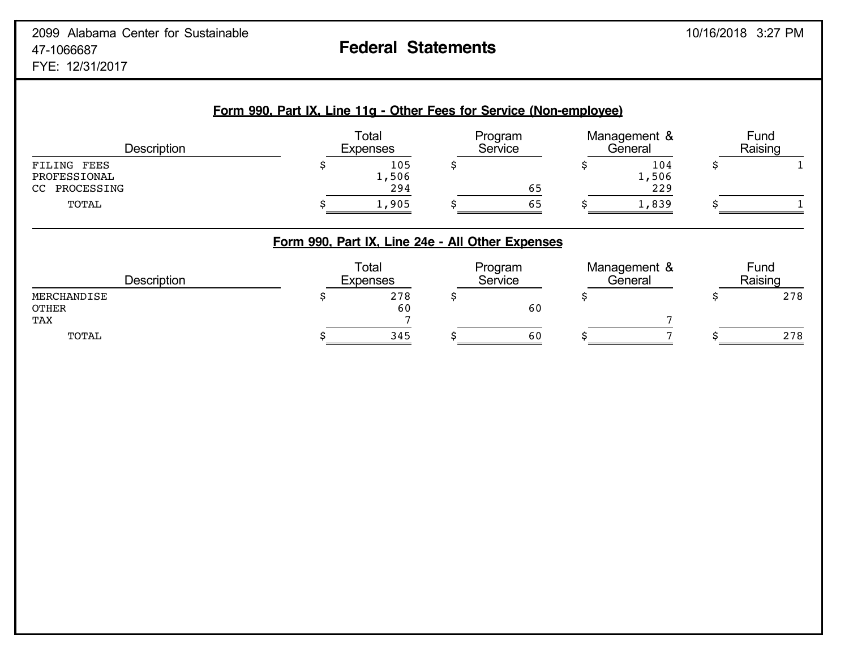## **Federal Statements**

Fund

Raising

 $\mathbf{1}$ 

 $\mathbf{1}$ 

### Form 990, Part IX, Line 11g - Other Fees for Service (Non-employee) Program<br>Service Management & Total Description General Expenses FILING FEES \$ 105 \$ \$ 104 \$ PROFESSIONAL 1,506 1,506 CC PROCESSING 294 229 65 1,905 1,839 **TOTAL** \$ \$ 65 \$ \$ Form 990, Part IX, Line 24e - All Other Expenses

| Description          | Total<br><b>Expenses</b> | Program<br>Service | Management &<br>General | Fund<br>Raising |
|----------------------|--------------------------|--------------------|-------------------------|-----------------|
| MERCHANDISE<br>OTHER | 278<br>60                | 60                 |                         | 278             |
| TAX                  |                          |                    |                         |                 |
| TOTAL                | 345                      | 60                 |                         | 278             |